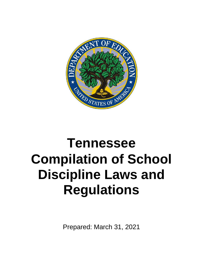

# **Tennessee Compilation of School Discipline Laws and Regulations**

Prepared: March 31, 2021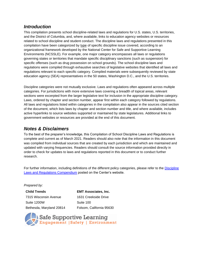# *Introduction*

This compilation presents school discipline-related laws and regulations for U.S. states, U.S. territories, and the District of Columbia, and, where available, links to education agency websites or resources related to school discipline and student conduct. The discipline laws and regulations presented in this compilation have been categorized by type of specific discipline issue covered, according to an organizational framework developed by the National Center for Safe and Supportive Learning Environments (NCSSLE). For example, one major category encompasses all laws or regulations governing states or territories that mandate specific disciplinary sanctions (such as suspension) for specific offenses (such as drug possession on school grounds). The school discipline laws and regulations were compiled through exhaustive searches of legislative websites that identified all laws and regulations relevant to each specific category. Compiled materials were subsequently reviewed by state education agency (SEA) representatives in the 50 states, Washington D.C., and the U.S. territories.

Discipline categories were not mutually exclusive. Laws and regulations often appeared across multiple categories. For jurisdictions with more extensive laws covering a breadth of topical areas, relevant sections were excerpted from the larger legislative text for inclusion in the appropriate discipline category. Laws, ordered by chapter and section number, appear first within each category followed by regulations. All laws and regulations listed within categories in the compilation also appear in the sources cited section of the document, which lists laws by chapter and section number and title, and where available, includes active hyperlinks to source websites supported or maintained by state legislatures. Additional links to government websites or resources are provided at the end of this document.

# *Notes & Disclaimers*

To the best of the preparer's knowledge, this Compilation of School Discipline Laws and Regulations is complete and current as of March 2021. Readers should also note that the information in this document was compiled from individual sources that are created by each jurisdiction and which are maintained and updated with varying frequencies. Readers should consult the source information provided directly in order to check for updates to laws and regulations reported in this document or to conduct further research.

For further information, including definitions of the different policy categories, please refer to the [Discipline](http://safesupportivelearning.ed.gov/school-discipline-compendium)  [Laws and Regulations Compendium](http://safesupportivelearning.ed.gov/school-discipline-compendium) posted on the Center's website.

#### *Prepared by:*

**Child Trends**  7315 Wisconsin Avenue Suite 1200W Bethesda, Maryland 20814

**EMT Associates, Inc.**  1631 Creekside Drive Suite 100 Folsom, California 95630

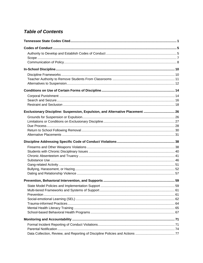# **Table of Contents**

| Exclusionary Discipline: Suspension, Expulsion, and Alternative Placement  26 |  |
|-------------------------------------------------------------------------------|--|
|                                                                               |  |
|                                                                               |  |
|                                                                               |  |
|                                                                               |  |
|                                                                               |  |
|                                                                               |  |
|                                                                               |  |
|                                                                               |  |
|                                                                               |  |
|                                                                               |  |
|                                                                               |  |
|                                                                               |  |
|                                                                               |  |
|                                                                               |  |
|                                                                               |  |
|                                                                               |  |
|                                                                               |  |
|                                                                               |  |
|                                                                               |  |
|                                                                               |  |
|                                                                               |  |
|                                                                               |  |
|                                                                               |  |
|                                                                               |  |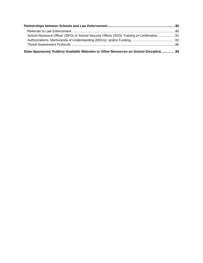| School Resource Officer (SRO) or School Security Officer (SSO) Training or Certification  81 |  |
|----------------------------------------------------------------------------------------------|--|
|                                                                                              |  |
|                                                                                              |  |
| 89 State-Sponsored, Publicly Available Websites or Other Resources on School Discipline  89  |  |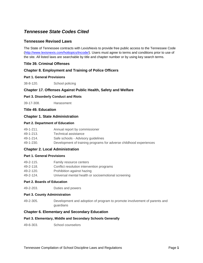# <span id="page-4-0"></span>*Tennessee State Codes Cited*

# **[Tennessee Revised Laws](http://www.lexisnexis.com/hottopics/tncode/)**

The State of Tennessee contracts with LexisNexis to provide free public access to the Tennessee Code [\(http://www.lexisnexis.com/hottopics/tncode/\)](http://www.lexisnexis.com/hottopics/tncode/). Users must agree to terms and conditions prior to use of the site. All listed laws are searchable by title and chapter number or by using key search terms.

# **Title 39. Criminal Offenses**

## **Chapter 8. Employment and Training of Police Officers**

#### **Part 1. General Provisions**

38-8-120. School policing

# **Chapter 17. Offenses Against Public Health, Safety and Welfare**

#### **Part 3. Disorderly Conduct and Riots**

39-17-308. Harassment

# **Title 49. Education**

#### **Chapter 1. State Administration**

#### **Part 2. Department of Education**

| $49 - 1 - 211$ . | Annual report by commissioner                                      |
|------------------|--------------------------------------------------------------------|
| 49-1-213.        | Technical assistance                                               |
| 49-1-214.        | Safe schools - Advisory guidelines                                 |
| 49-1-230.        | Development of training programs for adverse childhood experiences |

#### **Chapter 2. Local Administration**

#### **[Part 1. G](http://www.state.tn.us/tccy/tnchild/t49/t_49_ch_2_p_2.htm)eneral Provisions**

| 49-2-115. | Family resource centers                             |
|-----------|-----------------------------------------------------|
| 49-2-118. | Conflict resolution intervention programs           |
| 49-2-120. | Prohibition against hazing                          |
| 49-2-124. | Universal mental health or socioemotional screening |

#### **[Part 2. Boards of Education](http://www.state.tn.us/tccy/tnchild/t49/t_49_ch_2_p_2.htm)**

49-2-203. Duties and powers

#### **Part 3. County Administration**

49-2-305. Development and adoption of program to promote involvement of parents and guardians

#### **Chapter 6. Elementary and Secondary Education**

#### **Part 3. Elementary, Middle and Secondary Schools Generally**

49-6-303. School counselors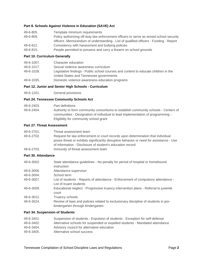#### **[Part 8. Schools Against Violence in Education \(SAVE\) Act](http://www.state.tn.us/tccy/tnchild/t49/t_49_ch_6_p_10.htm)**

| 49-6-805. | Template minimum requirements                                                          |
|-----------|----------------------------------------------------------------------------------------|
| 49-6-809. | Policy authorizing off-duty law enforcement officers to serve as armed school security |
|           | officers - Memorandum of understanding - List of qualified officers - Funding - Report |
| 49-6-812. | Consistency with harassment and bullying policies                                      |
| 49-6-815. | People permitted to possess and carry a firearm on school grounds                      |

#### **Part 10. Curriculum Generally**

| 49-6-1007. | Character education                                                                 |
|------------|-------------------------------------------------------------------------------------|
| 49-6-1017. | Sexual violence awareness curriculum                                                |
| 49-6-1028. | Legislative findings - Public school courses and content to educate children in the |
|            | United States and Tennessee governments                                             |
| 49-6-1035. | Domestic violence awareness education programs                                      |

# **Part 12. Junior and Senior High Schools - Curriculum**

49-6-1201. General provisions

#### **Part 24. Tennessee Community Schools Act**

| 49-6-2403. | Part definitions                                                                    |
|------------|-------------------------------------------------------------------------------------|
| 49-6-2404. | Authority to form community consortiums to establish community schools - Centers of |
|            | communities - Designation of individual to lead implementation of programming -     |
|            | Eligibility for community school grant                                              |

#### **Part 27. Threat Assessment**

| 49-6-2701. | Threat assessment team                                                                  |
|------------|-----------------------------------------------------------------------------------------|
| 49-6-2702. | Request for law enforcement or court records upon determination that individual         |
|            | poses threat or exhibits significantly disruptive behavior or need for assistance - Use |
|            | of information - Disclosure of student's education record                               |
| 49-6-2703. | Immunity of threat assessment team                                                      |

# **[Part 30. Attendance](http://www.state.tn.us/tccy/tnchild/t49/t_49_ch_6_p_30.htm)**

| 49-6-3002. | State attendance guidelines - No penalty for period of hospital or homebound                 |
|------------|----------------------------------------------------------------------------------------------|
|            | instruction                                                                                  |
| 49-6-3006. | Attendance supervisor                                                                        |
| 49-6-3004. | School term                                                                                  |
| 49-6-3007. | List of students - Reports of attendance - Enforcement of compulsory attendance -            |
|            | List of truant students                                                                      |
| 49-6-3009. | Educational neglect - Progressive truancy intervention plans - Referral to juvenile<br>court |
|            |                                                                                              |
| 49-6-3012. | Truancy schools                                                                              |
| 49-6-3024. | Review of laws and policies related to exclusionary discipline of students in pre-           |
|            | kindergarten through kindergarten                                                            |

#### **[Part 34. Suspension of Students](http://www.state.tn.us/tccy/tnchild/t49/t_49_ch_6_p_34.htm)**

| 49-6-3401. | Suspension of students - Expulsion of students - Exception for self-defense  |
|------------|------------------------------------------------------------------------------|
| 49-6-3402. | Alternative schools for suspended or expelled students - Mandated attendance |
| 49-6-3404. | Advisory council for alternative education                                   |
| 49-6-3405. | Alternative school success                                                   |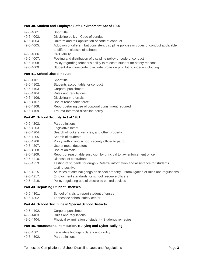#### **[Part 40. S](http://www.state.tn.us/tccy/tnchild/t49/t_49_ch_6_p_40.htm)tudent and Employee Safe Environment Act of 1996**

| Adoption of different but consistent discipline policies or codes of conduct applicable |
|-----------------------------------------------------------------------------------------|
|                                                                                         |
|                                                                                         |
|                                                                                         |
|                                                                                         |
|                                                                                         |
|                                                                                         |

#### **[Part 41. School Discipline Act](http://www.state.tn.us/tccy/tnchild/t49/t_49_ch_6_p_41.htm)**

| 49-6-4101. | Short title                                          |
|------------|------------------------------------------------------|
| 49-6-4102. | Students accountable for conduct                     |
| 49-6-4103. | Corporal punishment                                  |
| 49-6-4104. | Rules and regulations                                |
| 49-6-4106. | Disciplinary referrals                               |
| 49-6-4107. | Use of reasonable force                              |
| 49-6-4108. | Report detailing use of corporal punishment required |
| 49-6-4109. | Trauma-informed discipline policy                    |

#### **[Part 42. School Security Act of 1981](http://www.state.tn.us/tccy/tnchild/t49/t_49_ch_6_p_42.htm)**

| 49-6-4202. | Part definitions                                                                        |
|------------|-----------------------------------------------------------------------------------------|
| 49-6-4203. | Legislative intent                                                                      |
| 49-6-4204. | Search of lockers, vehicles, and other property                                         |
| 49-6-4205. | Search of students                                                                      |
| 49-6-4206. | Policy authorizing school security officer to patrol                                    |
| 49-6-4207. | Use of metal detectors                                                                  |
| 49-6-4208. | Use of animals                                                                          |
| 49-6-4209. | Report of reasonable suspicion by principal to law enforcement officer                  |
| 49-6-4210. | Disposal of contraband                                                                  |
| 49-6-4213. | Testing of students for drugs - Referral information and assistance for students        |
|            | testing positive                                                                        |
| 49-6-4215. | Activities of criminal gangs on school property - Promulgation of rules and regulations |
| 49-6-4217. | Employment standards for school resource officers                                       |
| 49-6-4219. | Policy regulating use of electronic control devices                                     |

#### **[Part 43. Reporting Student Offenses](http://www.state.tn.us/tccy/tnchild/t49/t_49_ch_6_p_43.htm)**

- 49-6-4301. School officials to report student offenses
- 49-6-4302. Tennessee school safety center

#### **[Part 44. Sc](http://www.state.tn.us/tccy/tnchild/t49/t_49_ch_6_p_44.htm)hool Discipline in Special School Districts**

| 49-6-4402. | Corporal punishment |
|------------|---------------------|
|            |                     |

- 49-6-4403. Rules and regulations
- 49-6-4404. Physical examination of student Student's remedies

# **Part 45. Harassment, Intimidation, Bullying and Cyber-Bullying**

- 49-6-4501. Legislative findings Safety and civility
- 49-6-4502. Part definitions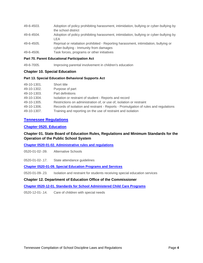| 49-6-4503. | Adoption of policy prohibiting harassment, intimidation, bullying or cyber-bullying by<br>the school district                  |
|------------|--------------------------------------------------------------------------------------------------------------------------------|
| 49-6-4504. | Adoption of policy prohibiting harassment, intimidation, bullying or cyber-bullying by<br>LEA                                  |
| 49-6-4505. | Reprisal or retaliation prohibited - Reporting harassment, intimidation, bullying or<br>cyber-bullying - Immunity from damages |
| 49-6-4506. | Task forces, programs or other initiatives                                                                                     |

#### **Part 70. Parent Educational Participation Act**

49-6-7005. Improving parental involvement in children's education

#### **Chapter 10. Special Education**

#### **Part 13. Special Education Behavioral Supports Act**

| 49-10-1301. | Short title                                                                          |
|-------------|--------------------------------------------------------------------------------------|
| 49-10-1302. | Purpose of part                                                                      |
| 49-10-1303. | Part definitions                                                                     |
| 49-10-1304. | Isolation or restraint of student - Reports and record                               |
| 49-10-1305. | Restrictions on administration of, or use of, isolation or restraint                 |
| 49-10-1306. | Records of isolation and restraint - Reports - Promulgation of rules and regulations |
| 49-10-1307. | Training and reporting on the use of restraint and isolation                         |

# **[Tennessee Regulations](http://sos.tn.gov/effective-rules)**

#### **[Chapter 0520. Education](http://publications.tnsosfiles.com/rules/0520/0520.htm)**

# **Chapter 01. State Board of Education Rules, Regulations and Minimum Standards for the Operation of the Public School System**

**[Chapter 0520-01-02. Administrative rules and regulations](http://publications.tnsosfiles.com/rules/0520/0520-01/0520-01-02.20180114.pdf)**

0520-01-02-.09. Alternative Schools

0520-01-02-.17. State attendance guidelines

**[Chapter 0520-01-09. Special Education Programs and Services](http://publications.tnsosfiles.com/rules/0520/0520-01/0520-01-09.20171109.pdf)**

0520-01-09-.23. Isolation and restraint for students receiving special education services

## **Chapter 12. Department of Education Office of the Commissioner**

**[Chapter 0520-12-01. Standards for School Administered Child Care Programs](http://publications.tnsosfiles.com/rules/0520/0520-12/0520-12-01.20180201.pdf)**

0520-12-01-.14. Care of children with special needs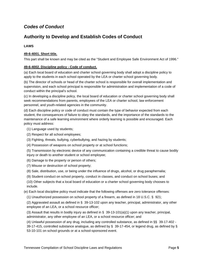# <span id="page-8-0"></span>*Codes of Conduct*

# <span id="page-8-1"></span>**Authority to Develop and Establish Codes of Conduct**

# **LAWS**

# **49-6-4001. Short title.**

This part shall be known and may be cited as the "Student and Employee Safe Environment Act of 1996."

## **49-6-4002. Discipline policy - Code of conduct.**

(a) Each local board of education and charter school governing body shall adopt a discipline policy to apply to the students in each school operated by the LEA or charter school governing body.

(b) The director of schools or head of the charter school is responsible for overall implementation and supervision, and each school principal is responsible for administration and implementation of a code of conduct within the principal's school.

(c) In developing a discipline policy, the local board of education or charter school governing body shall seek recommendations from parents, employees of the LEA or charter school, law enforcement personnel, and youth-related agencies in the community.

(d) Each discipline policy or code of conduct must contain the type of behavior expected from each student, the consequences of failure to obey the standards, and the importance of the standards to the maintenance of a safe learning environment where orderly learning is possible and encouraged. Each policy must address:

- (1) Language used by students;
- (2) Respect for all school employees;
- (3) Fighting, threats, bullying, cyberbullying, and hazing by students;
- (4) Possession of weapons on school property or at school functions;

(5) Transmission by electronic device of any communication containing a credible threat to cause bodily injury or death to another student or school employee;

- (6) Damage to the property or person of others;
- (7) Misuse or destruction of school property;
- (8) Sale, distribution, use, or being under the influence of drugs, alcohol, or drug paraphernalia;
- (9) Student conduct on school property, conduct in classes, and conduct on school buses; and

(10) Other subjects that a local board of education or a charter school governing body chooses to include.

(e) Each local discipline policy must indicate that the following offenses are zero tolerance offenses:

(1) Unauthorized possession on school property of a firearm, as defined in 18 U.S.C. § 921;

(2) Aggravated assault as defined in § 39-13-102 upon any teacher, principal, administrator, any other employee of an LEA, or a school resource officer;

(3) Assault that results in bodily injury as defined in § 39-13-101(a)(1) upon any teacher, principal, administrator, any other employee of an LEA, or a school resource officer; and

(4) Unlawful possession of any drug, including any controlled substance, as defined in §§ 39-17-402 - 39-17-415, controlled substance analogue, as defined by § 39-17-454, or legend drug, as defined by § 53-10-101 on school grounds or at a school-sponsored event.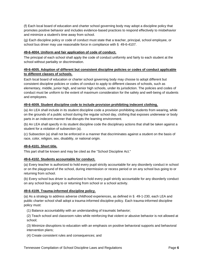(f) Each local board of education and charter school governing body may adopt a discipline policy that promotes positive behavior and includes evidence-based practices to respond effectively to misbehavior and minimize a student's time away from school.

(g) Each discipline policy or code of conduct must state that a teacher, principal, school employee, or school bus driver may use reasonable force in compliance with § 49-6-4107.

## **49-6-4004. Uniform and fair application of code of conduct.**

The principal of each school shall apply the code of conduct uniformly and fairly to each student at the school without partiality or discrimination.

# **49-6-4005. Adoption of different but consistent discipline policies or codes of conduct applicable to different classes of schools.**

Each local board of education or charter school governing body may choose to adopt different but consistent discipline policies or codes of conduct to apply to different classes of schools, such as elementary, middle, junior high, and senior high schools, under its jurisdiction. The policies and codes of conduct must be uniform to the extent of maximum consideration for the safety and well-being of students and employees.

## **49-6-4009. Student discipline code to include provision prohibiting indecent clothing.**

(a) An LEA shall include in its student discipline code a provision prohibiting students from wearing, while on the grounds of a public school during the regular school day, clothing that exposes underwear or body parts in an indecent manner that disrupts the learning environment.

(b) An LEA shall specify in its student discipline code the disciplinary actions that shall be taken against a student for a violation of subsection (a).

(c) Subsection (a) shall not be enforced in a manner that discriminates against a student on the basis of race, color, religion, sex, disability, or national origin.

#### **49-6-4101. Short title.**

This part shall be known and may be cited as the "School Discipline Act."

#### **49-6-4102. Students accountable for conduct.**

(a) Every teacher is authorized to hold every pupil strictly accountable for any disorderly conduct in school or on the playground of the school, during intermission or recess period or on any school bus going to or returning from school.

(b) Every school bus driver is authorized to hold every pupil strictly accountable for any disorderly conduct on any school bus going to or returning from school or a school activity.

#### **49-6-4109. Trauma-informed discipline policy.**

(a) As a strategy to address adverse childhood experiences, as defined in § 49-1-230, each LEA and public charter school shall adopt a trauma-informed discipline policy. Each trauma-informed discipline policy must:

(1) Balance accountability with an understanding of traumatic behavior;

(2) Teach school and classroom rules while reinforcing that violent or abusive behavior is not allowed at school;

(3) Minimize disruptions to education with an emphasis on positive behavioral supports and behavioral intervention plans;

(4) Create consistent rules and consequences; and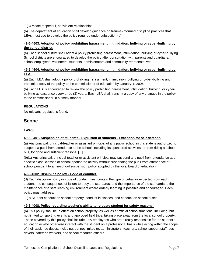(5) Model respectful, nonviolent relationships.

(b) The department of education shall develop guidance on trauma-informed discipline practices that LEAs must use to develop the policy required under subsection (a).

# **49-6-4503. Adoption of policy prohibiting harassment, intimidation, bullying or cyber-bullying by the school district.**

(a) Each school district shall adopt a policy prohibiting harassment, intimidation, bullying or cyber-bullying. School districts are encouraged to develop the policy after consultation with parents and guardians, school employees, volunteers, students, administrators and community representatives.

# **49-6-4504. Adoption of policy prohibiting harassment, intimidation, bullying or cyber-bullying by LEA.**

(a) Each LEA shall adopt a policy prohibiting harassment, intimidation, bullying or cyber-bullying and transmit a copy of the policy to the commissioner of education by January 1, 2006.

(b) Each LEA is encouraged to review the policy prohibiting harassment, intimidation, bullying, or cyberbullying at least once every three (3) years. Each LEA shall transmit a copy of any changes in the policy to the commissioner in a timely manner.

# **REGULATIONS**

No relevant regulations found.

# <span id="page-10-0"></span>**Scope**

# **LAWS**

# **49-6-3401. Suspension of students - Expulsion of students - Exception for self-defense.**

(a) Any principal, principal-teacher or assistant principal of any public school in this state is authorized to suspend a pupil from attendance at the school, including its sponsored activities, or from riding a school bus, for good and sufficient reasons. [...]

(b)(1) Any principal, principal-teacher or assistant principal may suspend any pupil from attendance at a specific class, classes or school-sponsored activity without suspending the pupil from attendance at school pursuant to an in-school suspension policy adopted by the local board of education.

#### **49-6-4002. Discipline policy - Code of conduct.**

(d) Each discipline policy or code of conduct must contain the type of behavior expected from each student, the consequences of failure to obey the standards, and the importance of the standards to the maintenance of a safe learning environment where orderly learning is possible and encouraged. Each policy must address:

(9) Student conduct on school property, conduct in classes, and conduct on school buses.

#### **49-6-4008. Policy regarding teacher's ability to relocate student for safety reasons.**

(b) This policy shall be in effect on school property, as well as at official school functions, including, but not limited to, sporting events and approved field trips, taking place away from the local school property. Those covered by this policy shall include LEA employees who are directly responsible for the student's education or who otherwise interact with the student on a professional basis while acting within the scope of their assigned duties, including, but not limited to, administrators, teachers, school support staff, bus drivers, cafeteria workers, and school resource officers.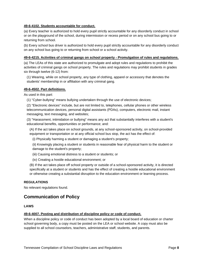#### **49-6-4102. Students accountable for conduct.**

(a) Every teacher is authorized to hold every pupil strictly accountable for any disorderly conduct in school or on the playground of the school, during intermission or recess period or on any school bus going to or returning from school.

(b) Every school bus driver is authorized to hold every pupil strictly accountable for any disorderly conduct on any school bus going to or returning from school or a school activity.

#### **49-6-4215. Activities of criminal gangs on school property - Promulgation of rules and regulations.**

(a) The LEAs of this state are authorized to promulgate and adopt rules and regulations to prohibit the activities of criminal gangs on school property. The rules and regulations may prohibit students in grades six through twelve (6-12) from:

(1) Wearing, while on school property, any type of clothing, apparel or accessory that denotes the students' membership in or affiliation with any criminal gang.

#### **49-6-4502. Part definitions.**

As used in this part:

(1) "Cyber-bullying" means bullying undertaken through the use of electronic devices;

(2) "Electronic devices" include, but are not limited to, telephones, cellular phones or other wireless telecommunication devices, personal digital assistants (PDAs), computers, electronic mail, instant messaging, text messaging, and websites;

(3) "Harassment, intimidation or bullying" means any act that substantially interferes with a student's educational benefits, opportunities or performance; and:

(A) If the act takes place on school grounds, at any school-sponsored activity, on school-provided equipment or transportation or at any official school bus stop, the act has the effect of:

(i) Physically harming a student or damaging a student's property;

(ii) Knowingly placing a student or students in reasonable fear of physical harm to the student or damage to the student's property;

- (iii) Causing emotional distress to a student or students; or
- (iv) Creating a hostile educational environment; or

(B) If the act takes place off school property or outside of a school-sponsored activity, it is directed specifically at a student or students and has the effect of creating a hostile educational environment or otherwise creating a substantial disruption to the education environment or learning process.

#### **REGULATIONS**

No relevant regulations found.

# <span id="page-11-0"></span>**Communication of Policy**

#### **LAWS**

#### **49-6-4007. Posting and distribution of discipline policy or code of conduct.**

When a discipline policy or code of conduct has been adopted by a local board of education or charter school governing body, a copy must be posted on the LEA or school website. A copy must also be supplied to all school counselors, teachers, administrative staff, students, and parents.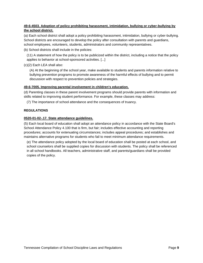# **49-6-4503. Adoption of policy prohibiting harassment, intimidation, bullying or cyber-bullying by the school district.**

(a) Each school district shall adopt a policy prohibiting harassment, intimidation, bullying or cyber-bullying. School districts are encouraged to develop the policy after consultation with parents and guardians, school employees, volunteers, students, administrators and community representatives.

(b) School districts shall include in the policies:

(11) A statement of how the policy is to be publicized within the district, including a notice that the policy applies to behavior at school-sponsored activities. [...]

(c)(2) Each LEA shall also:

(A) At the beginning of the school year, make available to students and parents information relative to bullying prevention programs to promote awareness of the harmful effects of bullying and to permit discussion with respect to prevention policies and strategies.

## **49-6-7005. Improving parental involvement in children's education.**

(d) Parenting classes in these parent involvement programs should provide parents with information and skills related to improving student performance. For example, these classes may address:

(7) The importance of school attendance and the consequences of truancy.

#### **REGULATIONS**

#### **0520-01-02-.17. State attendance guidelines.**

(5) Each local board of education shall adopt an attendance policy in accordance with the State Board's School Attendance Policy 4.100 that is firm, but fair; includes effective accounting and reporting procedures; accounts for extenuating circumstances; includes appeal procedures; and establishes and maintains alternative programs for students who fail to meet minimum attendance requirements.

(e) The attendance policy adopted by the local board of education shall be posted at each school, and school counselors shall be supplied copies for discussion with students. The policy shall be referenced in all school handbooks. All teachers, administrative staff, and parents/guardians shall be provided copies of the policy.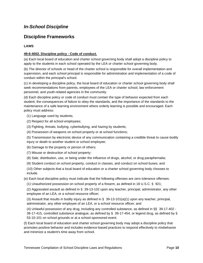# <span id="page-13-0"></span>*In-School Discipline*

# <span id="page-13-1"></span>**Discipline Frameworks**

# **LAWS**

## **49-6-4002. Discipline policy - Code of conduct.**

(a) Each local board of education and charter school governing body shall adopt a discipline policy to apply to the students in each school operated by the LEA or charter school governing body.

(b) The director of schools or head of the charter school is responsible for overall implementation and supervision, and each school principal is responsible for administration and implementation of a code of conduct within the principal's school.

(c) In developing a discipline policy, the local board of education or charter school governing body shall seek recommendations from parents, employees of the LEA or charter school, law enforcement personnel, and youth-related agencies in the community.

(d) Each discipline policy or code of conduct must contain the type of behavior expected from each student, the consequences of failure to obey the standards, and the importance of the standards to the maintenance of a safe learning environment where orderly learning is possible and encouraged. Each policy must address:

(1) Language used by students;

- (2) Respect for all school employees;
- (3) Fighting, threats, bullying, cyberbullying, and hazing by students;
- (4) Possession of weapons on school property or at school functions;

(5) Transmission by electronic device of any communication containing a credible threat to cause bodily injury or death to another student or school employee;

- (6) Damage to the property or person of others;
- (7) Misuse or destruction of school property;
- (8) Sale, distribution, use, or being under the influence of drugs, alcohol, or drug paraphernalia;
- (9) Student conduct on school property, conduct in classes, and conduct on school buses; and

(10) Other subjects that a local board of education or a charter school governing body chooses to include.

(e) Each local discipline policy must indicate that the following offenses are zero tolerance offenses:

(1) Unauthorized possession on school property of a firearm, as defined in 18 U.S.C. § 921;

(2) Aggravated assault as defined in § 39-13-102 upon any teacher, principal, administrator, any other employee of an LEA, or a school resource officer;

(3) Assault that results in bodily injury as defined in § 39-13-101(a)(1) upon any teacher, principal, administrator, any other employee of an LEA, or a school resource officer; and

(4) Unlawful possession of any drug, including any controlled substance, as defined in §§ 39-17-402 -

39-17-415, controlled substance analogue, as defined by § 39-17-454, or legend drug, as defined by § 53-10-101 on school grounds or at a school-sponsored event.

(f) Each local board of education and charter school governing body may adopt a discipline policy that promotes positive behavior and includes evidence-based practices to respond effectively to misbehavior and minimize a student's time away from school.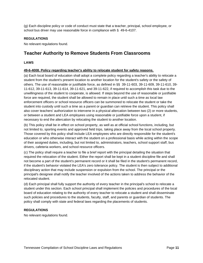(g) Each discipline policy or code of conduct must state that a teacher, principal, school employee, or school bus driver may use reasonable force in compliance with § 49-6-4107.

#### **REGULATIONS**

No relevant regulations found.

# <span id="page-14-0"></span>**Teacher Authority to Remove Students From Classrooms**

#### **LAWS**

#### **49-6-4008. Policy regarding teacher's ability to relocate student for safety reasons.**

(a) Each local board of education shall adopt a complete policy regarding a teacher's ability to relocate a student from the student's present location to another location for the student's safety or the safety of others. The use of reasonable or justifiable force, as defined in §§ 39-11-603, 39-11-609, 39-11-610, 39- 11-612, 39-11-613, 39-11-614, 39-11-621, and 39-11-622, if required to accomplish this task due to the unwillingness of the student to cooperate, is allowed. If steps beyond the use of reasonable or justifiable force are required, the student shall be allowed to remain in place until such a time as local law enforcement officers or school resource officers can be summoned to relocate the student or take the student into custody until such a time as a parent or guardian can retrieve the student. This policy shall also cover teachers' authorization to intervene in a physical altercation between two (2) or more students, or between a student and LEA employees using reasonable or justifiable force upon a student, if necessary to end the altercation by relocating the student to another location.

(b) This policy shall be in effect on school property, as well as at official school functions, including, but not limited to, sporting events and approved field trips, taking place away from the local school property. Those covered by this policy shall include LEA employees who are directly responsible for the student's education or who otherwise interact with the student on a professional basis while acting within the scope of their assigned duties, including, but not limited to, administrators, teachers, school support staff, bus drivers, cafeteria workers, and school resource officers.

(c) The policy shall require a teacher to file a brief report with the principal detailing the situation that required the relocation of the student. Either the report shall be kept in a student discipline file and shall not become a part of the student's permanent record or it shall be filed in the student's permanent record, if the student's behavior violated the LEA's zero tolerance policy. The student is then subject to additional disciplinary action that may include suspension or expulsion from the school. The principal or the principal's designee shall notify the teacher involved of the actions taken to address the behavior of the relocated student.

(d) Each principal shall fully support the authority of every teacher in the principal's school to relocate a student under this section. Each school principal shall implement the policies and procedures of the local board of education relating to the authority of every teacher to relocate a student and shall disseminate such policies and procedures to the students, faculty, staff, and parents or guardian of students. The policy shall comply with state and federal laws regarding the placements of students.

#### **REGULATIONS**

No relevant regulations found.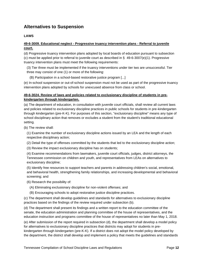# <span id="page-15-0"></span>**Alternatives to Suspension**

# **LAWS**

# **49-6-3009. Educational neglect - Progressive truancy intervention plans - Referral to juvenile court.**

(d) Progressive truancy intervention plans adopted by local boards of education pursuant to subsection (c) must be applied prior to referral to juvenile court as described in § 49-6-3007(e)(1). Progressive truancy intervention plans must meet the following requirements:

(3) Tier three must be implemented if the truancy interventions under tier two are unsuccessful. Tier three may consist of one (1) or more of the following:

(B) Participation in a school-based restorative justice program [...]

(e) In-school suspension or out-of-school suspension must not be used as part of the progressive truancy intervention plans adopted by schools for unexcused absence from class or school.

## **49-6-3024. Review of laws and policies related to exclusionary discipline of students in prekindergarten through kindergarten.**

(a) The department of education, in consultation with juvenile court officials, shall review all current laws and policies related to exclusionary discipline practices in public schools for students in pre-kindergarten through kindergarten (pre-K-K). For purposes of this section, "exclusionary discipline" means any type of school disciplinary action that removes or excludes a student from the student's traditional educational setting.

(b) The review shall:

(1) Examine the number of exclusionary discipline actions issued by an LEA and the length of each respective disciplinary action;

(2) Detail the type of offenses committed by the students that led to the exclusionary discipline action;

(3) Review the impact exclusionary discipline has on students;

(4) Examine recommendations from lawmakers, juvenile court officials, judges, district attorneys, the Tennessee commission on children and youth, and representatives from LEAs on alternatives to exclusionary discipline;

(5) Identify free resources to support teachers and parents in addressing children's social, emotional, and behavioral health, strengthening family relationships, and increasing developmental and behavioral screening; and

(6) Research the possibility of:

- (A) Eliminating exclusionary discipline for non-violent offenses; and
- (B) Encouraging schools to adopt restorative justice discipline practices.

(c) The department shall develop guidelines and standards for alternatives to exclusionary discipline practices based on the findings of the review required under subsection (b).

(d) The department shall present its findings and a written report to the education committee of the senate, the education administration and planning committee of the house of representatives, and the education instruction and programs committee of the house of representatives no later than May 1, 2018.

(e) After submission of the report required in subsection (d), the department shall develop a model policy for alternatives to exclusionary discipline practices that districts may adopt for students in prekindergarten through kindergarten (pre-K-K). If a district does not adopt the model policy developed by the department, the district shall develop and implement a policy that meets the guidelines and standards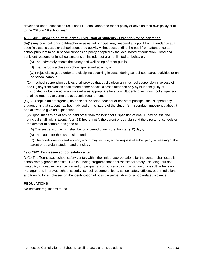developed under subsection (c). Each LEA shall adopt the model policy or develop their own policy prior to the 2018-2019 school year.

#### **49-6-3401. Suspension of students - Expulsion of students - Exception for self-defense.**

(b)(1) Any principal, principal-teacher or assistant principal may suspend any pupil from attendance at a specific class, classes or school-sponsored activity without suspending the pupil from attendance at school pursuant to an in-school suspension policy adopted by the local board of education. Good and sufficient reasons for in-school suspension include, but are not limited to, behavior:

(A) That adversely affects the safety and well-being of other pupils;

- (B) That disrupts a class or school sponsored activity; or
- (C) Prejudicial to good order and discipline occurring in class, during school-sponsored activities or on the school campus.

(2) In-school suspension policies shall provide that pupils given an in-school suspension in excess of one (1) day from classes shall attend either special classes attended only by students guilty of misconduct or be placed in an isolated area appropriate for study. Students given in-school suspension shall be required to complete academic requirements.

(c)(1) Except in an emergency, no principal, principal-teacher or assistant principal shall suspend any student until that student has been advised of the nature of the student's misconduct, questioned about it and allowed to give an explanation.

(2) Upon suspension of any student other than for in-school suspension of one (1) day or less, the principal shall, within twenty-four (24) hours, notify the parent or guardian and the director of schools or the director of schools' designee of:

(A) The suspension, which shall be for a period of no more than ten (10) days;

(B) The cause for the suspension; and

(C) The conditions for readmission, which may include, at the request of either party, a meeting of the parent or guardian, student and principal.

#### **49-6-4302. Tennessee school safety center.**

(c)(1) The Tennessee school safety center, within the limit of appropriations for the center, shall establish school safety grants to assist LEAs in funding programs that address school safety, including, but not limited to, innovative violence prevention programs, conflict resolution, disruptive or assaultive behavior management, improved school security, school resource officers, school safety officers, peer mediation, and training for employees on the identification of possible perpetrators of school-related violence.

#### **REGULATIONS**

No relevant regulations found.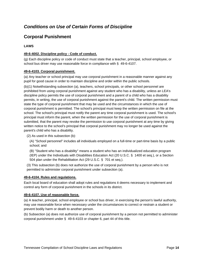# <span id="page-17-0"></span>*Conditions on Use of Certain Forms of Discipline*

# <span id="page-17-1"></span>**Corporal Punishment**

## **LAWS**

## **49-6-4002. Discipline policy - Code of conduct.**

(g) Each discipline policy or code of conduct must state that a teacher, principal, school employee, or school bus driver may use reasonable force in compliance with § 49-6-4107.

#### **49-6-4103. Corporal punishment.**

(a) Any teacher or school principal may use corporal punishment in a reasonable manner against any pupil for good cause in order to maintain discipline and order within the public schools.

(b)(1) Notwithstanding subsection (a), teachers, school principals, or other school personnel are prohibited from using corporal punishment against any student who has a disability, unless an LEA's discipline policy permits the use of corporal punishment and a parent of a child who has a disability permits, in writing, the use of corporal punishment against the parent's child. The written permission must state the type of corporal punishment that may be used and the circumstances in which the use of corporal punishment is permitted. The school's principal must keep the written permission on file at the school. The school's principal must notify the parent any time corporal punishment is used. The school's principal must inform the parent, when the written permission for the use of corporal punishment is submitted, that the parent may revoke the permission to use corporal punishment at any time by giving written notice to the school's principal that corporal punishment may no longer be used against the parent's child who has a disability.

(2) As used in this subsection (b):

(A) "School personnel" includes all individuals employed on a full-time or part-time basis by a public school; and

(B) "Student who has a disability" means a student who has an individualized education program

(IEP) under the Individuals with Disabilities Education Act (20 U.S.C. § 1400 et seq.), or a Section 504 plan under the Rehabilitation Act (29 U.S.C. § 701 et seq.).

(3) This subsection (b) does not authorize the use of corporal punishment by a person who is not permitted to administer corporal punishment under subsection (a).

#### **49-6-4104. Rules and regulations.**

Each local board of education shall adopt rules and regulations it deems necessary to implement and control any form of corporal punishment in the schools in its district.

#### **49-6-4107. Use of reasonable force.**

(a) A teacher, principal, school employee or school bus driver, in exercising the person's lawful authority, may use reasonable force when necessary under the circumstances to correct or restrain a student or prevent bodily harm or death to another person.

(b) Subsection (a) does not authorize use of corporal punishment by a person not permitted to administer corporal punishment under § 49-6-4103 or chapter 6, part 44 of this title.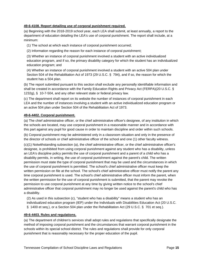#### **49-6-4108. Report detailing use of corporal punishment required.**

(a) Beginning with the 2018-2019 school year, each LEA shall submit, at least annually, a report to the department of education detailing the LEA's use of corporal punishment. The report shall include, at a minimum:

(1) The school at which each instance of corporal punishment occurred;

(2) Information regarding the reason for each instance of corporal punishment;

(3) Whether an instance of corporal punishment involved a student with an active individualized education program, and if so, the primary disability category for which the student has an individualized education program; and

(4) Whether an instance of corporal punishment involved a student with an active 504 plan under Section 504 of the Rehabilitation Act of 1973 (29 U.S.C. § 794), and if so, the reason for which the student has a 504 plan.

(b) The report submitted pursuant to this section shall exclude any personally identifiable information and shall be created in accordance with the Family Education Rights and Privacy Act (FERPA)(20 U.S.C. § 1232g), § 10-7-504, and any other relevant state or federal privacy law.

(c) The department shall report on its website the number of instances of corporal punishment in each LEA and the number of instances involving a student with an active individualized education program or an active 504 plan under Section 504 of the Rehabilitation Act of 1973.

#### **49-6-4402. Corporal punishment.**

(a) The chief administrative officer, or the chief administrative officer's designee, of any institution in which the schools are located, may use corporal punishment in a reasonable manner and in accordance with this part against any pupil for good cause in order to maintain discipline and order within such schools.

(b) Corporal punishment may be administered only in a classroom situation and only in the presence of the director of schools or chief administrative officer of the school and one (1) other faculty witness.

(c)(1) Notwithstanding subsection (a), the chief administrative officer, or the chief administrative officer's designee, is prohibited from using corporal punishment against any student who has a disability, unless an LEA's discipline policy permits the use of corporal punishment and a parent of a child who has a disability permits, in writing, the use of corporal punishment against the parent's child. The written permission must state the type of corporal punishment that may be used and the circumstances in which the use of corporal punishment is permitted. The school's chief administrative officer must keep the written permission on file at the school. The school's chief administrative officer must notify the parent any time corporal punishment is used. The school's chief administrative officer must inform the parent, when the written permission for the use of corporal punishment is submitted, that the parent may revoke the permission to use corporal punishment at any time by giving written notice to the school's chief administrative officer that corporal punishment may no longer be used against the parent's child who has a disability.

(2) As used in this subsection (c), "student who has a disability" means a student who has an individualized education program (IEP) under the Individuals with Disabilities Education Act (20 U.S.C. § 1400 et seq.), or a Section 504 plan under the Rehabilitation Act (29 U.S.C. § 701 et seq.).

#### **49-6-4403. Rules and regulations.**

(a) The department of children's services shall adopt rules and regulations that specifically designate the method of imposing corporal punishment and the circumstances that warrant corporal punishment in the schools within its special school district. The rules and regulations shall provide for only corporal punishment that is reasonably necessary for the proper education of the pupil.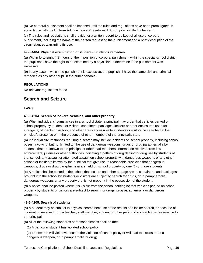(b) No corporal punishment shall be imposed until the rules and regulations have been promulgated in accordance with the Uniform Administrative Procedures Act, compiled in title 4, chapter 5.

(c) The rules and regulations shall provide for a written record to be kept of all use of corporal punishment, including the name of the person requesting the punishment and a brief description of the circumstances warranting its use.

#### **49-6-4404. Physical examination of student - Student's remedies.**

(a) Within forty-eight (48) hours of the imposition of corporal punishment within the special school district, the pupil shall have the right to be examined by a physician to determine if the punishment was excessive.

(b) In any case in which the punishment is excessive, the pupil shall have the same civil and criminal remedies as any other pupil in the public schools.

#### **REGULATIONS**

No relevant regulations found.

# <span id="page-19-0"></span>**Search and Seizure**

#### **LAWS**

#### **49-6-4204. Search of lockers, vehicles, and other property.**

(a) When individual circumstances in a school dictate, a principal may order that vehicles parked on school property by students or visitors, containers, packages, lockers or other enclosures used for storage by students or visitors, and other areas accessible to students or visitors be searched in the principal's presence or in the presence of other members of the principal's staff.

(b) Individual circumstances requiring a search may include incidents on school property, including school buses, involving, but not limited to, the use of dangerous weapons, drugs or drug paraphernalia by students that are known to the principal or other staff members, information received from law enforcement, juvenile or other authorities indicating a pattern of drug dealing or drug use by students of that school, any assault or attempted assault on school property with dangerous weapons or any other actions or incidents known by the principal that give rise to reasonable suspicion that dangerous weapons, drugs or drug paraphernalia are held on school property by one (1) or more students.

(c) A notice shall be posted in the school that lockers and other storage areas, containers, and packages brought into the school by students or visitors are subject to search for drugs, drug paraphernalia, dangerous weapons or any property that is not properly in the possession of the student.

(d) A notice shall be posted where it is visible from the school parking lot that vehicles parked on school property by students or visitors are subject to search for drugs, drug paraphernalia or dangerous weapons.

#### **49-6-4205. Search of students.**

(a) A student may be subject to physical search because of the results of a locker search, or because of information received from a teacher, staff member, student or other person if such action is reasonable to the principal.

(b) All of the following standards of reasonableness shall be met:

(1) A particular student has violated school policy;

(2) The search will yield evidence of the violation of school policy or will lead to disclosure of a dangerous weapon, drug paraphernalia or drug;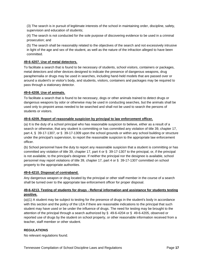(3) The search is in pursuit of legitimate interests of the school in maintaining order, discipline, safety, supervision and education of students;

(4) The search is not conducted for the sole purpose of discovering evidence to be used in a criminal prosecution; and

(5) The search shall be reasonably related to the objectives of the search and not excessively intrusive in light of the age and sex of the student, as well as the nature of the infraction alleged to have been committed.

#### **49-6-4207. Use of metal detectors.**

To facilitate a search that is found to be necessary of students, school visitors, containers or packages, metal detectors and other devices designed to indicate the presence of dangerous weapons, drug paraphernalia or drugs may be used in searches, including hand-held models that are passed over or around a student's or visitor's body, and students, visitors, containers and packages may be required to pass through a stationary detector.

#### **49-6-4208. Use of animals.**

To facilitate a search that is found to be necessary, dogs or other animals trained to detect drugs or dangerous weapons by odor or otherwise may be used in conducting searches, but the animals shall be used only to pinpoint areas needed to be searched and shall not be used to search the persons of students or visitors.

#### **49-6-4209. Report of reasonable suspicion by principal to law enforcement officer.**

(a) It is the duty of a school principal who has reasonable suspicion to believe, either as a result of a search or otherwise, that any student is committing or has committed any violation of title 39, chapter 17, part 4, § 39-17-1307, or § 39-17-1309 upon the school grounds or within any school building or structure under the principal's supervision, to report the reasonable suspicion to the appropriate law enforcement officer.

(b) School personnel have the duty to report any reasonable suspicion that a student is committing or has committed any violation of title 39, chapter 17, part 4 or § 39-17-1307 to the principal, or, if the principal is not available, to the principal's designee. If neither the principal nor the designee is available, school personnel may report violations of title 39, chapter 17, part 4 or § 39-17-1307 committed on school property to the appropriate authorities.

#### **49-6-4210. Disposal of contraband.**

Any dangerous weapon or drug located by the principal or other staff member in the course of a search shall be turned over to the appropriate law enforcement officer for proper disposal.

#### **49-6-4213. Testing of students for drugs - Referral information and assistance for students testing positive.**

(a)(1) A student may be subject to testing for the presence of drugs in the student's body in accordance with this section and the policy of the LEA if there are reasonable indications to the principal that such student may have used or be under the influence of drugs. The need for testing may be brought to the attention of the principal through a search authorized by § 49-6-4204 or § 49-6-4205, observed or reported use of drugs by the student on school property, or other reasonable information received from a teacher, staff member or other student.

## **REGULATIONS**

No relevant regulations found.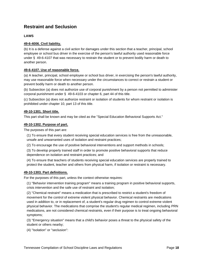# <span id="page-21-0"></span>**Restraint and Seclusion**

# **LAWS**

#### **49-6-4006. Civil liability.**

(b) It is a defense against a civil action for damages under this section that a teacher, principal, school employee or school bus driver in the exercise of the person's lawful authority used reasonable force under § 49-6-4107 that was necessary to restrain the student or to prevent bodily harm or death to another person.

#### **49-6-4107. Use of reasonable force.**

(a) A teacher, principal, school employee or school bus driver, in exercising the person's lawful authority, may use reasonable force when necessary under the circumstances to correct or restrain a student or prevent bodily harm or death to another person.

(b) Subsection (a) does not authorize use of corporal punishment by a person not permitted to administer corporal punishment under § 49-6-4103 or chapter 6, part 44 of this title.

(c) Subsection (a) does not authorize restraint or isolation of students for whom restraint or isolation is prohibited under chapter 10, part 13 of this title.

#### **49-10-1301. Short title.**

This part shall be known and may be cited as the "Special Education Behavioral Supports Act."

#### **49-10-1302. Purpose of part.**

The purposes of this part are:

(1) To ensure that every student receiving special education services is free from the unreasonable, unsafe and unwarranted uses of isolation and restraint practices;

(2) To encourage the use of positive behavioral interventions and support methods in schools;

(3) To develop properly trained staff in order to promote positive behavioral supports that reduce dependence on isolation and restraint practices; and

(4) To ensure that teachers of students receiving special education services are properly trained to protect the student, teacher and others from physical harm, if isolation or restraint is necessary.

#### **49-10-1303. Part definitions.**

For the purposes of this part, unless the context otherwise requires:

(1) "Behavior intervention training program" means a training program in positive behavioral supports, crisis intervention and the safe use of restraint and isolation;

(2) "Chemical restraint" means a medication that is prescribed to restrict a student's freedom of movement for the control of extreme violent physical behavior. Chemical restraints are medications used in addition to, or in replacement of, a student's regular drug regimen to control extreme violent physical behavior. The medications that comprise the student's regular medical regimen, including PRN medications, are not considered chemical restraints, even if their purpose is to treat ongoing behavioral symptoms;

(3) "Emergency situation" means that a child's behavior poses a threat to the physical safety of the student or others nearby;

(4) "Isolation" or "seclusion":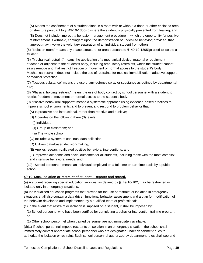(A) Means the confinement of a student alone in a room with or without a door, or other enclosed area or structure pursuant to § 49-10-1305(g) where the student is physically prevented from leaving; and

(B) Does not include time-out, a behavior management procedure in which the opportunity for positive reinforcement is withheld, contingent upon the demonstration of undesired behavior; provided, that time-out may involve the voluntary separation of an individual student from others;

(5) "Isolation room" means any space, structure, or area pursuant to  $\S$  49-10-1305(g) used to isolate a student;

(6) "Mechanical restraint" means the application of a mechanical device, material or equipment attached or adjacent to the student's body, including ambulatory restraints, which the student cannot easily remove and that restrict freedom of movement or normal access to the student's body. Mechanical restraint does not include the use of restraints for medical immobilization, adaptive support, or medical protection;

(7) "Noxious substance" means the use of any defense spray or substance as defined by departmental rule;

(8) "Physical holding restraint" means the use of body contact by school personnel with a student to restrict freedom of movement or normal access to the student's body;

(9) "Positive behavioral supports" means a systematic approach using evidence-based practices to improve school environments, and to prevent and respond to problem behavior that:

(A) Is proactive and instructional, rather than reactive and punitive;

- (B) Operates on the following three (3) levels:
- (i) Individual;
- (ii) Group or classroom; and
- (iii) The whole school;
- (C) Includes a system of continual data collection;
- (D) Utilizes data-based decision-making;
- (E) Applies research-validated positive behavioral interventions; and
- (F) Improves academic and social outcomes for all students, including those with the most complex and intensive behavioral needs; and

(10) "School personnel" means an individual employed on a full-time or part-time basis by a public school.

#### **49-10-1304. Isolation or restraint of student - Reports and record.**

(a) A student receiving special education services, as defined by § 49-10-102, may be restrained or isolated only in emergency situations.

(b) Individualized education programs that provide for the use of restraint or isolation in emergency situations shall also contain a data driven functional behavior assessment and a plan for modification of the behavior developed and implemented by a qualified team of professionals.

(c) In the event that restraint or isolation is imposed on a student, it shall be imposed by:

(1) School personnel who have been certified for completing a behavior intervention training program; or

(2) Other school personnel when trained personnel are not immediately available.

(d)(1) If school personnel impose restraints or isolation in an emergency situation, the school shall immediately contact appropriate school personnel who are designated under department rules to authorize the isolation or restraint. Such school personnel authorized by department rules shall see and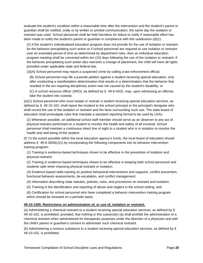evaluate the student's condition within a reasonable time after the intervention and the student's parent or guardian shall be notified, orally or by written or printed communication, the same day the isolation or restraint was used. School personnel shall be held harmless for failure to notify if reasonable effort has been made to notify the student's parent or guardian in compliance with this subdivision (d)(1).

(2) If the student's individualized education program does not provide for the use of isolation or restraint for the behavior precipitating such action or if school personnel are required to use isolation or restraint over an extended period of time as determined by department rules, then an individual education program meeting shall be convened within ten (10) days following the use of the isolation or restraint. If the behavior precipitating such action also warrants a change of placement, the child will have all rights provided under applicable state and federal law.

(3)(A) School personnel may report a suspected crime by calling a law enforcement official;

(B) School personnel may file a juvenile petition against a student receiving special education, only after conducting a manifestation determination that results in a determination that the behavior that resulted in the act requiring disciplinary action was not caused by the student's disability; or

(C) A school resource officer (SRO), as defined by § 49-6-4202, may, upon witnessing an offense, take the student into custody.

(e)(1) School personnel who must isolate or restrain a student receiving special education services, as defined by § 49-10-102, shall report the incident to the school principal or the principal's designee who shall record the use of the isolation or restraint and the facts surrounding such use. The state board of education shall promulgate rules that mandate a standard reporting format to be used by LEAs.

(2) Whenever possible, an additional school staff member should serve as an observer to any act of physical restraint performed on a student to monitor the health and safety of all involved. School personnel shall maintain a continuous direct line of sight to a student who is in isolation to monitor the health and well-being of the student.

(f) To the extent possible within the local education agency's funds, the local board of education should address § 49-6-3004(c)(1) by incorporating the following components into its behavior intervention training program:

(1) Training in evidence-based techniques shown to be effective in the prevention of isolation and physical restraint;

(2) Training in evidence-based techniques shown to be effective in keeping both school personnel and students safe when imposing physical restraint or isolation;

(3) Evidence-based skills training on positive behavioral interventions and supports, conflict prevention, functional behavior assessments, de-escalation, and conflict management;

(4) Information describing state statutes, policies, rules, and procedures on restraint and isolation;

(5) Training in the identification and reporting of abuse and neglect in the school setting; and

(6) Certification for school personnel who have completed a behavior intervention training program which should be renewed on a periodic basis.

#### **49-10-1305. Restrictions on administration of, or use of, isolation or restraint.**

(a) Administering a chemical restraint to a student receiving special education services, as defined by § 49-10-102, is prohibited; provided, that nothing in this subsection (a) shall prohibit the administration of a chemical restraint when administered for therapeutic purposes under the direction of a physician and with the child's parent or guardian's consent to administer such chemical restraint.

(b) Administering a noxious substance to a student receiving special education services, as defined by § 49-10-102, is prohibited.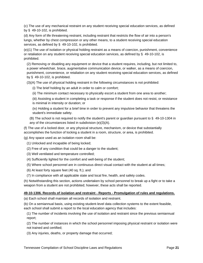(c) The use of any mechanical restraint on any student receiving special education services, as defined by § 49-10-102, is prohibited.

(d) Any form of life threatening restraint, including restraint that restricts the flow of air into a person's lungs, whether by chest compression or any other means, to a student receiving special education services, as defined by § 49-10-102, is prohibited.

(e)(1) The use of isolation or physical holding restraint as a means of coercion, punishment, convenience or retaliation on any student receiving special education services, as defined by § 49-10-102, is prohibited.

(2) Removing or disabling any equipment or device that a student requires, including, but not limited to, a power wheelchair, brace, augmentative communication device, or walker, as a means of coercion, punishment, convenience, or retaliation on any student receiving special education services, as defined by § 49-10-102, is prohibited.

(3)(A) The use of physical holding restraint in the following circumstances is not prohibited:

- (i) The brief holding by an adult in order to calm or comfort;
- (ii) The minimum contact necessary to physically escort a student from one area to another;
- (iii) Assisting a student in completing a task or response if the student does not resist, or resistance is minimal in intensity or duration; or
- (iv) Holding a student for a brief time in order to prevent any impulsive behavior that threatens the student's immediate safety.
- (B) The school is not required to notify the student's parent or guardian pursuant to § 49-10-1304 in any of the circumstances listed in subdivision (e)(3)(A).

(f) The use of a locked door, or any physical structure, mechanism, or device that substantially accomplishes the function of locking a student in a room, structure, or area, is prohibited.

(g) Any space used as an isolation room shall be:

- (1) Unlocked and incapable of being locked;
- (2) Free of any condition that could be a danger to the student;
- (3) Well ventilated and temperature controlled;
- (4) Sufficiently lighted for the comfort and well-being of the student;
- (5) Where school personnel are in continuous direct visual contact with the student at all times;
- (6) At least forty square feet (40 sq. ft.); and
- (7) In compliance with all applicable state and local fire, health, and safety codes.

(h) Notwithstanding this section, actions undertaken by school personnel to break up a fight or to take a weapon from a student are not prohibited; however, these acts shall be reported.

#### **49-10-1306. Records of isolation and restraint - Reports - Promulgation of rules and regulations.**

(a) Each school shall maintain all records of isolation and restraint.

(b) On a semiannual basis, using existing student-level data collection systems to the extent feasible, each school shall submit a report to the local education agency that includes:

(1) The number of incidents involving the use of isolation and restraint since the previous semiannual report;

(2) The number of instances in which the school personnel imposing physical restraint or isolation were not trained and certified;

(3) Any injuries, deaths, or property damage that occurred;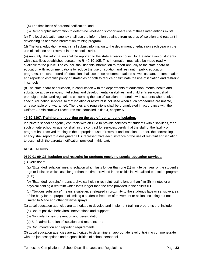- (4) The timeliness of parental notification; and
- (5) Demographic information to determine whether disproportionate use of these interventions exists.

(c) The local education agency shall use the information obtained from records of isolation and restraint in developing its behavior intervention training program.

(d) The local education agency shall submit information to the department of education each year on the use of isolation and restraint in the school district.

(e) Annually, this information shall be reported to the state advisory council for the education of students with disabilities established pursuant to § 49-10-105. This information must also be made readily available to the public. The council shall use this information to report annually to the state board of education with recommendations to reduce the use of isolation and restraint in public education programs. The state board of education shall use these recommendations as well as data, documentation and reports to establish policy or strategies or both to reduce or eliminate the use of isolation and restraint in schools.

(f) The state board of education, in consultation with the departments of education, mental health and substance abuse services, intellectual and developmental disabilities, and children's services, shall promulgate rules and regulations concerning the use of isolation or restraint with students who receive special education services so that isolation or restraint is not used when such procedures are unsafe, unreasonable or unwarranted. The rules and regulations shall be promulgated in accordance with the Uniform Administrative Procedures Act, compiled in title 4, chapter 5.

#### **49-10-1307. Training and reporting on the use of restraint and isolation.**

If a private school or agency contracts with an LEA to provide services for students with disabilities, then such private school or agency shall, in the contract for services, certify that the staff of the facility or program has received training in the appropriate use of restraint and isolation. Further, the contracting agency shall report to a designated LEA representative each instance of the use of restraint and isolation to accomplish the parental notification provided in this part.

#### **REGULATIONS**

#### **0520-01-09-.23. Isolation and restraint for students receiving special education services.**

(1) Definitions:

(a) "Extended isolation" means isolation which lasts longer than one (1) minute per year of the student's age or isolation which lasts longer than the time provided in the child's individualized education program  $(IEP)$ .

(b) "Extended restraint" means a physical holding restraint lasting longer than five (5) minutes or a physical holding a restraint which lasts longer than the time provided in the child's IEP.

(c) "Noxious substance" means a substance released in proximity to the student's face or sensitive area of the body for the purpose of limiting a student's freedom of movement or action, including but not limited to Mace and other defense sprays.

(2) Local education agencies are authorized to develop and implement training programs that include:

- (a) Use of positive behavioral interventions and supports;
- (b) Nonviolent crisis prevention and de-escalation;
- (c) Safe administration of isolation and restraint; and
- (d) Documentation and reporting requirements.

(3) Local education agencies are authorized to determine an appropriate level of training commensurate with the job descriptions and responsibilities of school personnel.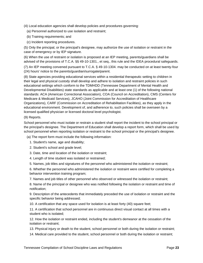(4) Local education agencies shall develop policies and procedures governing:

(a) Personnel authorized to use isolation and restraint;

- (b) Training requirements; and
- (c) Incident reporting procedures.

(5) Only the principal, or the principal's designee, may authorize the use of isolation or restraint in the case of emergency or by IEP signature.

(6) When the use of restraint or isolation is proposed at an IEP meeting, parents/guardians shall be advised of the provisions of T.C.A. §§ 49-10-1301., et seq., this rule and the IDEA procedural safeguards.

(7) An IEP meeting convened pursuant to T.C.A. § 49-10-1304. may be conducted on at least twenty-four (24) hours' notice to the parents/guardian/surrogate/parent.

(8) State agencies providing educational services within a residential therapeutic setting to children in their legal and physical custody shall develop and adhere to isolation and restraint policies in such educational settings which conform to the TDMHDD (Tennessee Department of Mental Health and Developmental Disabilities) state standards as applicable and at least one (1) of the following national standards: ACA (American Correctional Association), COA (Council on Accreditation), CMS (Centers for Medicare & Medicaid Services), JCAHO (Joint Commission for Accreditation of Healthcare Organizations), CARF (Commission on Accreditation of Rehabilitation Facilities), as they apply in the educational environment. Development of, and adherence to, such policies shall be overseen by a licensed qualified physician or licensed doctoral level psychologist.

#### (9) Reports.

School personnel who must isolate or restrain a student shall report the incident to the school principal or the principal's designee. The Department of Education shall develop a report form, which shall be used by school personnel when reporting isolation or restraint to the school principal or the principal's designee.

(a) The report form must include the following information:

- 1. Student's name, age and disability;
- 2. Student's school and grade level;
- 3. Date, time and location of the isolation or restraint;
- 4. Length of time student was isolated or restrained;
- 5. Names, job titles and signatures of the personnel who administered the isolation or restraint;

6. Whether the personnel who administered the isolation or restraint were certified for completing a behavior intervention training program;

7. Names and job titles of other personnel who observed or witnessed the isolation or restraint;

8. Name of the principal or designee who was notified following the isolation or restraint and time of notification;

9. Description of the antecedents that immediately preceded the use of isolation or restraint and the specific behavior being addressed;

10. A certification that any space used for isolation is at least forty (40) square feet;

11. A certification that school personnel are in continuous direct visual contact at all times with a student who is isolated;

12. How the isolation or restraint ended, including the student's demeanor at the cessation of the isolation or restraint;

- 13. Physical injury or death to the student, school personnel or both during the isolation or restraint;
- 14. Medical care provided to the student, school personnel or both during the isolation or restraint;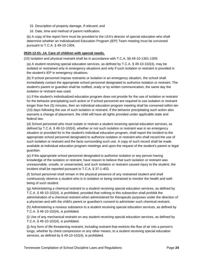- 15. Description of property damage, if relevant; and
- 16. Date, time and method of parent notification.

(b) A copy of the report form must be provided to the LEA's director of special education who shall determine whether an Individualized Education Program (IEP) Team meeting must be convened pursuant to T.C.A. § 49-10-1304.

#### **0520-12-01-.14. Care of children with special needs.**

(10) Isolation and physical restraint shall be in accordance with T.C.A. §§ 49-10-1301-1305:

(a) A student receiving special education services, as defined by T.C.A. § 49-10-102(4), may be isolated or restrained only in emergency situations and only if such isolation or restraint is provided in the student's IEP in emergency situations.

(b) If school personnel impose restraints or isolation in an emergency situation, the school shall immediately contact the appropriate school personnel designated to authorize isolation or restraint. The student's parent or guardian shall be notified, orally or by written communication, the same day the isolation or restraint was used.

(c) If the student's individualized education program does not provide for the use of isolation or restraint for the behavior precipitating such action or if school personnel are required to use isolation or restraint longer than five (5) minutes, then an individual education program meeting shall be convened within ten (10) days following the use of such isolation or restraint. If the behavior precipitating such action also warrants a change of placement, the child will have all rights provided under applicable state and federal law.

(d) School personnel who must isolate or restrain a student receiving special education services, as defined by T.C.A. § 49-10-102(4), whether or not such isolation or restraint was in an emergency situation or provided for in the student's individual education program, shall report the incident to the appropriate school personnel designated to authorize isolation or restraint who shall record the use of such isolation or restraint and the facts surrounding such use. A copy of such record shall be made available at individual education program meetings and upon the request of the student's parent or legal guardian.

(e) If the appropriate school personnel designated to authorize isolation or any person having knowledge of the isolation or restraint, have reason to believe that such isolation or restraint was unreasonable, unsafe, or unwarranted, and such isolation or restraint caused injury to the student, the incident shall be reported pursuant to T.C.A. § 37-1-403.

(f) School personnel shall remain in the physical presence of any restrained student and shall continuously observe a student who is in isolation or being restrained to monitor the health and wellbeing of such student.

(g) Administering a chemical restraint to a student receiving special education services, as defined by T.C.A. § 49-10-102(4), is prohibited, provided that nothing in this subsection shall prohibit the administration of a chemical restraint when administered for therapeutic purposes under the direction of a physician and with the child's parent or guardian's consent to administer such chemical restraint.

(h) Administering a noxious substance to a student receiving special education services, as defined by T.C.A. § 49-10-102(4), is prohibited.

(i) Use of any mechanical restraint on any student receiving special education services, as defined by T.C.A. § 49-10-102(4), is prohibited.

(j) Any form of life threatening restraint, including restraint that restricts the flow of air into a person's lungs, whether by chest compression or any other means, to a student receiving special education services, as defined by § 49-10-102(4), is prohibited.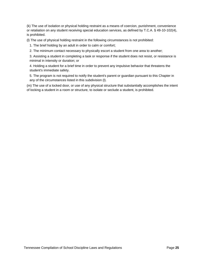(k) The use of isolation or physical holding restraint as a means of coercion, punishment, convenience or retaliation on any student receiving special education services, as defined by T.C.A. § 49-10-102(4), is prohibited.

(l) The use of physical holding restraint in the following circumstances is not prohibited:

1. The brief holding by an adult in order to calm or comfort;

2. The minimum contact necessary to physically escort a student from one area to another;

3. Assisting a student in completing a task or response if the student does not resist, or resistance is minimal in intensity or duration; or

4. Holding a student for a brief time in order to prevent any impulsive behavior that threatens the student's immediate safety.

5. The program is not required to notify the student's parent or guardian pursuant to this Chapter in any of the circumstances listed in this subdivision (l).

(m) The use of a locked door, or use of any physical structure that substantially accomplishes the intent of locking a student in a room or structure, to isolate or seclude a student, is prohibited.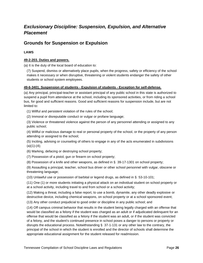# <span id="page-29-0"></span>*Exclusionary Discipline: Suspension, Expulsion, and Alternative Placement*

# <span id="page-29-1"></span>**Grounds for Suspension or Expulsion**

# **LAWS**

# **49-2-203. Duties and powers.**

(a) It is the duty of the local board of education to:

(7) Suspend, dismiss or alternatively place pupils, when the progress, safety or efficiency of the school makes it necessary or when disruptive, threatening or violent students endanger the safety of other students or school system employees.

## **49-6-3401. Suspension of students - Expulsion of students - Exception for self-defense.**

(a) Any principal, principal-teacher or assistant principal of any public school in this state is authorized to suspend a pupil from attendance at the school, including its sponsored activities, or from riding a school bus, for good and sufficient reasons. Good and sufficient reasons for suspension include, but are not limited to:

(1) Willful and persistent violation of the rules of the school;

(2) Immoral or disreputable conduct or vulgar or profane language;

(3) Violence or threatened violence against the person of any personnel attending or assigned to any public school;

(4) Willful or malicious damage to real or personal property of the school, or the property of any person attending or assigned to the school;

(5) Inciting, advising or counseling of others to engage in any of the acts enumerated in subdivisions  $(a)(1)-(4);$ 

(6) Marking, defacing or destroying school property;

(7) Possession of a pistol, gun or firearm on school property;

(8) Possession of a knife and other weapons, as defined in § 39-17-1301 on school property;

(9) Assaulting a principal, teacher, school bus driver or other school personnel with vulgar, obscene or threatening language;

(10) Unlawful use or possession of barbital or legend drugs, as defined in § 53-10-101;

(11) One (1) or more students initiating a physical attack on an individual student on school property or at a school activity, including travel to and from school or a school activity;

(12) Making a threat, including a false report, to use a bomb, dynamite, any other deadly explosive or destructive device, including chemical weapons, on school property or at a school sponsored event;

(13) Any other conduct prejudicial to good order or discipline in any public school; and

(14) Off campus criminal behavior that results in the student being legally charged with an offense that would be classified as a felony if the student was charged as an adult or if adjudicated delinquent for an offense that would be classified as a felony if the student was an adult, or if the student was convicted of a felony, and the student's continued presence in school poses a danger to persons or property or disrupts the educational process. Notwithstanding § 37-1-131 or any other law to the contrary, the principal of the school in which the student is enrolled and the director of schools shall determine the appropriate educational assignment for the student released for readmission.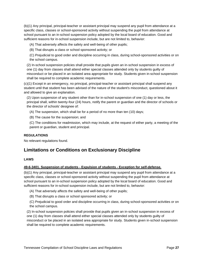(b)(1) Any principal, principal-teacher or assistant principal may suspend any pupil from attendance at a specific class, classes or school-sponsored activity without suspending the pupil from attendance at school pursuant to an in-school suspension policy adopted by the local board of education. Good and sufficient reasons for in-school suspension include, but are not limited to, behavior:

(A) That adversely affects the safety and well-being of other pupils;

(B) That disrupts a class or school sponsored activity; or

(C) Prejudicial to good order and discipline occurring in class, during school-sponsored activities or on the school campus.

(2) In-school suspension policies shall provide that pupils given an in-school suspension in excess of one (1) day from classes shall attend either special classes attended only by students guilty of misconduct or be placed in an isolated area appropriate for study. Students given in-school suspension shall be required to complete academic requirements.

(c)(1) Except in an emergency, no principal, principal-teacher or assistant principal shall suspend any student until that student has been advised of the nature of the student's misconduct, questioned about it and allowed to give an explanation.

(2) Upon suspension of any student other than for in-school suspension of one (1) day or less, the principal shall, within twenty-four (24) hours, notify the parent or guardian and the director of schools or the director of schools' designee of:

(A) The suspension, which shall be for a period of no more than ten (10) days;

(B) The cause for the suspension; and

(C) The conditions for readmission, which may include, at the request of either party, a meeting of the parent or guardian, student and principal.

#### **REGULATIONS**

No relevant regulations found.

# <span id="page-30-0"></span>**Limitations or Conditions on Exclusionary Discipline**

#### **LAWS**

#### **49-6-3401. Suspension of students - Expulsion of students - Exception for self-defense.**

(b)(1) Any principal, principal-teacher or assistant principal may suspend any pupil from attendance at a specific class, classes or school-sponsored activity without suspending the pupil from attendance at school pursuant to an in-school suspension policy adopted by the local board of education. Good and sufficient reasons for in-school suspension include, but are not limited to, behavior:

- (A) That adversely affects the safety and well-being of other pupils;
- (B) That disrupts a class or school sponsored activity; or

(C) Prejudicial to good order and discipline occurring in class, during school-sponsored activities or on the school campus.

(2) In-school suspension policies shall provide that pupils given an in-school suspension in excess of one (1) day from classes shall attend either special classes attended only by students guilty of misconduct or be placed in an isolated area appropriate for study. Students given in-school suspension shall be required to complete academic requirements.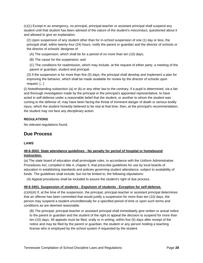(c)(1) Except in an emergency, no principal, principal-teacher or assistant principal shall suspend any student until that student has been advised of the nature of the student's misconduct, questioned about it and allowed to give an explanation.

(2) Upon suspension of any student other than for in-school suspension of one (1) day or less, the principal shall, within twenty-four (24) hours, notify the parent or guardian and the director of schools or the director of schools' designee of:

- (A) The suspension, which shall be for a period of no more than ten (10) days;
- (B) The cause for the suspension; and

(C) The conditions for readmission, which may include, at the request of either party, a meeting of the parent or guardian, student and principal.

(3) If the suspension is for more than five (5) days, the principal shall develop and implement a plan for improving the behavior, which shall be made available for review by the director of schools upon request. [...]

(i) Notwithstanding subsection (a) or (b) or any other law to the contrary, if a pupil is determined, via a fair and thorough investigation made by the principal or the principal's appointed representative, to have acted in self-defense under a reasonable belief that the student, or another to whom the student was coming to the defense of, may have been facing the threat of imminent danger of death or serious bodily injury, which the student honestly believed to be real at that time, then, at the principal's recommendation, the student may not face any disciplinary action.

# **REGULATIONS**

No relevant regulations found.

# <span id="page-31-0"></span>**Due Process**

#### **LAWS**

## **49-6-3002. State attendance guidelines - No penalty for period of hospital or homebound instruction.**

(a) The state board of education shall promulgate rules, in accordance with the Uniform Administrative Procedures Act, compiled in title 4, chapter 5, that prescribe guidelines for use by local boards of education in establishing standards and policies governing student attendance, subject to availability of funds. The guidelines shall include, but not be limited to, the following stipulations:

(4) Appeal procedures shall be included to assure the student's right of due process.

#### **49-6-3401. Suspension of students - Expulsion of students - Exception for self-defense.**

(c)(4)(A) If, at the time of the suspension, the principal, principal-teacher or assistant principal determines that an offense has been committed that would justify a suspension for more than ten (10) days, the person may suspend a student unconditionally for a specified period of time or upon such terms and conditions as are deemed reasonable.

(B) The principal, principal-teacher or assistant principal shall immediately give written or actual notice to the parent or guardian and the student of the right to appeal the decision to suspend for more than ten (10) days. All appeals must be filed, orally or in writing, within five (5) days after receipt of the notice and may be filed by the parent or guardian, the student or any person holding a teaching license who is employed by the school system if requested by the student.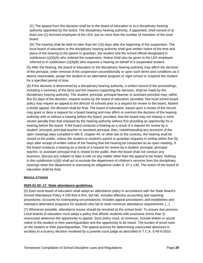(C) The appeal from this decision shall be to the board of education or to a disciplinary hearing authority appointed by the board. The disciplinary hearing authority, if appointed, shall consist of at least one (1) licensed employee of the LEA, but no more than the number of members of the local board.

(D) The hearing shall be held no later than ten (10) days after the beginning of the suspension. The local board of education or the disciplinary hearing authority shall give written notice of the time and place of the hearing to the parent or guardian, the student and the school official designated in subdivision (c)(4)(A) who ordered the suspension. Notice shall also be given to the LEA employee referred to in subdivision (c)(4)(B) who requests a hearing on behalf of a suspended student.

(5) After the hearing, the board of education or the disciplinary hearing authority may affirm the decision of the principal, order removal of the suspension unconditionally or upon such terms and conditions as it deems reasonable, assign the student to an alternative program or night school or suspend the student for a specified period of time.

(6) If the decision is determined by a disciplinary hearing authority, a written record of the proceedings, including a summary of the facts and the reasons supporting the decision, shall be made by the disciplinary hearing authority. The student, principal, principal-teacher or assistant principal may, within five (5) days of the decision, request review by the board of education; provided, that local school board policy may require an appeal to the director of schools prior to a request for review to the board. Absent a timely appeal, the decision shall be final. The board of education, based upon a review of the record, may grant or deny a request for a board hearing and may affirm or overturn the decision of the hearing authority with or without a hearing before the board; provided, that the board may not impose a more severe penalty than that imposed by the hearing authority without first providing an opportunity for a hearing before the board. If the board conducts a hearing as a result of a request for review by a student, principal, principal-teacher or assistant principal, then, notwithstanding any provision of the open meetings laws compiled in title 8, chapter 44, or other law to the contrary, the hearing shall be closed to the public, unless the student or student's parent or guardian requests in writing within five (5) days after receipt of written notice of the hearing that the hearing be conducted as an open meeting. If the board conducts a hearing as a result of a request for review by a student, principal, principalteacher, or assistant principal that is closed to the public, then the board shall not conduct any business, discuss any subject or take a vote on any matter other than the appeal to be heard. Nothing in this subdivision (c)(6) shall act to exclude the department of children's services from the disciplinary hearings when the department is exercising its obligations under § 37-1-140. The action of the board of education shall be final.

#### **REGULATIONS**

#### **0520-01-02-.17. State attendance guidelines.**

(5) Each local board of education shall adopt an attendance policy in accordance with the State Board's School Attendance Policy 4.100 that is firm, but fair; includes effective accounting and reporting procedures; accounts for extenuating circumstances; includes appeal procedures; and establishes and maintains alternative programs for students who fail to meet minimum attendance requirements. [...]

(7) Whenever possible, attendance issues should be resolved at the school level. To ensure due process, Local boards of education must adopt a policy that affords students with excessive (more than 5) unexcused absences the opportunity to appeal. Such policy must, at minimum, include written or actual notice to the student or their parent/guardian and the opportunity to be heard. The burden of proof rests on the student or their parent/guardian. The appeal process for determining unexcused absences is ancillary to a truancy decision rendered by a juvenile court judge as described in T.C.A. § 49-6-3010.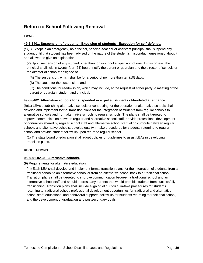# <span id="page-33-0"></span>**Return to School Following Removal**

# **LAWS**

#### **49-6-3401. Suspension of students - Expulsion of students - Exception for self-defense.**

(c)(1) Except in an emergency, no principal, principal-teacher or assistant principal shall suspend any student until that student has been advised of the nature of the student's misconduct, questioned about it and allowed to give an explanation.

(2) Upon suspension of any student other than for in-school suspension of one (1) day or less, the principal shall, within twenty-four (24) hours, notify the parent or guardian and the director of schools or the director of schools' designee of:

(A) The suspension, which shall be for a period of no more than ten (10) days;

(B) The cause for the suspension; and

(C) The conditions for readmission, which may include, at the request of either party, a meeting of the parent or guardian, student and principal.

#### **49-6-3402. Alternative schools for suspended or expelled students - Mandated attendance.**

(h)(1) LEAs establishing alternative schools or contracting for the operation of alternative schools shall develop and implement formal transition plans for the integration of students from regular schools to alternative schools and from alternative schools to regular schools. The plans shall be targeted to improve communication between regular and alternative school staff, provide professional development opportunities shared by regular school staff and alternative school staff, align curricula between regular schools and alternative schools, develop quality in-take procedures for students returning to regular school and provide student follow-up upon return to regular school.

(2) The state board of education shall adopt policies or guidelines to assist LEAs in developing transition plans.

#### **REGULATIONS**

#### **0520-01-02-.09. Alternative schools.**

(9) Requirements for alternative education:

(m) Each LEA shall develop and implement formal transition plans for the integration of students from a traditional school to an alternative school or from an alternative school back to a traditional school. Transition plans shall be targeted to improve communication between a traditional school and an alternative school staff and should address any barriers that would prohibit students from successfully transitioning. Transition plans shall include aligning of curricula, in-take procedures for students returning to traditional school, professional development opportunities for traditional and alternative school staff, educational and behavioral supports, follow-up for students returning to traditional school, and the development of graduation and postsecondary goals.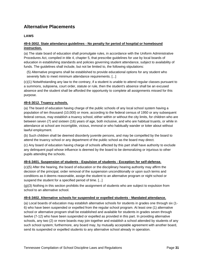# <span id="page-34-0"></span>**Alternative Placements**

## **LAWS**

# **49-6-3002. State attendance guidelines - No penalty for period of hospital or homebound instruction.**

(a) The state board of education shall promulgate rules, in accordance with the Uniform Administrative Procedures Act, compiled in title 4, chapter 5, that prescribe guidelines for use by local boards of education in establishing standards and policies governing student attendance, subject to availability of funds. The guidelines shall include, but not be limited to, the following stipulations:

(5) Alternative programs shall be established to provide educational options for any student who severely fails to meet minimum attendance requirements. [...]

(c)(1) Notwithstanding any law to the contrary, if a student is unable to attend regular classes pursuant to a summons, subpoena, court order, statute or rule, then the student's absence shall be an excused absence and the student shall be afforded the opportunity to complete all assignments missed for this purpose.

#### **49-6-3012. Truancy schools.**

(a) The board of education having charge of the public schools of any local school system having a population of ten thousand (10,000) or more, according to the federal census of 1950 or any subsequent federal census, may establish a truancy school, either within or without the city limits, for children who are between seven (7) and sixteen (16) years of age, both inclusive, and who are habitual truants, or while in attendance at school are incorrigible, vicious, immoral or who habitually wander or loiter about without lawful employment.

(b) Such children shall be deemed disorderly juvenile persons, and may be compelled by the board to attend the truancy school or any department of the public school as the board may direct.

(c) Any board of education having charge of schools affected by this part shall have authority to exclude any delinquent pupil whose influence is deemed by the board to be demoralizing or injurious to other pupils attending the schools.

#### **49-6-3401. Suspension of students - Expulsion of students - Exception for self-defense.**

(c)(5) After the hearing, the board of education or the disciplinary hearing authority may affirm the decision of the principal, order removal of the suspension unconditionally or upon such terms and conditions as it deems reasonable, assign the student to an alternative program or night school or suspend the student for a specified period of time. [...]

(g)(3) Nothing in this section prohibits the assignment of students who are subject to expulsion from school to an alternative school.

#### **49-6-3402. Alternative schools for suspended or expelled students - Mandated attendance.**

(a) Local boards of education may establish alternative schools for students in grades one through six (1- 6) who have been suspended or expelled from the regular school program. At least one (1) alternative school or alternative program shall be established and available for students in grades seven through twelve (7-12) who have been suspended or expelled as provided in this part. In providing alternative schools, any two (2) or more boards may join together and establish a school attended by students of any such school system; furthermore, any board may, by mutually acceptable agreement with another board, send its suspended or expelled students to any alternative school already in operation.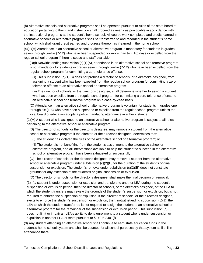(b) Alternative schools and alternative programs shall be operated pursuant to rules of the state board of education pertaining to them, and instruction shall proceed as nearly as practicable in accordance with the instructional programs at the student's home school. All course work completed and credits earned in alternative schools or alternative programs shall be transferred to and recorded in the student's home school, which shall grant credit earned and progress thereon as if earned in the home school.

(c)(1)(A) Attendance in an alternative school or alternative program is mandatory for students in grades seven through twelve (7-12) who have been suspended for more than ten (10) days or expelled from the regular school program if there is space and staff available.

(B)(i) Notwithstanding subdivision (c)(1)(A), attendance in an alternative school or alternative program is not mandatory for students in grades seven through twelve (7-12) who have been expelled from the regular school program for committing a zero tolerance offense.

(ii) This subdivision (c)(1)(B) does not prohibit a director of schools, or a director's designee, from assigning a student who has been expelled from the regular school program for committing a zero tolerance offense to an alternative school or alternative program.

(iii) The director of schools, or the director's designee, shall determine whether to assign a student who has been expelled from the regular school program for committing a zero tolerance offense to an alternative school or alternative program on a case-by-case basis.

(C) Attendance in an alternative school or alternative program is voluntary for students in grades one through six (1-6) who have been suspended or expelled from the regular school program unless the local board of education adopts a policy mandating attendance in either instance.

(2)(A) A student who is assigned to an alternative school or alternative program is subject to all rules pertaining to the alternative school or alternative program.

(B) The director of schools, or the director's designee, may remove a student from the alternative school or alternative program if the director, or the director's designee, determines that:

(i) The student has violated the rules of the alternative school or alternative program; or

(ii) The student is not benefiting from the student's assignment to the alternative school or alternative program, and all interventions available to help the student to succeed in the alternative school or alternative program have been exhausted unsuccessfully.

(C) The director of schools, or the director's designee, may remove a student from the alternative school or alternative program under subdivision (c)(2)(B) for the duration of the student's original suspension or expulsion. The student's removal under subdivision (c)(2)(B) does not constitute grounds for any extension of the student's original suspension or expulsion.

(D) The director of schools, or the director's designee, shall make the final decision on removal.

(3) If a student is under suspension or expulsion and transfers to another LEA during the student's suspension or expulsion period, then the director of schools, or the director's designee, of the LEA to which the student transfers may review the grounds of the student's suspension or expulsion, but is not required to enforce the suspension or expulsion. If the director of schools, or the director's designee, elects to enforce the student's suspension or expulsion, then, notwithstanding subdivision (c)(1), the LEA to which the student transferred is not required to assign the student to an alternative school or alternative program for the remainder of the suspension or expulsion period. This subdivision (c)(3) does not limit or impair an LEA's ability to deny enrollment to a student who is under suspension or expulsion in another LEA or state pursuant to § 49-6-3401(f).

(d) Any student attending an alternative school shall continue to earn state education funds in the student's home school system and shall be counted for all school purposes by that system as if still in attendance there.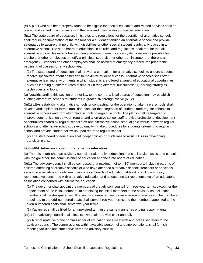(e) A pupil who has been properly found to be eligible for special education and related services shall be placed and served in accordance with the laws and rules relating to special education.

(f)(1) The state board of education, in its rules and regulations for the operation of alternative schools, shall require documentation of the reasons for a student attending an alternative school and provide safeguards to assure that no child with disabilities or other special student is arbitrarily placed in an alternative school. The state board of education, in its rules and regulations, shall require that all alternative school classrooms have working two-way communication systems making it possible for teachers or other employees to notify a principal, supervisor or other administrator that there is an emergency. Teachers and other employees shall be notified of emergency procedures prior to the beginning of classes for any school year.

(2) The state board of education shall provide a curriculum for alternative schools to ensure students receive specialized attention needed to maximize student success. Alternative schools shall offer alternative learning environments in which students are offered a variety of educational opportunities, such as learning at different rates of time or utilizing different, but successful, learning strategies, techniques and tools.

(g) Notwithstanding this section or other law to the contrary, local boards of education may establish evening alternative schools for students in grades six through twelve (6-12).

(h)(1) LEAs establishing alternative schools or contracting for the operation of alternative schools shall develop and implement formal transition plans for the integration of students from regular schools to alternative schools and from alternative schools to regular schools. The plans shall be targeted to improve communication between regular and alternative school staff, provide professional development opportunities shared by regular school staff and alternative school staff, align curricula between regular schools and alternative schools, develop quality in-take procedures for students returning to regular school and provide student follow-up upon return to regular school.

(2) The state board of education shall adopt policies or guidelines to assist LEAs in developing transition plans.

#### **49-6-3404. Advisory council for alternative education.**

(a) There is established an advisory council for alternative education that shall advise, assist and consult with the governor, the commissioner of education and the state board of education.

(b)(1) The advisory council shall be composed of a maximum of ten (10) members, including parents of children attending alternative schools or who have attended alternative schools, teachers or principals serving in alternative schools, members of local boards of education, at least one (1) community representative concerned with alternative education and at least one (1) representative of an educators' association concerned with alternative education.

(2) The governor shall appoint the members of the advisory council for three-year terms, except for the appointment of the initial members. In appointing the initial members to the advisory council, each member shall be designated as filling an odd-numbered seat or an even-numbered seat. The members appointed to the odd-numbered seats shall serve three-year terms and the members appointed to the even-numbered seats shall serve two-year terms.

(3) Vacancies shall be filled for an unexpired term in the same manner as original appointments.

(c)(1) The advisory council shall elect its own chair and vice chair annually.

(2) A representative of the commissioner of education shall meet with and act as secretary to the advisory council. The commissioner, within available personnel and appropriations, shall furnish meeting facilities and staff services for the advisory council.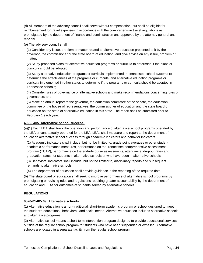(d) All members of the advisory council shall serve without compensation, but shall be eligible for reimbursement for travel expenses in accordance with the comprehensive travel regulations as promulgated by the department of finance and administration and approved by the attorney general and reporter.

(e) The advisory council shall:

(1) Consider any issue, problem or matter related to alternative education presented to it by the governor, the commissioner or the state board of education, and give advice on any issue, problem or matter;

(2) Study proposed plans for alternative education programs or curricula to determine if the plans or curricula should be adopted;

(3) Study alternative education programs or curricula implemented in Tennessee school systems to determine the effectiveness of the programs or curricula, and alternative education programs or curricula implemented in other states to determine if the programs or curricula should be adopted in Tennessee schools;

(4) Consider rules of governance of alternative schools and make recommendations concerning rules of governance; and

(5) Make an annual report to the governor, the education committee of the senate, the education committee of the house of representatives, the commissioner of education and the state board of education on the state of alternative education in this state. The report shall be submitted prior to February 1 each year.

### **49-6-3405. Alternative school success.**

(a)(1) Each LEA shall track the operation and performance of alternative school programs operated by the LEA or contractually operated for the LEA. LEAs shall measure and report to the department of education alternative school success through academic indicators and behavior indicators.

(2) Academic indicators shall include, but not be limited to, grade point averages or other student academic performance measures, performance on the Tennessee comprehensive assessment program (TCAP), performance on the end-of-course assessments, attendance, dropout rates and graduation rates, for students in alternative schools or who have been in alternative schools.

(3) Behavioral indicators shall include, but not be limited to, disciplinary reports and subsequent remands to alternative schools.

(4) The department of education shall provide guidance in the reporting of the required data.

(b) The state board of education shall seek to improve performance of alternative school programs by promulgating or revising rules and regulations requiring greater accountability by the department of education and LEAs for outcomes of students served by alternative schools.

## **REGULATIONS**

#### **0520-01-02-.09. Alternative schools.**

(1) Alternative education is a non-traditional, short-term academic program or school designed to meet the student's educational, behavioral, and social needs. Alternative education includes alternative schools and alternative programs.

(2) Alternative school means a short-term intervention program designed to provide educational services outside of the regular school program for students who have been suspended or expelled. Alternative schools are located in a separate facility from the regular school program.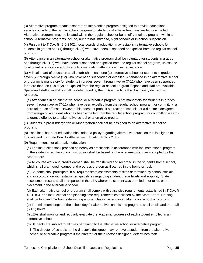(3) Alternative program means a short-term intervention program designed to provide educational services outside of the regular school program for students who have been suspended or expelled. Alternative programs may be located within the regular school or be a self-contained program within a school. Alternative programs include, but are not limited to, night schools or in-school suspension.

(4) Pursuant to T.C.A. § 49-6-3402., local boards of education may establish alternative schools for students in grades one (1) through six (6) who have been suspended or expelled from the regular school program.

(5) Attendance in an alternative school or alternative program shall be voluntary for students in grades one through six (1-6) who have been suspended or expelled from the regular school program, unless the local board of education adopts a policy mandating attendance in either instance.

(6) A local board of education shall establish at least one (1) alternative school for students in grades seven (7) through twelve (12) who have been suspended or expelled. Attendance in an alternative school or program is mandatory for students in grades seven through twelve (7-12) who have been suspended for more than ten (10) days or expelled from the regular school program if space and staff are available. Space and staff availability shall be determined by the LEA at the time the disciplinary decision is rendered.

(a) Attendance in an alternative school or alternative program is not mandatory for students in grades seven through twelve (7-12) who have been expelled from the regular school program for committing a zero-tolerance offense. However, this does not prohibit a director of schools, or a director's designee, from assigning a student who has been expelled from the regular school program for committing a zerotolerance offense to an alternative school or alternative program.

(7) Students in pre-Kindergarten or Kindergarten shall not be assigned to an alternative school or program.

(8) Each local board of education shall adopt a policy regarding alternative education that is aligned to this rule and the State Board's Alternative Education Policy 2.302.

(9) Requirements for alternative education:

(a) The instruction shall proceed as nearly as practicable in accordance with the instructional program in the student's regular school. Instruction shall be based on the academic standards adopted by the State Board.

(b) All course work and credits earned shall be transferred and recorded in the student's home school, which shall grant credit earned and progress thereon as if earned in the home school.

(c) Students shall participate in all required state assessments at sites determined by school officials and in accordance with established guidelines regarding student grade levels and eligibility. State assessment results shall be reported in the LEA where the student was enrolled prior to his or her placement in the alternative school.

(d) Each alternative school or program shall comply with class size requirements established in T.C.A. § 49-1-104. and instructional and planning time requirements established by the State Board. Nothing shall prohibit an LEA from establishing a lower class size ratio in an alternative school or program.

(e) The minimum length of the school day for alternative schools and programs shall be six and one-half (6 1/2) hours.

(f) LEAs shall monitor and regularly evaluate the academic progress of each student enrolled in an alternative school.

(g) Students are subject to all rules pertaining to the alternative school or alternative program.

1. The director of schools, or the director's designee, may remove a student from the alternative school or alternative program if the director, or the director's designee, determines that: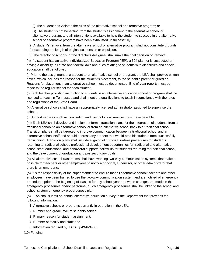(i) The student has violated the rules of the alternative school or alternative program; or

(ii) The student is not benefiting from the student's assignment to the alternative school or alternative program, and all interventions available to help the student to succeed in the alternative school or alternative program have been exhausted unsuccessfully.

2. A student's removal from the alternative school or alternative program shall not constitute grounds for extending the length of original suspension or expulsion.

3. The director of schools, or the director's designee, shall make the final decision on removal.

(h) If a student has an active Individualized Education Program (IEP), a 504 plan, or is suspected of having a disability, all state and federal laws and rules relating to students with disabilities and special education shall be followed.

(i) Prior to the assignment of a student to an alternative school or program, the LEA shall provide written notice, which includes the reason for the student's placement, to the student's parent or guardian. Reasons for placement in an alternative school must be documented. End of year reports must be made to the regular school for each student.

(j) Each teacher providing instruction to students in an alternative education school or program shall be licensed to teach in Tennessee and shall meet the qualifications to teach in compliance with the rules and regulations of the State Board.

(k) Alternative schools shall have an appropriately licensed administrator assigned to supervise the school.

(l) Support services such as counseling and psychological services must be accessible.

(m) Each LEA shall develop and implement formal transition plans for the integration of students from a traditional school to an alternative school or from an alternative school back to a traditional school. Transition plans shall be targeted to improve communication between a traditional school and an alternative school staff and should address any barriers that would prohibit students from successfully transitioning. Transition plans shall include aligning of curricula, in-take procedures for students returning to traditional school, professional development opportunities for traditional and alternative school staff, educational and behavioral supports, follow-up for students returning to traditional school, and the development of graduation and postsecondary goals.

(n) All alternative school classrooms shall have working two-way communication systems that make it possible for teachers or other employees to notify a principal, supervisor, or other administrator that there is an emergency.

(o) It is the responsibility of the superintendent to ensure that all alternative school teachers and other employees have been trained to use the two-way communication system and are notified of emergency procedures prior to the beginning of classes for any school year and when changes are made in the emergency procedures and/or personnel. Such emergency procedures shall be linked to the school and school system emergency preparedness plan.

(p) LEAs shall submit an annual alternative education survey to the Department that provides the following information:

1. Alternative schools or programs currently in operation in the LEA;

- 2. Number and grade level of students served;
- 3. Primary reason for student assignment;
- 4. Number of faculty and staff; and
- 5. Information required by T.C.A. § 49-6-3405.

(10) Funding: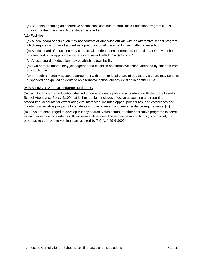(a) Students attending an alternative school shall continue to earn Basic Education Program (BEP) funding for the LEA in which the student is enrolled.

(11) Facilities:

(a) A local board of education may not contract or otherwise affiliate with an alternative school program which requires an order of a court as a precondition of placement in such alternative school.

(b) A local board of education may contract with independent contractors to provide alternative school facilities and other appropriate services consistent with T.C.A. § 49-2-203.

(c) A local board of education may establish its own facility.

(d) Two or more boards may join together and establish an alternative school attended by students from any such LEA.

(e) Through a mutually accepted agreement with another local board of education, a board may send its suspended or expelled students to an alternative school already existing in another LEA.

### **0520-01-02-.17. State attendance guidelines.**

(5) Each local board of education shall adopt an attendance policy in accordance with the State Board's School Attendance Policy 4.100 that is firm, but fair; includes effective accounting and reporting procedures; accounts for extenuating circumstances; includes appeal procedures; and establishes and maintains alternative programs for students who fail to meet minimum attendance requirements. [...]

(8) LEAs are encouraged to develop truancy boards, youth courts, or other alternative programs to serve as an intervention for students with excessive absences. These may be in addition to, or a part of, the progressive truancy intervention plan required by T.C.A. § 49-6-3009.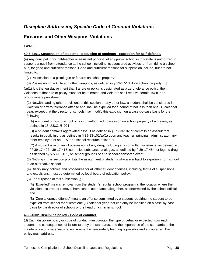# *Discipline Addressing Specific Code of Conduct Violations*

## **Firearms and Other Weapons Violations**

## **LAWS**

## **49-6-3401. Suspension of students - Expulsion of students - Exception for self-defense.**

(a) Any principal, principal-teacher or assistant principal of any public school in this state is authorized to suspend a pupil from attendance at the school, including its sponsored activities, or from riding a school bus, for good and sufficient reasons. Good and sufficient reasons for suspension include, but are not limited to:

(7) Possession of a pistol, gun or firearm on school property;

(8) Possession of a knife and other weapons, as defined in § 39-17-1301 on school property [...]

 $(q)(1)$  It is the legislative intent that if a rule or policy is designated as a zero tolerance policy, then violations of that rule or policy must not be tolerated and violators shall receive certain, swift, and proportionate punishment.

(2) Notwithstanding other provisions of this section or any other law, a student shall be considered in violation of a zero tolerance offense and shall be expelled for a period of not less than one (1) calendar year, except that the director of schools may modify this expulsion on a case-by-case basis for the following:

(A) A student brings to school or is in unauthorized possession on school property of a firearm, as defined in 18 U.S.C. § 921;

(B) A student commits aggravated assault as defined in § 39-13-102 or commits an assault that results in bodily injury as defined in § 39-13-101(a)(1) upon any teacher, principal, administrator, any other employee of an LEA, or a school resource officer; or

(C) A student is in unlawful possession of any drug, including any controlled substance, as defined in §§ 39-17-402 - 39-17-415, controlled substance analogue, as defined by § 39-17-454, or legend drug, as defined by § 53-10-101, on school grounds or at a school-sponsored event.

(3) Nothing in this section prohibits the assignment of students who are subject to expulsion from school to an alternative school.

(4) Disciplinary policies and procedures for all other student offenses, including terms of suspensions and expulsions, must be determined by local board of education policy.

(5) For purposes of this subsection (g):

(A) "Expelled" means removal from the student's regular school program at the location where the violation occurred or removal from school attendance altogether, as determined by the school official; and

(B) "Zero tolerance offense" means an offense committed by a student requiring the student to be expelled from school for at least one (1) calendar year that can only be modified on a case-by-case basis by the director of schools or the head of a charter school.

## **49-6-4002. Discipline policy - Code of conduct.**

(d) Each discipline policy or code of conduct must contain the type of behavior expected from each student, the consequences of failure to obey the standards, and the importance of the standards to the maintenance of a safe learning environment where orderly learning is possible and encouraged. Each policy must address: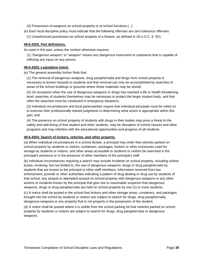(4) Possession of weapons on school property or at school functions [...]

(e) Each local discipline policy must indicate that the following offenses are zero tolerance offenses:

(1) Unauthorized possession on school property of a firearm, as defined in 18 U.S.C. § 921.

## **49-6-4202. Part definitions.**

As used in this part, unless the context otherwise requires:

(1) "Dangerous weapon" or "weapon" means any dangerous instrument or substance that is capable of inflicting any injury on any person.

## **49-6-4203. Legislative intent.**

(e) The general assembly further finds that:

(1) The removal of dangerous weapons, drug paraphernalia and drugs from school property is necessary to lessen hazards to students and that removal can only be accomplished by searches of areas of the school buildings or grounds where those materials may be stored;

(2) On occasions when the use of dangerous weapons or drugs has reached a life or health threatening level, searches of students themselves may be necessary to protect the larger student body, and that often the searches must be conducted in emergency situations;

(3) Individual circumstances and local particularities require that individual principals must be relied on to exercise their professionally trained judgments in determining what action is appropriate within this part; and

(4) The presence on school property of students with drugs in their bodies may pose a threat to the safety and well-being of that student and other students, may be disruptive of school classes and other programs and may interfere with the educational opportunities and progress of all students.

## **49-6-4204. Search of lockers, vehicles, and other property.**

(a) When individual circumstances in a school dictate, a principal may order that vehicles parked on school property by students or visitors, containers, packages, lockers or other enclosures used for storage by students or visitors, and other areas accessible to students or visitors be searched in the principal's presence or in the presence of other members of the principal's staff.

(b) Individual circumstances requiring a search may include incidents on school property, including school buses, involving, but not limited to, the use of dangerous weapons, drugs or drug paraphernalia by students that are known to the principal or other staff members, information received from law enforcement, juvenile or other authorities indicating a pattern of drug dealing or drug use by students of that school, any assault or attempted assault on school property with dangerous weapons or any other actions or incidents known by the principal that give rise to reasonable suspicion that dangerous weapons, drugs or drug paraphernalia are held on school property by one (1) or more students.

(c) A notice shall be posted in the school that lockers and other storage areas, containers, and packages brought into the school by students or visitors are subject to search for drugs, drug paraphernalia, dangerous weapons or any property that is not properly in the possession of the student.

(d) A notice shall be posted where it is visible from the school parking lot that vehicles parked on school property by students or visitors are subject to search for drugs, drug paraphernalia or dangerous weapons.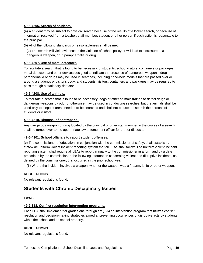### **49-6-4205. Search of students.**

(a) A student may be subject to physical search because of the results of a locker search, or because of information received from a teacher, staff member, student or other person if such action is reasonable to the principal.

(b) All of the following standards of reasonableness shall be met:

(2) The search will yield evidence of the violation of school policy or will lead to disclosure of a dangerous weapon, drug paraphernalia or drug.

## **49-6-4207. Use of metal detectors.**

To facilitate a search that is found to be necessary of students, school visitors, containers or packages, metal detectors and other devices designed to indicate the presence of dangerous weapons, drug paraphernalia or drugs may be used in searches, including hand-held models that are passed over or around a student's or visitor's body, and students, visitors, containers and packages may be required to pass through a stationary detector.

### **49-6-4208. Use of animals.**

To facilitate a search that is found to be necessary, dogs or other animals trained to detect drugs or dangerous weapons by odor or otherwise may be used in conducting searches, but the animals shall be used only to pinpoint areas needed to be searched and shall not be used to search the persons of students or visitors.

### **49-6-4210. Disposal of contraband.**

Any dangerous weapon or drug located by the principal or other staff member in the course of a search shall be turned over to the appropriate law enforcement officer for proper disposal.

#### **49-6-4301. School officials to report student offenses.**

(c) The commissioner of education, in conjunction with the commissioner of safety, shall establish a statewide uniform violent incident reporting system that all LEAs shall follow. The uniform violent incident reporting system shall require all LEAs to report annually to the commissioner in a form and by a date prescribed by the commissioner, the following information concerning violent and disruptive incidents, as defined by the commissioner, that occurred in the prior school year:

(6) Where the incident involved a weapon, whether the weapon was a firearm, knife or other weapon.

## **REGULATIONS**

No relevant regulations found.

## **Students with Chronic Disciplinary Issues**

### **LAWS**

#### **49-2-118. Conflict resolution intervention programs.**

Each LEA shall implement for grades one through six (1-6) an intervention program that utilizes conflict resolution and decision-making strategies aimed at preventing occurrences of disruptive acts by students within the school and on school property.

## **REGULATIONS**

No relevant regulations found.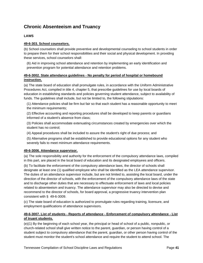# **Chronic Absenteeism and Truancy**

## **LAWS**

## **49-6-303. School counselors.**

(b) School counselors shall provide preventive and developmental counseling to school students in order to prepare them for their school responsibilities and their social and physical development. In providing these services, school counselors shall:

(6) Aid in improving school attendance and retention by implementing an early identification and prevention program for potential attendance and retention problems.

## **49-6-3002. State attendance guidelines - No penalty for period of hospital or homebound instruction.**

(a) The state board of education shall promulgate rules, in accordance with the Uniform Administrative Procedures Act, compiled in title 4, chapter 5, that prescribe guidelines for use by local boards of education in establishing standards and policies governing student attendance, subject to availability of funds. The guidelines shall include, but not be limited to, the following stipulations:

(1) Attendance policies shall be firm but fair so that each student has a reasonable opportunity to meet the minimum requirements;

(2) Effective accounting and reporting procedures shall be developed to keep parents or guardians informed of a student's absence from class;

(3) Policies shall accommodate extenuating circumstances created by emergencies over which the student has no control;

(4) Appeal procedures shall be included to assure the student's right of due process; and

(5) Alternative programs shall be established to provide educational options for any student who severely fails to meet minimum attendance requirements.

## **49-6-3006. Attendance supervisor.**

(a) The sole responsibility and authority for the enforcement of the compulsory attendance laws, compiled in this part, are placed in the local board of education and its designated employees and officers.

(b) To facilitate the enforcement of the compulsory attendance laws, the director of schools shall designate at least one (1) qualified employee who shall be identified as the LEA attendance supervisor. The duties of an attendance supervisor include, but are not limited to, assisting the local board, under the direction of the director of schools, with the enforcement of the compulsory attendance laws of the state and to discharge other duties that are necessary to effectuate enforcement of laws and local policies related to absenteeism and truancy. The attendance supervisor may also be directed to devise and recommend to the director of schools, for board approval, a progressive truancy intervention plan consistent with § 49-6-3009.

(c) The state board of education is authorized to promulgate rules regarding training, licensure, and employment qualifications of attendance supervisors.

## **49-6-3007. List of students - Reports of attendance - Enforcement of compulsory attendance - List of truant students.**

(e)(1) By the beginning of each school year, the principal or head of school of a public, nonpublic, or church-related school shall give written notice to the parent, guardian, or person having control of a student subject to compulsory attendance that the parent, guardian, or other person having control of the student must monitor the student's school attendance and require the student to attend school. The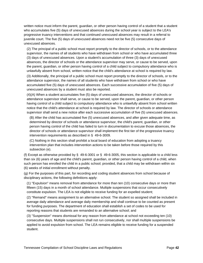written notice must inform the parent, guardian, or other person having control of a student that a student who accumulates five (5) days of unexcused absences during the school year is subject to the LEA's progressive truancy interventions and that continued unexcused absences may result in a referral to juvenile court. The five (5) days of unexcused absences need not be five (5) consecutive days of unexcused absences.

(2) The principal of a public school must report promptly to the director of schools, or to the attendance supervisor, the names of all students who have withdrawn from school or who have accumulated three (3) days of unexcused absences. Upon a student's accumulation of three (3) days of unexcused absences, the director of schools or the attendance supervisor may serve, or cause to be served, upon the parent, guardian, or other person having control of a child subject to compulsory attendance who is unlawfully absent from school, written notice that the child's attendance at school is required by law.

(3) Additionally, the principal of a public school must report promptly to the director of schools, or to the attendance supervisor, the names of all students who have withdrawn from school or who have accumulated five (5) days of unexcused absences. Each successive accumulation of five (5) days of unexcused absences by a student must also be reported.

(4)(A) When a student accumulates five (5) days of unexcused absences, the director of schools or attendance supervisor shall serve, or cause to be served, upon the parent, guardian, or other person having control of a child subject to compulsory attendance who is unlawfully absent from school written notice that the child's attendance at school is required by law. The director of schools or attendance supervisor shall send a new notice after each successive accumulation of five (5) unexcused absences.

(B) After the child has accumulated five (5) unexcused absences, and after given adequate time, as determined by director of schools or attendance supervisor, the child's parent, guardian, or other person having control of the child has failed to turn in documentation to excuse those absences, the director of schools or attendance supervisor shall implement the first tier of the progressive truancy intervention requirements as described in § 49-6-3009.

(C) Nothing in this section shall prohibit a local board of education from adopting a truancy intervention plan that includes intervention actions to be taken before those required by this subsection (e).

(f) Except as otherwise provided by  $\S$  49-6-3001 or  $\S$  49-6-3005, this section is applicable to a child less than six (6) years of age and the child's parent, guardian, or other person having control of a child, when such person has enrolled the child in a public school; provided, that a child may be withdrawn within six (6) weeks of initial enrollment without penalty.

(g) For the purposes of this part, for recording and coding student absences from school because of disciplinary actions, the following definitions apply:

(1) "Expulsion" means removal from attendance for more than ten (10) consecutive days or more than fifteen (15) days in a month of school attendance. Multiple suspensions that occur consecutively constitute expulsion. The LEA is not eligible to receive funding for an expelled student;

(2) "Remand" means assignment to an alternative school. The student so assigned shall be included in average daily attendance and average daily membership and shall continue to be counted as present for funding purposes. The department of education shall establish a set of codes to be used for reporting reasons that students are remanded to an alternative school; and

(3) "Suspension" means dismissal for any reason from attendance at school not exceeding ten (10) consecutive days. Multiple suspensions shall not run consecutively, nor shall multiple suspensions be applied to avoid expulsion from school. The LEA remains eligible to receive funding for a suspended student.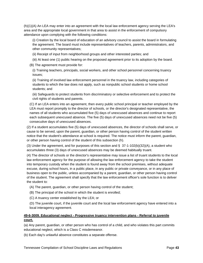(h)(1)(A) An LEA may enter into an agreement with the local law enforcement agency serving the LEA's area and the appropriate local government in that area to assist in the enforcement of compulsory attendance upon complying with the following conditions:

(i) Creation by the local board of education of an advisory council to assist the board in formulating the agreement. The board must include representatives of teachers, parents, administrators, and other community representatives;

(ii) Receipt of input from neighborhood groups and other interested parties; and

(iii) At least one (1) public hearing on the proposed agreement prior to its adoption by the board.

(B) The agreement must provide for:

(i) Training teachers, principals, social workers, and other school personnel concerning truancy issues;

(ii) Training of involved law enforcement personnel in the truancy law, including categories of students to which the law does not apply, such as nonpublic school students or home school students; and

(iii) Safeguards to protect students from discriminatory or selective enforcement and to protect the civil rights of students and parents.

(C) If an LEA enters into an agreement, then every public school principal or teacher employed by the LEA must report promptly to the director of schools, or the director's designated representative, the names of all students who accumulated five (5) days of unexcused absences and continue to report each subsequent unexcused absence. The five (5) days of unexcused absences need not be five (5) consecutive days of unexcused absences.

(2) If a student accumulates five (5) days of unexcused absences, the director of schools shall serve, or cause to be served, upon the parent, guardian, or other person having control of the student written notice that the student's attendance at school is required. The notice must inform the parent, guardian, or other person having control of the student of this subsection (h).

(3) Under the agreement, and for purposes of this section and  $\S$  37-1-102(b)(32)(A), a student who accumulates three (3) days of unexcused absences may be deemed habitually truant.

(4) The director of schools or the director's representative may issue a list of truant students to the local law enforcement agency for the purpose of allowing the law enforcement agency to take the student into temporary custody when the student is found away from the school premises, without adequate excuse, during school hours, in a public place, in any public or private conveyance, or in any place of business open to the public, unless accompanied by a parent, guardian, or other person having control of the student. The agreement shall specify that the law enforcement officer's sole function is to deliver the student to:

(A) The parent, guardian, or other person having control of the student;

(B) The principal of the school in which the student is enrolled;

(C) A truancy center established by the LEA; or

(D) The juvenile court, if the juvenile court and the local law enforcement agency have entered into a local interagency agreement.

## **49-6-3009. Educational neglect - Progressive truancy intervention plans - Referral to juvenile court.**

(a) Any parent, guardian, or other person who has control of a child, and who violates this part commits educational neglect, which is a Class C misdemeanor.

(b) Each day's unlawful absence constitutes a separate offense.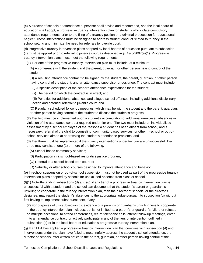(c) A director of schools or attendance supervisor shall devise and recommend, and the local board of education shall adopt, a progressive truancy intervention plan for students who violate compulsory attendance requirements prior to the filing of a truancy petition or a criminal prosecution for educational neglect. These interventions must be designed to address student conduct related to truancy in the school setting and minimize the need for referrals to juvenile court.

(d) Progressive truancy intervention plans adopted by local boards of education pursuant to subsection (c) must be applied prior to referral to juvenile court as described in § 49-6-3007(e)(1). Progressive truancy intervention plans must meet the following requirements:

(1) Tier one of the progressive truancy intervention plan must include, at a minimum:

(A) A conference with the student and the parent, guardian, or other person having control of the student;

(B) A resulting attendance contract to be signed by the student, the parent, guardian, or other person having control of the student, and an attendance supervisor or designee. The contract must include:

(i) A specific description of the school's attendance expectations for the student;

(ii) The period for which the contract is in effect; and

(iii) Penalties for additional absences and alleged school offenses, including additional disciplinary action and potential referral to juvenile court; and

(C) Regularly scheduled follow-up meetings, which may be with the student and the parent, guardian, or other person having control of the student to discuss the student's progress;

(2) Tier two must be implemented upon a student's accumulation of additional unexcused absences in violation of the attendance contract required under tier one. Tier two must include an individualized assessment by a school employee of the reasons a student has been absent from school, and if necessary, referral of the child to counseling, community-based services, or other in-school or out-ofschool services aimed at addressing the student's attendance problems; and

(3) Tier three must be implemented if the truancy interventions under tier two are unsuccessful. Tier three may consist of one (1) or more of the following:

- (A) School-based community services;
- (B) Participation in a school-based restorative justice program;
- (C) Referral to a school-based teen court; or
- (D) Saturday or after school courses designed to improve attendance and behavior.

(e) In-school suspension or out-of-school suspension must not be used as part of the progressive truancy intervention plans adopted by schools for unexcused absence from class or school.

(f)(1) Notwithstanding subsections (d) and (g), if any tier of a progressive truancy intervention plan is unsuccessful with a student and the school can document that the student's parent or guardian is unwilling to cooperate in the truancy intervention plan, then the director of schools, or the director's designee, may report the student's absences to the appropriate judge pursuant to subsection (g) without first having to implement subsequent tiers, if any.

(2) For purposes of this subsection (f), evidence of a parent's or guardian's unwillingness to cooperate in the truancy intervention plan includes, but is not limited to, a parent's or guardian's failure or refusal, on multiple occasions, to attend conferences, return telephone calls, attend follow-up meetings, enter into an attendance contract, or actively participate in any of the tiers of intervention outlined in subsection (d) or in the local board of education's progressive truancy intervention plan.

(g) If an LEA has applied a progressive truancy intervention plan that complies with subsection (d) and interventions under the plan have failed to meaningfully address the student's school attendance, the director of schools, after written notice to the parent, guardian, or other person having control of the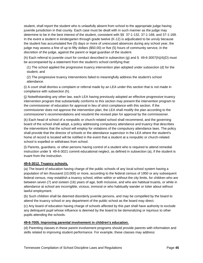student, shall report the student who is unlawfully absent from school to the appropriate judge having juvenile jurisdiction in that county. Each case must be dealt with in such manner as the judge may determine to be in the best interest of the student, consistent with §§ 37-1-132, 37-1-168, and 37-1-169. In the event a student in kindergarten through grade twelve (K-12) is adjudicated to be unruly because the student has accumulated five (5) days or more of unexcused absences during any school year, the judge may assess a fine of up to fifty dollars (\$50.00) or five (5) hours of community service, in the discretion of the judge, against the parent or legal guardian of the student.

(h) Each referral to juvenile court for conduct described in subsection (g) and § 49-6-3007(h)(4)(D) must be accompanied by a statement from the student's school certifying that:

(1) The school applied the progressive truancy intervention plan adopted under subsection (d) for the student; and

(2) The progressive truancy interventions failed to meaningfully address the student's school attendance.

(i) A court shall dismiss a complaint or referral made by an LEA under this section that is not made in compliance with subsection (h).

(j) Notwithstanding any other law, each LEA having previously adopted an effective progressive truancy intervention program that substantially conforms to this section may present the intervention program to the commissioner of education for approval in lieu of strict compliance with this section. If the commissioner does not approve the intervention plan, the LEA shall modify the plan according to the commissioner's recommendations and resubmit the revised plan for approval by the commissioner.

(k) Each head of school of a nonpublic or church-related school shall recommend, and the governing board of the school shall adopt, a policy addressing compulsory attendance and truancy that describes the interventions that the school will employ for violations of the compulsory attendance laws. The policy shall provide that the director of schools or the attendance supervisor in the LEA where the student's home of record is located will be notified in the event that a student at a nonpublic or church-related school is expelled or withdraws from school.

(l) Parents, guardians, or other persons having control of a student who is required to attend remedial instruction under § 49-6-3021 commit educational neglect, as defined in subsection (a), if the student is truant from the instruction.

## **49-6-3012. Truancy schools.**

(a) The board of education having charge of the public schools of any local school system having a population of ten thousand (10,000) or more, according to the federal census of 1950 or any subsequent federal census, may establish a truancy school, either within or without the city limits, for children who are between seven (7) and sixteen (16) years of age, both inclusive, and who are habitual truants, or while in attendance at school are incorrigible, vicious, immoral or who habitually wander or loiter about without lawful employment.

(b) Such children shall be deemed disorderly juvenile persons, and may be compelled by the board to attend the truancy school or any department of the public school as the board may direct.

(c) Any board of education having charge of schools affected by this part shall have authority to exclude any delinquent pupil whose influence is deemed by the board to be demoralizing or injurious to other pupils attending the schools.

## **49-6-7005. Improving parental involvement in children's education.**

(d) Parenting classes in these parent involvement programs should provide parents with information and skills related to improving student performance. For example, these classes may address: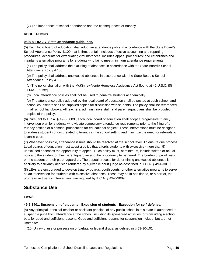(7) The importance of school attendance and the consequences of truancy.

## **REGULATIONS**

### **0520-01-02-.17. State attendance guidelines.**

(5) Each local board of education shall adopt an attendance policy in accordance with the State Board's School Attendance Policy 4.100 that is firm, but fair; includes effective accounting and reporting procedures; accounts for extenuating circumstances; includes appeal procedures; and establishes and maintains alternative programs for students who fail to meet minimum attendance requirements.

(a) The policy shall address the excusing of absences in accordance with the State Board's School Attendance Policy 4.100.

(b) The policy shall address unexcused absences in accordance with the State Board's School Attendance Policy 4.100.

(c) The policy shall align with the McKinney-Vento Homeless Assistance Act [found at 42 U.S.C. §§ 11431., et seq.].

(d) Local attendance policies shall not be used to penalize students academically.

(e) The attendance policy adopted by the local board of education shall be posted at each school, and school counselors shall be supplied copies for discussion with students. The policy shall be referenced in all school handbooks. All teachers, administrative staff, and parents/guardians shall be provided copies of the policy.

(6) Pursuant to T.C.A. § 49-6-3009., each local board of education shall adopt a progressive truancy intervention plan for students who violate compulsory attendance requirements prior to the filing of a truancy petition or a criminal prosecution for educational neglect. These interventions must be designed to address student conduct related to truancy in the school setting and minimize the need for referrals to juvenile court.

(7) Whenever possible, attendance issues should be resolved at the school level. To ensure due process, Local boards of education must adopt a policy that affords students with excessive (more than 5) unexcused absences the opportunity to appeal. Such policy must, at minimum, include written or actual notice to the student or their parent/guardian and the opportunity to be heard. The burden of proof rests on the student or their parent/guardian. The appeal process for determining unexcused absences is ancillary to a truancy decision rendered by a juvenile court judge as described in T.C.A. § 49-6-3010.

(8) LEAs are encouraged to develop truancy boards, youth courts, or other alternative programs to serve as an intervention for students with excessive absences. These may be in addition to, or a part of, the progressive truancy intervention plan required by T.C.A. § 49-6-3009.

## **Substance Use**

#### **LAWS**

#### **49-6-3401. Suspension of students - Expulsion of students - Exception for self-defense.**

(a) Any principal, principal-teacher or assistant principal of any public school in this state is authorized to suspend a pupil from attendance at the school, including its sponsored activities, or from riding a school bus, for good and sufficient reasons. Good and sufficient reasons for suspension include, but are not limited to:

(10) Unlawful use or possession of barbital or legend drugs, as defined in § 53-10-101 [...]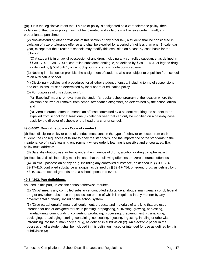(g)(1) It is the legislative intent that if a rule or policy is designated as a zero tolerance policy, then violations of that rule or policy must not be tolerated and violators shall receive certain, swift, and proportionate punishment.

(2) Notwithstanding other provisions of this section or any other law, a student shall be considered in violation of a zero tolerance offense and shall be expelled for a period of not less than one (1) calendar year, except that the director of schools may modify this expulsion on a case-by-case basis for the following:

(C) A student is in unlawful possession of any drug, including any controlled substance, as defined in §§ 39-17-402 - 39-17-415, controlled substance analogue, as defined by § 39-17-454, or legend drug, as defined by § 53-10-101, on school grounds or at a school-sponsored event.

(3) Nothing in this section prohibits the assignment of students who are subject to expulsion from school to an alternative school.

(4) Disciplinary policies and procedures for all other student offenses, including terms of suspensions and expulsions, must be determined by local board of education policy.

(5) For purposes of this subsection (g):

(A) "Expelled" means removal from the student's regular school program at the location where the violation occurred or removal from school attendance altogether, as determined by the school official; and

(B) "Zero tolerance offense" means an offense committed by a student requiring the student to be expelled from school for at least one (1) calendar year that can only be modified on a case-by-case basis by the director of schools or the head of a charter school.

### **49-6-4002. Discipline policy - Code of conduct.**

(d) Each discipline policy or code of conduct must contain the type of behavior expected from each student, the consequences of failure to obey the standards, and the importance of the standards to the maintenance of a safe learning environment where orderly learning is possible and encouraged. Each policy must address:

(8) Sale, distribution, use, or being under the influence of drugs, alcohol, or drug paraphernalia [...]

(e) Each local discipline policy must indicate that the following offenses are zero tolerance offenses:

(4) Unlawful possession of any drug, including any controlled substance, as defined in §§ 39-17-402 - 39-17-415, controlled substance analogue, as defined by § 39-17-454, or legend drug, as defined by § 53-10-101 on school grounds or at a school-sponsored event.

## **49-6-4202. Part definitions.**

As used in this part, unless the context otherwise requires:

(2) "Drug" means any controlled substance, controlled substance analogue, marijuana, alcohol, legend drug or any other substance the possession or use of which is regulated in any manner by any governmental authority, including the school system;

(3) "Drug paraphernalia" means all equipment, products and materials of any kind that are used, intended for use or designed for use in planting, propagating, cultivating, growing, harvesting, manufacturing, compounding, converting, producing, processing, preparing, testing, analyzing, packaging, repackaging, storing, containing, concealing, injecting, ingesting, inhaling or otherwise introducing into the human body a drug, as defined in subdivision (2). An electronic pager in the possession of a student shall be included in this definition if used or intended for use as defined by this subdivision (3).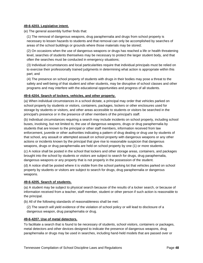### **49-6-4203. Legislative intent.**

(e) The general assembly further finds that:

(1) The removal of dangerous weapons, drug paraphernalia and drugs from school property is necessary to lessen hazards to students and that removal can only be accomplished by searches of areas of the school buildings or grounds where those materials may be stored;

(2) On occasions when the use of dangerous weapons or drugs has reached a life or health threatening level, searches of students themselves may be necessary to protect the larger student body, and that often the searches must be conducted in emergency situations;

(3) Individual circumstances and local particularities require that individual principals must be relied on to exercise their professionally trained judgments in determining what action is appropriate within this part; and

(4) The presence on school property of students with drugs in their bodies may pose a threat to the safety and well-being of that student and other students, may be disruptive of school classes and other programs and may interfere with the educational opportunities and progress of all students.

## **49-6-4204. Search of lockers, vehicles, and other property.**

(a) When individual circumstances in a school dictate, a principal may order that vehicles parked on school property by students or visitors, containers, packages, lockers or other enclosures used for storage by students or visitors, and other areas accessible to students or visitors be searched in the principal's presence or in the presence of other members of the principal's staff.

(b) Individual circumstances requiring a search may include incidents on school property, including school buses, involving, but not limited to, the use of dangerous weapons, drugs or drug paraphernalia by students that are known to the principal or other staff members, information received from law enforcement, juvenile or other authorities indicating a pattern of drug dealing or drug use by students of that school, any assault or attempted assault on school property with dangerous weapons or any other actions or incidents known by the principal that give rise to reasonable suspicion that dangerous weapons, drugs or drug paraphernalia are held on school property by one (1) or more students.

(c) A notice shall be posted in the school that lockers and other storage areas, containers, and packages brought into the school by students or visitors are subject to search for drugs, drug paraphernalia, dangerous weapons or any property that is not properly in the possession of the student.

(d) A notice shall be posted where it is visible from the school parking lot that vehicles parked on school property by students or visitors are subject to search for drugs, drug paraphernalia or dangerous weapons.

#### **49-6-4205. Search of students.**

(a) A student may be subject to physical search because of the results of a locker search, or because of information received from a teacher, staff member, student or other person if such action is reasonable to the principal.

(b) All of the following standards of reasonableness shall be met:

(2) The search will yield evidence of the violation of school policy or will lead to disclosure of a dangerous weapon, drug paraphernalia or drug.

## **49-6-4207. Use of metal detectors.**

To facilitate a search that is found to be necessary of students, school visitors, containers or packages, metal detectors and other devices designed to indicate the presence of dangerous weapons, drug paraphernalia or drugs may be used in searches, including hand-held models that are passed over or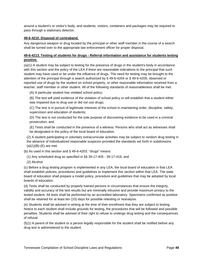around a student's or visitor's body, and students, visitors, containers and packages may be required to pass through a stationary detector.

## **49-6-4210. Disposal of contraband.**

Any dangerous weapon or drug located by the principal or other staff member in the course of a search shall be turned over to the appropriate law enforcement officer for proper disposal.

## **49-6-4213. Testing of students for drugs - Referral information and assistance for students testing positive.**

(a)(1) A student may be subject to testing for the presence of drugs in the student's body in accordance with this section and the policy of the LEA if there are reasonable indications to the principal that such student may have used or be under the influence of drugs. The need for testing may be brought to the attention of the principal through a search authorized by § 49-6-4204 or § 49-6-4205, observed or reported use of drugs by the student on school property, or other reasonable information received from a teacher, staff member or other student. All of the following standards of reasonableness shall be met:

(A) A particular student has violated school policy;

(B) The test will yield evidence of the violation of school policy or will establish that a student either was impaired due to drug use or did not use drugs;

(C) The test is in pursuit of legitimate interests of the school in maintaining order, discipline, safety, supervision and education of students;

(D) The test is not conducted for the sole purpose of discovering evidence to be used in a criminal prosecution; and

(E) Tests shall be conducted in the presence of a witness. Persons who shall act as witnesses shall be designated in the policy of the local board of education.

(2) A student participating in voluntary extracurricular activities may be subject to random drug testing in the absence of individualized reasonable suspicion provided the standards set forth in subdivisions  $(a)(1)(B)-(E)$  are met.

(b) As used in this section and § 49-6-4203, "drugs" means:

(1) Any scheduled drug as specified in §§ 39-17-405 - 39-17-416; and

(2) Alcohol.

(c) Before a drug testing program is implemented in any LEA, the local board of education in that LEA shall establish policies, procedures and guidelines to implement this section within that LEA. The state board of education shall prepare a model policy, procedure and guidelines that may be adopted by local boards of education.

(d) Tests shall be conducted by properly trained persons in circumstances that ensure the integrity, validity and accuracy of the test results but are minimally intrusive and provide maximum privacy to the tested student. All tests shall be performed by an accredited laboratory. Specimens confirmed as positive shall be retained for at least ten (10) days for possible retesting or reanalysis.

(e) Students shall be advised in writing at the time of their enrollment that they are subject to testing. Notice to each student shall include grounds for testing, the procedures that will be followed and possible penalties. Students shall be advised of their right to refuse to undergo drug testing and the consequences of refusal.

(f)(1) A parent of the student or a person legally responsible for the student shall be notified before any drug test is administered to the student.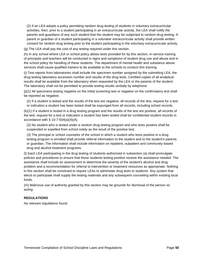(2) If an LEA adopts a policy permitting random drug testing of students in voluntary extracurricular activities, then, prior to a student participating in an extracurricular activity, the LEA shall notify the parents and guardians of any such student that the student may be subjected to random drug testing. A parent or guardian of a student participating in a volunteer extracurricular activity shall provide written consent for random drug testing prior to the student participating in the voluntary extracurricular activity.

(g) The LEA shall pay the cost of any testing required under this section.

(h) In any school where LEA or school policy allows tests provided for by this section, in-service training of principals and teachers will be conducted in signs and symptoms of student drug use and abuse and in the school policy for handling of these students. The department of mental health and substance abuse services shall cause qualified trainers to be available to the schools to conduct this training.

(i) Test reports from laboratories shall include the specimen number assigned by the submitting LEA, the drug testing laboratory accession number and results of the drug tests. Certified copies of all analytical results shall be available from the laboratory when requested by the LEA or the parents of the student. The laboratory shall not be permitted to provide testing results verbally by telephone.

(j)(1) All specimens testing negative on the initial screening test or negative on the confirmatory test shall be reported as negative.

(2) If a student is tested and the results of the test are negative, all records of the test, request for a test or indication a student has been tested shall be expunged from all records, including school records.

(k)(1) If a student is tested in a drug testing program and the results of the test are positive, all records of the test, request for a test or indication a student has been tested shall be confidential student records in accordance with  $\S$  10-7-504(a)(4)(A).

(2) No student who is tested under a random drug testing program and who tests positive shall be suspended or expelled from school solely as the result of the positive test.

(3) The principal or school counselor of the school in which a student who tests positive in a drug testing program is enrolled shall provide referral information to the student and to the student's parents or guardian. The information shall include information on inpatient, outpatient and community-based drug and alcohol treatment programs.

(l) Each LEA participating in the drug testing of students authorized in subsection (a) shall promulgate policies and procedures to ensure that those students testing positive receive the assistance needed. The assistance shall include an assessment to determine the severity of the student's alcohol and drug problem and a recommendation for referral to intervention or treatment resources as appropriate. Nothing in this section shall be construed to require LEAs to administer drug tests to students. Any system that elects to participate shall supply the testing materials and any subsequent counseling within existing local funds.

(m) Malicious use of authority granted by this section may be grounds for dismissal of the person so acting.

#### **REGULATIONS**

No relevant regulations found.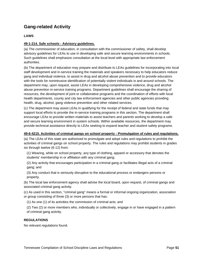# **Gang-related Activity**

## **LAWS**

## **49-1-214. Safe schools - Advisory guidelines.**

(a) The commissioner of education, in consultation with the commissioner of safety, shall develop advisory guidelines for LEAs to use in developing safe and secure learning environments in schools. Such guidelines shall emphasize consultation at the local level with appropriate law enforcement authorities.

(b) The department of education may prepare and distribute to LEAs guidelines for incorporating into local staff development and in-service training the materials and speakers necessary to help educators reduce gang and individual violence, to assist in drug and alcohol abuse prevention and to provide educators with the tools for nonintrusive identification of potentially violent individuals in and around schools. The department may, upon request, assist LEAs in developing comprehensive violence, drug and alcohol abuse prevention in-service training programs. Department guidelines shall encourage the sharing of resources, the development of joint or collaborative programs and the coordination of efforts with local health departments, county and city law enforcement agencies and other public agencies providing health, drug, alcohol, gang violence prevention and other related services.

(c) The department may assist LEAs in qualifying for the receipt of federal and state funds that may support local efforts to provide the in-service training programs in this section. The department shall encourage LEAs to provide written materials to assist teachers and parents working to develop a safe and secure learning environment in system schools. Within available resources, the department may provide technical assistance directly to LEAs seeking to expand teacher and student safety programs.

## **49-6-4215. Activities of criminal gangs on school property - Promulgation of rules and regulations.**

(a) The LEAs of this state are authorized to promulgate and adopt rules and regulations to prohibit the activities of criminal gangs on school property. The rules and regulations may prohibit students in grades six through twelve (6-12) from:

(1) Wearing, while on school property, any type of clothing, apparel or accessory that denotes the students' membership in or affiliation with any criminal gang;

(2) Any activity that encourages participation in a criminal gang or facilitates illegal acts of a criminal gang; and

(3) Any conduct that is seriously disruptive to the educational process or endangers persons or property.

(b) The local law enforcement agency shall advise the local board, upon request, of criminal gangs and associated criminal gang activity.

(c) As used in this section, "criminal gang" means a formal or informal ongoing organization, association or group consisting of three (3) or more persons that has:

(1) As one (1) of its activities the commission of criminal acts; and

(2) Two (2) or more members who, individually or collectively, engage in or have engaged in a pattern of criminal gang activity.

## **REGULATIONS**

No relevant regulations found.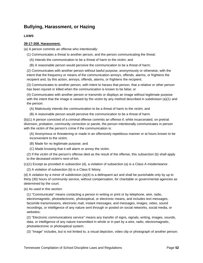# **Bullying, Harassment, or Hazing**

## **LAWS**

## **39-17-308. Harassment.**

(a) A person commits an offense who intentionally:

(1) Communicates a threat to another person, and the person communicating the threat:

(A) Intends the communication to be a threat of harm to the victim; and

(B) A reasonable person would perceive the communication to be a threat of harm;

(2) Communicates with another person without lawful purpose, anonymously or otherwise, with the intent that the frequency or means of the communication annoys, offends, alarms, or frightens the recipient and, by this action, annoys, offends, alarms, or frightens the recipient;

(3) Communicates to another person, with intent to harass that person, that a relative or other person has been injured or killed when the communication is known to be false; or

(4) Communicates with another person or transmits or displays an image without legitimate purpose with the intent that the image is viewed by the victim by any method described in subdivision  $(a)(1)$  and the person:

(A) Maliciously intends the communication to be a threat of harm to the victim; and

(B) A reasonable person would perceive the communication to be a threat of harm.

(b)(1) A person convicted of a criminal offense commits an offense if, while incarcerated, on pretrial diversion, probation, community correction or parole, the person intentionally communicates in person with the victim of the person's crime if the communication is:

(A) Anonymous or threatening or made in an offensively repetitious manner or at hours known to be inconvenient to the victim;

(B) Made for no legitimate purpose; and

(C) Made knowing that it will alarm or annoy the victim.

(2) If the victim of the person's offense died as the result of the offense, this subsection (b) shall apply to the deceased victim's next-of-kin.

(c)(1) Except as provided in subsection (d), a violation of subsection (a) is a Class A misdemeanor.

(2) A violation of subsection (b) is a Class E felony.

(d) A violation by a minor of subdivision (a)(4) is a delinquent act and shall be punishable only by up to thirty (30) hours of community service, without compensation, for charitable or governmental agencies as determined by the court.

(e) As used in this section:

(1) "Communicate" means contacting a person in writing or print or by telephone, wire, radio, electromagnetic, photoelectronic, photooptical, or electronic means, and includes text messages, facsimile transmissions, electronic mail, instant messages, and messages, images, video, sound recordings, or intelligence of any nature sent through or posted on social networks, social media, or websites;

(2) "Electronic communications service" means any transfer of signs, signals, writing, images, sounds, data, or intelligence of any nature transmitted in whole or in part by a wire, radio, electromagnetic, photoelectronic or photooptical system;

(3) "Image" includes, but is not limited to, a visual depiction, video clip or photograph of another person;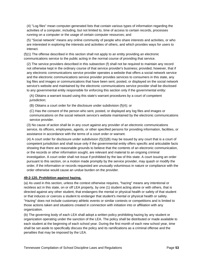(4) "Log files" mean computer-generated lists that contain various types of information regarding the activities of a computer, including, but not limited to, time of access to certain records, processes running on a computer or the usage of certain computer resources; and

(5) "Social network" means any online community of people who share interests and activities, or who are interested in exploring the interests and activities of others, and which provides ways for users to interact.

(f)(1) The offense described in this section shall not apply to an entity providing an electronic communications service to the public acting in the normal course of providing that service.

(2) The service providers described in this subsection (f) shall not be required to maintain any record not otherwise kept in the ordinary course of that service provider's business; provided, however, that if any electronic communications service provider operates a website that offers a social network service and the electronic communications service provider provides services to consumers in this state, any log files and images or communications that have been sent, posted, or displayed on the social network service's website and maintained by the electronic communications service provider shall be disclosed to any governmental entity responsible for enforcing this section only if the governmental entity:

(A) Obtains a warrant issued using this state's warrant procedures by a court of competent jurisdiction;

(B) Obtains a court order for the disclosure under subdivision (f)(4); or

(C) Has the consent of the person who sent, posted, or displayed any log files and images or communications on the social network service's website maintained by the electronic communications service provider.

(3) No cause of action shall lie in any court against any provider of an electronic communications service, its officers, employees, agents, or other specified persons for providing information, facilities, or assistance in accordance with the terms of a court order or warrant.

(4) A court order for disclosure under subdivision (f)(2)(B) may be issued by any court that is a court of competent jurisdiction and shall issue only if the governmental entity offers specific and articulable facts showing that there are reasonable grounds to believe that the contents of an electronic communication, or the records or other information sought, are relevant and material to an ongoing criminal investigation. A court order shall not issue if prohibited by the law of this state. A court issuing an order pursuant to this section, on a motion made promptly by the service provider, may quash or modify the order, if the information or records requested are unusually voluminous in nature or compliance with the order otherwise would cause an undue burden on the provider.

## **49-2-120. Prohibition against hazing.**

(a) As used in this section, unless the context otherwise requires, "hazing" means any intentional or reckless act in this state, on or off LEA property, by one (1) student acting alone or with others, that is directed against any other student, that endangers the mental or physical health or safety of that student or that induces or coerces a student to endanger that student's mental or physical health or safety. "Hazing" does not include customary athletic events or similar contests or competitions and is limited to those actions taken and situations created in connection with initiation into or affiliation with any organization.

(b) The governing body of each LEA shall adopt a written policy prohibiting hazing by any student or organization operating under the sanction of the LEA. The policy shall be distributed or made available to each student at the beginning of each school year. During the first month of each new school year, time shall be set aside to specifically discuss the policy and its ramifications as a criminal offense and the penalties that may be imposed by the LEA.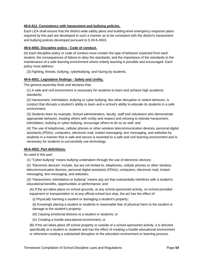## **49-6-812. Consistency with harassment and bullying policies.**

Each LEA shall ensure that the district-wide safety plans and building-level emergency response plans required by this part are developed in such a manner as to be consistent with the district's harassment and bullying policies developed pursuant to § 49-6-4503.

#### **49-6-4002. Discipline policy - Code of conduct.**

(d) Each discipline policy or code of conduct must contain the type of behavior expected from each student, the consequences of failure to obey the standards, and the importance of the standards to the maintenance of a safe learning environment where orderly learning is possible and encouraged. Each policy must address:

(3) Fighting, threats, bullying, cyberbullying, and hazing by students.

### **49-6-4501. Legislative findings - Safety and civility.**

The general assembly finds and declares that:

(1) A safe and civil environment is necessary for students to learn and achieve high academic standards;

(2) Harassment, intimidation, bullying or cyber-bullying, like other disruptive or violent behavior, is conduct that disrupts a student's ability to learn and a school's ability to educate its students in a safe environment;

(3) Students learn by example. School administrators, faculty, staff and volunteers who demonstrate appropriate behavior, treating others with civility and respect and refusing to tolerate harassment, intimidation, bullying or cyber-bullying, encourage others to do so as well; and

(4) The use of telephones, cellular phones or other wireless telecommunication devices, personal digital assistants (PDAs), computers, electronic mail, instant messaging, text messaging, and websites by students in a manner that is safe and secure is essential to a safe and civil learning environment and is necessary for students to successfully use technology.

#### **49-6-4502. Part definitions.**

As used in this part:

(1) "Cyber-bullying" means bullying undertaken through the use of electronic devices;

(2) "Electronic devices" include, but are not limited to, telephones, cellular phones or other wireless telecommunication devices, personal digital assistants (PDAs), computers, electronic mail, instant messaging, text messaging, and websites;

(3) "Harassment, intimidation or bullying" means any act that substantially interferes with a student's educational benefits, opportunities or performance; and:

(A) If the act takes place on school grounds, at any school-sponsored activity, on school-provided equipment or transportation or at any official school bus stop, the act has the effect of:

(i) Physically harming a student or damaging a student's property;

(ii) Knowingly placing a student or students in reasonable fear of physical harm to the student or damage to the student's property;

- (iii) Causing emotional distress to a student or students; or
- (iv) Creating a hostile educational environment; or

(B) If the act takes place off school property or outside of a school-sponsored activity, it is directed specifically at a student or students and has the effect of creating a hostile educational environment or otherwise creating a substantial disruption to the education environment or learning process.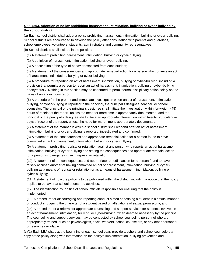## **49-6-4503. Adoption of policy prohibiting harassment, intimidation, bullying or cyber-bullying by the school district.**

(a) Each school district shall adopt a policy prohibiting harassment, intimidation, bullying or cyber-bullying. School districts are encouraged to develop the policy after consultation with parents and guardians, school employees, volunteers, students, administrators and community representatives.

(b) School districts shall include in the policies:

(1) A statement prohibiting harassment, intimidation, bullying or cyber-bullying;

(2) A definition of harassment, intimidation, bullying or cyber-bullying;

(3) A description of the type of behavior expected from each student;

(4) A statement of the consequences and appropriate remedial action for a person who commits an act of harassment, intimidation, bullying or cyber-bullying;

(5) A procedure for reporting an act of harassment, intimidation, bullying or cyber-bullying, including a provision that permits a person to report an act of harassment, intimidation, bullying or cyber-bullying anonymously. Nothing in this section may be construed to permit formal disciplinary action solely on the basis of an anonymous report;

(6) A procedure for the prompt and immediate investigation when an act of harassment, intimidation, bullying, or cyber-bullying is reported to the principal, the principal's designee, teacher, or school counselor. The principal or the principal's designee shall initiate the investigation within forty-eight (48) hours of receipt of the report, unless the need for more time is appropriately documented, and the principal or the principal's designee shall initiate an appropriate intervention within twenty (20) calendar days of receipt of the report, unless the need for more time is appropriately documented;

(7) A statement of the manner in which a school district shall respond after an act of harassment, intimidation, bullying or cyber-bullying is reported, investigated and confirmed;

(8) A statement of the consequences and appropriate remedial action for a person found to have committed an act of harassment, intimidation, bullying or cyber-bullying;

(9) A statement prohibiting reprisal or retaliation against any person who reports an act of harassment, intimidation, bullying or cyber-bullying and stating the consequences and appropriate remedial action for a person who engages in such reprisal or retaliation;

(10) A statement of the consequences and appropriate remedial action for a person found to have falsely accused another of having committed an act of harassment, intimidation, bullying or cyberbullying as a means of reprisal or retaliation or as a means of harassment, intimidation, bullying or cyber-bullying;

(11) A statement of how the policy is to be publicized within the district, including a notice that the policy applies to behavior at school-sponsored activities;

(12) The identification by job title of school officials responsible for ensuring that the policy is implemented;

(13) A procedure for discouraging and reporting conduct aimed at defining a student in a sexual manner or conduct impugning the character of a student based on allegations of sexual promiscuity; and

(14) A procedure for a referral for appropriate counseling and support services for students involved in an act of harassment, intimidation, bullying, or cyber-bullying, when deemed necessary by the principal. The counseling and support services may be conducted by school counseling personnel who are appropriately trained, such as psychologists, social workers, school counselors, or any other personnel or resources available.

(c)(1) Each LEA shall, at the beginning of each school year, provide teachers and school counselors a copy of the policy along with information on the policy's implementation, bullying prevention and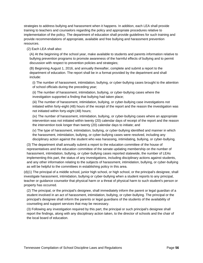strategies to address bullying and harassment when it happens. In addition, each LEA shall provide training to teachers and counselors regarding the policy and appropriate procedures relative to implementation of the policy. The department of education shall provide guidelines for such training and provide recommendations of appropriate, available and free bullying and harassment prevention resources.

(2) Each LEA shall also:

(A) At the beginning of the school year, make available to students and parents information relative to bullying prevention programs to promote awareness of the harmful effects of bullying and to permit discussion with respect to prevention policies and strategies;

(B) Beginning August 1, 2016, and annually thereafter, complete and submit a report to the department of education. The report shall be in a format provided by the department and shall include:

(i) The number of harassment, intimidation, bullying, or cyber-bullying cases brought to the attention of school officials during the preceding year;

(ii) The number of harassment, intimidation, bullying, or cyber-bullying cases where the investigation supported a finding that bullying had taken place;

(iii) The number of harassment, intimidation, bullying, or cyber-bullying case investigations not initiated within forty-eight (48) hours of the receipt of the report and the reason the investigation was not initiated within forty-eight (48) hours;

(iv) The number of harassment, intimidation, bullying, or cyber-bullying cases where an appropriate intervention was not initiated within twenty (20) calendar days of receipt of the report and the reason the intervention took longer than twenty (20) calendar days to initiate; and

(v) The type of harassment, intimidation, bullying, or cyber-bullying identified and manner in which the harassment, intimidation, bullying, or cyber-bullying cases were resolved, including any disciplinary action against the student who was harassing, intimidating, bullying, or cyber-bullying.

(3) The department shall annually submit a report to the education committee of the house of representatives and the education committee of the senate updating membership on the number of harassment, intimidation, bullying, or cyber-bullying cases reported statewide, the number of LEAs implementing this part, the status of any investigations, including disciplinary actions against students, and any other information relating to the subjects of harassment, intimidation, bullying, or cyber-bullying as will be helpful to the committees in establishing policy in this area.

(d)(1) The principal of a middle school, junior high school, or high school, or the principal's designee, shall investigate harassment, intimidation, bullying or cyber-bullying when a student reports to any principal, teacher or guidance counselor that physical harm or a threat of physical harm to such student's person or property has occurred.

(2) The principal, or the principal's designee, shall immediately inform the parent or legal guardian of a student involved in an act of harassment, intimidation, bullying, or cyber-bullying. The principal or the principal's designee shall inform the parents or legal guardians of the students of the availability of counseling and support services that may be necessary.

(3) Following any investigation required by this part, the principal or such principal's designee shall report the findings, along with any disciplinary action taken, to the director of schools and the chair of the local board of education.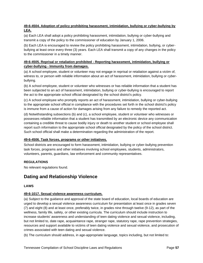## **49-6-4504. Adoption of policy prohibiting harassment, intimidation, bullying or cyber-bullying by LEA.**

(a) Each LEA shall adopt a policy prohibiting harassment, intimidation, bullying or cyber-bullying and transmit a copy of the policy to the commissioner of education by January 1, 2006.

(b) Each LEA is encouraged to review the policy prohibiting harassment, intimidation, bullying, or cyberbullying at least once every three (3) years. Each LEA shall transmit a copy of any changes in the policy to the commissioner in a timely manner.

## **49-6-4505. Reprisal or retaliation prohibited - Reporting harassment, intimidation, bullying or cyber-bullying - Immunity from damages.**

(a) A school employee, student or volunteer may not engage in reprisal or retaliation against a victim of, witness to, or person with reliable information about an act of harassment, intimidation, bullying or cyberbullying.

(b) A school employee, student or volunteer who witnesses or has reliable information that a student has been subjected to an act of harassment, intimidation, bullying or cyber-bullying is encouraged to report the act to the appropriate school official designated by the school district's policy.

(c) A school employee who promptly reports an act of harassment, intimidation, bullying or cyber-bullying to the appropriate school official in compliance with the procedures set forth in the school district's policy is immune from a cause of action for damages arising from any failure to remedy the reported act.

(d) Notwithstanding subsections (b) and (c), a school employee, student or volunteer who witnesses or possesses reliable information that a student has transmitted by an electronic device any communication containing a credible threat to cause bodily injury or death to another student or school employee shall report such information to the appropriate school official designated by the policy of the school district. Such school official shall make a determination regarding the administration of the report.

## **49-6-4506. Task forces, programs or other initiatives.**

School districts are encouraged to form harassment, intimidation, bullying or cyber-bullying prevention task forces, programs and other initiatives involving school employees, students, administrators, volunteers, parents, guardians, law enforcement and community representatives.

## **REGULATIONS**

No relevant regulations found.

# **Dating and Relationship Violence**

## **LAWS**

## **49-6-1017. Sexual violence awareness curriculum.**

(a) Subject to the guidance and approval of the state board of education, local boards of education are urged to develop a sexual violence awareness curriculum for presentation at least once in grades seven (7) and eight (8) and at least once, preferably twice, in grades nine through twelve (9-12), as part of the wellness, family life, safety, or other existing curricula. The curriculum should include instruction to increase students' awareness and understanding of teen dating violence and sexual violence, including, but not limited to, date rape, acquaintance rape, stranger rape, statutory rape, rape prevention strategies, resources and support available to victims of teen dating violence and sexual violence, and prosecution of crimes associated with teen dating and sexual violence.

(b) The curriculum should address, in age-appropriate language, topics including, but not limited to: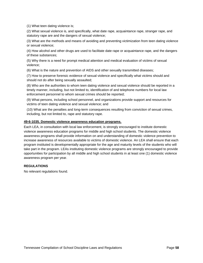(1) What teen dating violence is;

(2) What sexual violence is, and specifically, what date rape, acquaintance rape, stranger rape, and statutory rape are and the dangers of sexual violence;

(3) What are the methods and means of avoiding and preventing victimization from teen dating violence or sexual violence;

(4) How alcohol and other drugs are used to facilitate date rape or acquaintance rape, and the dangers of these substances;

(5) Why there is a need for prompt medical attention and medical evaluation of victims of sexual violence;

(6) What is the nature and prevention of AIDS and other sexually transmitted diseases;

(7) How to preserve forensic evidence of sexual violence and specifically what victims should and should not do after being sexually assaulted;

(8) Who are the authorities to whom teen dating violence and sexual violence should be reported in a timely manner, including, but not limited to, identification of and telephone numbers for local law enforcement personnel to whom sexual crimes should be reported;

(9) What persons, including school personnel, and organizations provide support and resources for victims of teen dating violence and sexual violence; and

(10) What are the penalties and long-term consequences resulting from conviction of sexual crimes, including, but not limited to, rape and statutory rape.

### **49-6-1035. Domestic violence awareness education programs.**

Each LEA, in consultation with local law enforcement, is strongly encouraged to institute domestic violence awareness education programs for middle and high school students. The domestic violence awareness programs shall provide information on and understanding of domestic violence prevention to increase awareness of resources available to victims of domestic violence. An LEA shall ensure that each program instituted is developmentally appropriate for the age and maturity levels of the students who will take part in the program. LEAs instituting domestic violence programs are strongly encouraged to provide opportunities for participation by all middle and high school students in at least one (1) domestic violence awareness program per year.

## **REGULATIONS**

No relevant regulations found.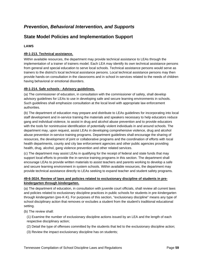# *Prevention, Behavioral Intervention, and Supports*

# **State Model Policies and Implementation Support**

## **LAWS**

## **49-1-213. Technical assistance.**

Within available resources, the department may provide technical assistance to LEAs through the implementation of a trainer of trainers model. Each LEA may identify its own technical assistance persons from general and special education to serve local schools. Technical assistance persons would serve as trainers to the district's local technical assistance persons. Local technical assistance persons may then provide hands-on consultation in the classrooms and in school in-services related to the needs of children having behavioral or emotional disorders.

## **49-1-214. Safe schools - Advisory guidelines.**

(a) The commissioner of education, in consultation with the commissioner of safety, shall develop advisory guidelines for LEAs to use in developing safe and secure learning environments in schools. Such guidelines shall emphasize consultation at the local level with appropriate law enforcement authorities.

(b) The department of education may prepare and distribute to LEAs guidelines for incorporating into local staff development and in-service training the materials and speakers necessary to help educators reduce gang and individual violence, to assist in drug and alcohol abuse prevention and to provide educators with the tools for nonintrusive identification of potentially violent individuals in and around schools. The department may, upon request, assist LEAs in developing comprehensive violence, drug and alcohol abuse prevention in-service training programs. Department guidelines shall encourage the sharing of resources, the development of joint or collaborative programs and the coordination of efforts with local health departments, county and city law enforcement agencies and other public agencies providing health, drug, alcohol, gang violence prevention and other related services.

(c) The department may assist LEAs in qualifying for the receipt of federal and state funds that may support local efforts to provide the in-service training programs in this section. The department shall encourage LEAs to provide written materials to assist teachers and parents working to develop a safe and secure learning environment in system schools. Within available resources, the department may provide technical assistance directly to LEAs seeking to expand teacher and student safety programs.

## **49-6-3024. Review of laws and policies related to exclusionary discipline of students in prekindergarten through kindergarten.**

(a) The department of education, in consultation with juvenile court officials, shall review all current laws and policies related to exclusionary discipline practices in public schools for students in pre-kindergarten through kindergarten (pre-K-K). For purposes of this section, "exclusionary discipline" means any type of school disciplinary action that removes or excludes a student from the student's traditional educational setting.

(b) The review shall:

(1) Examine the number of exclusionary discipline actions issued by an LEA and the length of each respective disciplinary action;

- (2) Detail the type of offenses committed by the students that led to the exclusionary discipline action;
- (3) Review the impact exclusionary discipline has on students;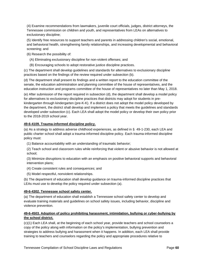(4) Examine recommendations from lawmakers, juvenile court officials, judges, district attorneys, the Tennessee commission on children and youth, and representatives from LEAs on alternatives to exclusionary discipline;

(5) Identify free resources to support teachers and parents in addressing children's social, emotional, and behavioral health, strengthening family relationships, and increasing developmental and behavioral screening; and

(6) Research the possibility of:

- (A) Eliminating exclusionary discipline for non-violent offenses; and
- (B) Encouraging schools to adopt restorative justice discipline practices.

(c) The department shall develop guidelines and standards for alternatives to exclusionary discipline practices based on the findings of the review required under subsection (b).

(d) The department shall present its findings and a written report to the education committee of the senate, the education administration and planning committee of the house of representatives, and the education instruction and programs committee of the house of representatives no later than May 1, 2018.

(e) After submission of the report required in subsection (d), the department shall develop a model policy for alternatives to exclusionary discipline practices that districts may adopt for students in prekindergarten through kindergarten (pre-K-K). If a district does not adopt the model policy developed by the department, the district shall develop and implement a policy that meets the guidelines and standards developed under subsection (c). Each LEA shall adopt the model policy or develop their own policy prior to the 2018-2019 school year.

## **49-6-4109. Trauma-informed discipline policy.**

(a) As a strategy to address adverse childhood experiences, as defined in § 49-1-230, each LEA and public charter school shall adopt a trauma-informed discipline policy. Each trauma-informed discipline policy must:

(1) Balance accountability with an understanding of traumatic behavior;

(2) Teach school and classroom rules while reinforcing that violent or abusive behavior is not allowed at school;

(3) Minimize disruptions to education with an emphasis on positive behavioral supports and behavioral intervention plans;

- (4) Create consistent rules and consequences; and
- (5) Model respectful, nonviolent relationships.

(b) The department of education shall develop guidance on trauma-informed discipline practices that LEAs must use to develop the policy required under subsection (a).

## **49-6-4302. Tennessee school safety center.**

(a) The department of education shall establish a Tennessee school safety center to develop and evaluate training materials and guidelines on school safety issues, including behavior, discipline and violence prevention.

## **49-6-4503. Adoption of policy prohibiting harassment, intimidation, bullying or cyber-bullying by the school district.**

(c)(1) Each LEA shall, at the beginning of each school year, provide teachers and school counselors a copy of the policy along with information on the policy's implementation, bullying prevention and strategies to address bullying and harassment when it happens. In addition, each LEA shall provide training to teachers and counselors regarding the policy and appropriate procedures relative to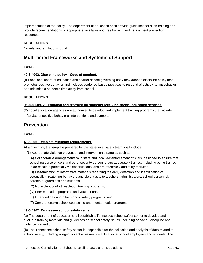implementation of the policy. The department of education shall provide guidelines for such training and provide recommendations of appropriate, available and free bullying and harassment prevention resources.

## **REGULATIONS**

No relevant regulations found.

## **Multi-tiered Frameworks and Systems of Support**

## **LAWS**

### **49-6-4002. Discipline policy - Code of conduct.**

(f) Each local board of education and charter school governing body may adopt a discipline policy that promotes positive behavior and includes evidence-based practices to respond effectively to misbehavior and minimize a student's time away from school.

### **REGULATIONS**

### **0520-01-09-.23. Isolation and restraint for students receiving special education services.**

(2) Local education agencies are authorized to develop and implement training programs that include:

(a) Use of positive behavioral interventions and supports.

## **Prevention**

## **LAWS**

## **49-6-805. Template minimum requirements.**

At a minimum, the template prepared by the state-level safety team shall include:

(6) Appropriate violence prevention and intervention strategies such as:

(A) Collaborative arrangements with state and local law enforcement officials, designed to ensure that school resource officers and other security personnel are adequately trained, including being trained to de-escalate potentially violent situations, and are effectively and fairly recruited;

(B) Dissemination of informative materials regarding the early detection and identification of potentially threatening behaviors and violent acts to teachers, administrators, school personnel, parents or guardians and students;

- (C) Nonviolent conflict resolution training programs;
- (D) Peer mediation programs and youth courts;
- (E) Extended day and other school safety programs; and
- (F) Comprehensive school counseling and mental health programs;

#### **49-6-4302. Tennessee school safety center.**

(a) The department of education shall establish a Tennessee school safety center to develop and evaluate training materials and guidelines on school safety issues, including behavior, discipline and violence prevention.

(b) The Tennessee school safety center is responsible for the collection and analysis of data related to school safety, including alleged violent or assaultive acts against school employees and students. The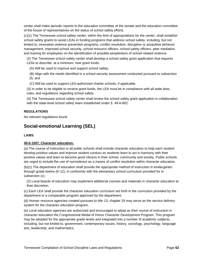center shall make periodic reports to the education committee of the senate and the education committee of the house of representatives on the status of school safety efforts.

(c)(1) The Tennessee school safety center, within the limit of appropriations for the center, shall establish school safety grants to assist LEAs in funding programs that address school safety, including, but not limited to, innovative violence prevention programs, conflict resolution, disruptive or assaultive behavior management, improved school security, school resource officers, school safety officers, peer mediation, and training for employees on the identification of possible perpetrators of school-related violence.

(2) The Tennessee school safety center shall develop a school safety grant application that requires LEAs to describe, at a minimum, how grant funds:

(A) Will be used to improve and support school safety;

(B) Align with the needs identified in a school security assessment conducted pursuant to subsection (f); and

(C) Will be used to support LEA-authorized charter schools, if applicable.

(3) In order to be eligible to receive grant funds, the LEA must be in compliance with all state laws, rules, and regulations regarding school safety.

(4) The Tennessee school safety center shall review the school safety grant application in collaboration with the state-level school safety team established under § 49-6-802.

## **REGULATIONS**

No relevant regulations found.

## **Social-emotional Learning (SEL)**

#### **LAWS**

#### **49-6-1007. Character education.**

(a) The course of instruction in all public schools shall include character education to help each student develop positive values and improve student conduct as students learn to act in harmony with their positive values and learn to become good citizens in their school, community and society. Public schools are urged to include the use of nonviolence as a means of conflict resolution within character education.

(b)(1) The department of education shall provide the appropriate method of instruction in kindergarten through grade twelve (K-12), in conformity with the elementary school curriculum provided for in subsection (c).

(2) Local boards of education may implement additional courses and materials in character education at their discretion.

(c) Each LEA shall provide the character education curriculum set forth in the curriculum provided by the department or a comparable program approved by the department.

(d) Human resource agencies created pursuant to title 13, chapter 26 may serve as the service delivery system for the character education program.

(e) Local education agencies are authorized and encouraged to adopt as their course of instruction in character education the Congressional Medal of Honor Character Development Program. This program may be adopted for the appropriate grade levels and integrated into a number of academic subjects, including, but not limited to, government, contemporary issues, history, sociology, psychology, language arts, leadership, and mathematics.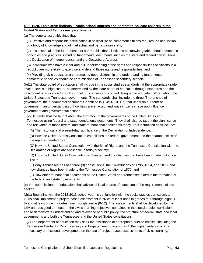## **49-6-1028. Legislative findings - Public school courses and content to educate children in the United States and Tennessee governments.**

(a) The general assembly finds that:

(1) Effective and responsible participation in political life as competent citizens requires the acquisition of a body of knowledge and of intellectual and participatory skills;

(2) It is essential to the future health of our republic that all citizens be knowledgeable about democratic principles and practices, including fundamental documents such as the state and federal constitutions, the Declaration of Independence, and the Gettysburg Address;

(3) Individuals who have a clear and full understanding of the rights and responsibilities of citizens in a republic are more likely to exercise and defend those rights and responsibilities; and

(4) Providing civic education and promoting good citizenship and understanding fundamental democratic principles should be core missions of Tennessee secondary schools.

(b)(1) The state board of education shall include in the social studies standards, at the appropriate grade level or levels in high school, as determined by the state board of education through standards and the local board of education through curriculum, courses and content designed to educate children about the United States and Tennessee governments. The standards shall include the three (3) branches of government, the fundamental documents identified in § 49-6-1011(a) that underpin our form of government, an understanding of how laws are enacted, and ways citizens shape and influence government and governmental actions.

(2) Students shall be taught about the formation of the governments of the United States and Tennessee using federal and state foundational documents. They shall also be taught the significance and relevance of those federal and state foundational documents today. This instruction shall include:

(A) The historical and present-day significance of the Declaration of Independence;

(B) How the United States Constitution establishes the federal government and the characteristics of the republic created by it;

(C) How the United States Constitution with the Bill of Rights and the Tennessee Constitution with the Declaration of Rights are applicable in today's society;

(D) How the United States Constitution is changed and the changes that have been made to it since 1787;

(E) Why Tennessee has had three (3) constitutions, the Constitutions of 1796, 1834, and 1870, and how changes have been made to the Tennessee Constitution of 1870; and

(F) How other foundational documents of the United States and Tennessee aided in the formation of the federal and state governments.

(c) The commissioner of education shall advise all local boards of education of the requirements of this section.

(d)(1) Beginning with the 2012-2013 school year, in conjunction with the social studies curriculum, all LEAs shall implement a project-based assessment in civics at least once in grades four through eight (4- 8) and at least once in grades nine through twelve (9-12). The assessments shall be developed by the LEA and designed to measure the civics learning objectives contained in the social studies curriculum and to demonstrate understanding and relevance of public policy, the structure of federal, state and local governments and both the Tennessee and the United States constitutions.

(2) The department of education may seek the assistance of appropriate outside entities, including the Tennessee Center for Civic Learning and Engagement, to assist it with the implementation of any necessary professional development on the use of project-based assessments of civics learning.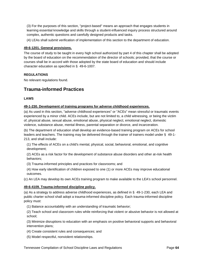(3) For the purposes of this section, "project-based" means an approach that engages students in learning essential knowledge and skills through a student-influenced inquiry process structured around complex, authentic questions and carefully designed products and tasks.

(4) LEAs shall submit verification of implementation of this section to the department of education.

## **49-6-1201. General provisions.**

The course of study to be taught in every high school authorized by part 4 of this chapter shall be adopted by the board of education on the recommendation of the director of schools; provided, that the course or courses shall be in accord with those adopted by the state board of education and should include character education as specified in § 49-6-1007.

## **REGULATIONS**

No relevant regulations found.

# **Trauma-informed Practices**

## **LAWS**

## **49-1-230. Development of training programs for adverse childhood experiences.**

(a) As used in this section, "adverse childhood experiences" or "ACEs" mean stressful or traumatic events experienced by a minor child. ACEs include, but are not limited to, a child witnessing, or being the victim of, physical abuse, sexual abuse, emotional abuse, physical neglect, emotional neglect, domestic violence, substance abuse, mental illness, parental separation or divorce, and incarceration.

(b) The department of education shall develop an evidence-based training program on ACEs for school leaders and teachers. The training may be delivered through the trainer of trainers model under § 49-1- 213, and shall include:

(1) The effects of ACEs on a child's mental, physical, social, behavioral, emotional, and cognitive development;

(2) ACEs as a risk factor for the development of substance abuse disorders and other at-risk health behaviors;

(3) Trauma-informed principles and practices for classrooms; and

(4) How early identification of children exposed to one (1) or more ACEs may improve educational outcomes.

(c) An LEA may develop its own ACEs training program to make available to the LEA's school personnel.

## **49-6-4109. Trauma-informed discipline policy.**

(a) As a strategy to address adverse childhood experiences, as defined in § 49-1-230, each LEA and public charter school shall adopt a trauma-informed discipline policy. Each trauma-informed discipline policy must:

(1) Balance accountability with an understanding of traumatic behavior;

(2) Teach school and classroom rules while reinforcing that violent or abusive behavior is not allowed at school;

(3) Minimize disruptions to education with an emphasis on positive behavioral supports and behavioral intervention plans;

- (4) Create consistent rules and consequences; and
- (5) Model respectful, nonviolent relationships.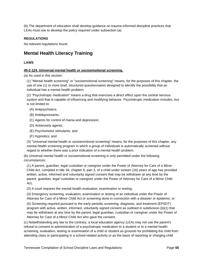(b) The department of education shall develop guidance on trauma-informed discipline practices that LEAs must use to develop the policy required under subsection (a).

## **REGULATIONS**

No relevant regulations found.

## **Mental Health Literacy Training**

#### **LAWS**

### **49-2-124. Universal mental health or socioemotional screening.**

(a) As used in this section:

(1) "Mental health screening" or "socioemotional screening" means, for the purposes of this chapter, the use of one (1) or more brief, structured questionnaires designed to identify the possibility that an individual has a mental health problem;

(2) "Psychotropic medication" means a drug that exercises a direct effect upon the central nervous system and that is capable of influencing and modifying behavior. Psychotropic medication includes, but is not limited to:

- (A) Antipsychotics;
- (B) Antidepressants;
- (C) Agents for control of mania and depression;
- (D) Antianxiety agents;
- (E) Psychomotor stimulants; and
- (F) Hypnotics; and

(3) "Universal mental health or socioemotional screening" means, for the purposes of this chapter, any mental health screening program in which a group of individuals is automatically screened without regard to whether there was a prior indication of a mental health problem.

(b) Universal mental health or socioemotional screening is only permitted under the following circumstances:

(1) A parent, guardian, legal custodian or caregiver under the Power of Attorney for Care of a Minor Child Act, compiled in title 34, chapter 6, part 3, of a child under sixteen (16) years of age has provided written, active, informed and voluntarily signed consent that may be withdrawn at any time by the parent, guardian, legal custodian or caregiver under the Power of Attorney for Care of a Minor Child Act;

(2) A court requires the mental health evaluation, examination or testing;

(3) Emergency screening, evaluation, examination or testing of an individual under the Power of Attorney for Care of a Minor Child Act or screening done in connection with a disaster or epidemic; or

(4) Screening required pursuant to the early periodic screening, diagnosis, and treatment (EPSDT) program with active, written, informed, voluntarily signed consent as outlined in subdivision (b)(1) that may be withdrawn at any time by the parent, legal guardian, custodian or caregiver under the Power of Attorney for Care of a Minor Child Act who gave the consent.

(c) Notwithstanding any law to the contrary, a local education agency (LEA) may not use the parent's refusal to consent to administration of a psychotropic medication to a student or to a mental health screening, evaluation, testing or examination of a child or student as grounds for prohibiting the child from attending class or participating in a school-related activity or as the basis of reporting or charging child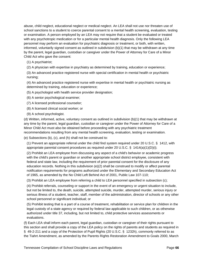abuse, child neglect, educational neglect or medical neglect. An LEA shall not use nor threaten use of school sanctions to a student to coerce parental consent to a mental health screening, evaluation, testing or examination. A person employed by an LEA may not require that a student be evaluated or treated with any psychotropic medication or for a particular mental health diagnosis. Only the following LEA personnel may perform an evaluation for psychiatric diagnosis or treatment, or both, with written, informed, voluntarily signed consent as outlined in subdivision (b)(1) that may be withdrawn at any time by the parent, legal guardian, custodian or caregiver under the Power of Attorney for Care of a Minor Child Act who gave the consent:

- (1) A psychiatrist;
- (2) A physician with expertise in psychiatry as determined by training, education or experience;

(3) An advanced practice registered nurse with special certification in mental health or psychiatric nursing;

(4) An advanced practice registered nurse with expertise in mental health or psychiatric nursing as determined by training, education or experience;

- (5) A psychologist with health service provider designation;
- (6) A senior psychological examiner;
- (7) A licensed professional counselor;
- (8) A licensed clinical social worker; or
- (9) A school psychologist.

(d) Written, informed, active, voluntary consent as outlined in subdivision (b)(1) that may be withdrawn at any time by the parent, legal guardian, custodian or caregiver under the Power of Attorney for Care of a Minor Child Act must also be obtained before proceeding with any psychiatric treatment recommendations resulting from any mental health screening, evaluation, testing or examination.

(e) Subsections (b), (c), and (h) shall not be construed to:

(1) Prevent an appropriate referral under the child find system required under 20 U.S.C. § 1412, with appropriate parental consent procedures as required under 20 U.S.C. §  $1414(a)(1)(D)(i)$ ;

(2) Prohibit an LEA employee from discussing any aspect of a child's behavior or academic progress with the child's parent or guardian or another appropriate school district employee, consistent with federal and state law, including the requirement of prior parental consent for the disclosure of any education records. Nothing in this subdivision (e)(2) shall be construed to modify or affect parental notification requirements for programs authorized under the Elementary and Secondary Education Act of 1965, as amended by the No Child Left Behind Act of 2001, Public Law 107-110;

(3) Prohibit an LEA employee from referring a child to LEA personnel specified in subsection (c);

(4) Prohibit referrals, counseling or support in the event of an emergency or urgent situation to include, but not be limited to, the death, suicide, attempted suicide, murder, attempted murder, serious injury or serious illness of a student, teacher, staff, member of the administration, director of schools or any other school personnel or significant individual; or

(5) Prohibit testing that is a part of a course of treatment, rehabilitation or service plan for children in the legal custody of a state agency or required by federal law applicable to such children, or as otherwise authorized under title 37, including, but not limited to, child protective services assessments or evaluations.

(f) Each LEA shall inform each parent, legal guardian, custodian or caregiver of their rights pursuant to this section and shall provide a copy of the LEA policy on the rights of parents and students as required in § 49-2-211 and a copy of the Protection of Pupil Rights (20 U.S.C. § 1232h), commonly referred to as the Tiahrt Amendment, as amended by the Parents Rights Restoration Amendment to Goals 2000, March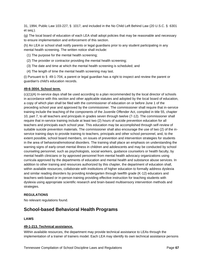31, 1994, Public Law 103-227, § 1017, and included in the No Child Left Behind Law (20 U.S.C. § 6301 et seq.).

(g) The local board of education of each LEA shall adopt policies that may be reasonable and necessary to ensure implementation and enforcement of this section.

(h) An LEA or school shall notify parents or legal guardians prior to any student participating in any mental health screening. The written notice shall include:

- (1) The purpose for the mental health screening;
- (2) The provider or contractor providing the mental health screening;
- (3) The date and time at which the mental health screening is scheduled; and
- (4) The length of time the mental health screening may last.

(i) Pursuant to § 49-1-704, a parent or legal guardian has a right to inspect and review the parent or guardian's child's education records.

### **49-6-3004. School term.**

(c)(1)(A) In-service days shall be used according to a plan recommended by the local director of schools in accordance with this section and other applicable statutes and adopted by the local board of education, a copy of which plan shall be filed with the commissioner of education on or before June 1 of the preceding school year and approved by the commissioner. The commissioner shall require that in-service training include the teaching of the components of the Juvenile Offender Act, compiled in title 55, chapter 10, part 7, to all teachers and principals in grades seven through twelve (7-12). The commissioner shall require that in-service training include at least two (2) hours of suicide prevention education for all teachers and principals each school year. This education may be accomplished through self-review of suitable suicide prevention materials. The commissioner shall also encourage the use of two (2) of the inservice training days to provide training to teachers, principals and other school personnel, and, to the extent possible, school board members, on issues of prevention and intervention strategies for students in the area of behavioral/emotional disorders. The training shall place an emphasis on understanding the warning signs of early-onset mental illness in children and adolescents and may be conducted by school counseling personnel, such as psychologists, social workers, guidance counselors or health faculty, by mental health clinicians or by approved personnel from mental health advocacy organizations using curricula approved by the departments of education and mental health and substance abuse services. In addition to other training and resources authorized by this chapter, the department of education shall, within available resources, collaborate with institutions of higher education to formally address dyslexia and similar reading disorders by providing kindergarten through twelfth grade (K-12) educators and teachers web-based or in-person training providing effective instruction for teaching students with dyslexia using appropriate scientific research and brain-based multisensory intervention methods and strategies.

## **REGULATIONS**

No relevant regulations found.

## **School-based Behavioral Health Programs**

#### **LAWS**

## **49-1-213. Technical assistance.**

Within available resources, the department may provide technical assistance to LEAs through the implementation of a trainer of trainers model. Each LEA may identify its own technical assistance persons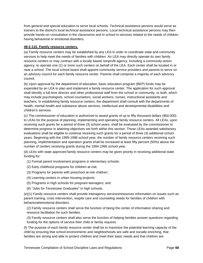from general and special education to serve local schools. Technical assistance persons would serve as trainers to the district's local technical assistance persons. Local technical assistance persons may then provide hands-on consultation in the classrooms and in school in-services related to the needs of children having behavioral or emotional disorders.

## **49-2-115. Family resource centers.**

(a) Family resource centers may be established by any LEA in order to coordinate state and community services to help meet the needs of families with children. An LEA may directly operate its own family resource centers or may contract with a locally based nonprofit agency, including a community action agency, to operate one (1) or more such centers on behalf of the LEA. Each center shall be located in or near a school. The local school board shall appoint community service providers and parents to serve on an advisory council for each family resource center. Parents shall comprise a majority of each advisory council.

(b) Upon approval by the department of education, basic education program (BEP) funds may be expended by an LEA to plan and implement a family resource center. The application for such approval shall identify a full-time director and other professional staff from the school or community, or both, which may include psychologists, school counselors, social workers, nurses, instructional assistants and teachers. In establishing family resource centers, the department shall consult with the departments of health, mental health and substance abuse services, intellectual and developmental disabilities and children's services.

(c) The commissioner of education is authorized to award grants of up to fifty thousand dollars (\$50,000) to LEAs for the purpose of planning, implementing and operating family resource centers. All LEAs, upon receiving such grants for a period of three (3) school years, shall be evaluated by the commissioner to determine progress in attaining objectives set forth within this section. Those LEAs awarded satisfactory evaluations shall be eligible to continue receiving such grants for a period of three (3) additional school years. Beginning with the 1995-1996 school year, the number of family resource centers receiving such planning, implementation and operation grants shall be increased at least fifty percent (50%) above the number of centers receiving grants during the 1994-1995 school year.

(d) LEAs with state approved family resource centers may be given priority in receiving additional state funding for:

(1) Formal parent involvement programs in elementary schools;

- (2) Early childhood programs for children at-risk;
- (3) Programs for parents with preschool at-risk children;
- (4) Learning centers in urban housing projects;
- (5) Programs in high schools for pregnant teenagers; and
- (6) "Jobs for Tennessee Graduates" in high schools.

(e)(1) Family resource centers shall provide interagency services/resources information on issues such as parent training, crisis intervention, respite care and counseling needs for families of children with behavioral/emotional disorders.

(2) Family resource centers shall serve the function of being the center of information sharing and resource facilitation for such families.

(3) Family resource centers shall also serve the function of helping families answer questions regarding funding for the options of service their child or family requires.

(f) The purpose of each family resource center shall be to maximize the potential learning capacity of the child by ensuring that school environments and neighborhoods are safe and socially enriching, that families are strong and able to protect children and meet their basic needs and that children are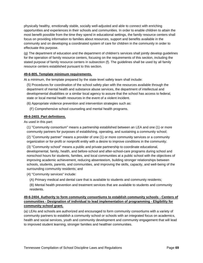physically healthy, emotionally stable, socially well-adjusted and able to connect with enriching opportunities and experiences in their schools and communities. In order to enable children to attain the most benefit possible from the time they spend in educational settings, the family resource centers shall focus on providing information to families about resources, support and benefits available in the community and on developing a coordinated system of care for children in the community in order to effectuate this purpose.

(g) The department of education and the department of children's services shall jointly develop guidelines for the operation of family resource centers, focusing on the requirements of this section, including the stated purpose of family resource centers in subsection (f). The guidelines shall be used by all family resource centers established pursuant to this section.

### **49-6-805. Template minimum requirements.**

At a minimum, the template prepared by the state-level safety team shall include:

(5) Procedures for coordination of the school safety plan with the resources available through the department of mental health and substance abuse services, the department of intellectual and developmental disabilities or a similar local agency to assure that the school has access to federal, state or local mental health resources in the event of a violent incident.

(6) Appropriate violence prevention and intervention strategies such as:

(F) Comprehensive school counseling and mental health programs.

#### **49-6-2403. Part definitions.**

As used in this part:

(1) "Community consortium" means a partnership established between an LEA and one (1) or more community partners for purposes of establishing, operating, and sustaining a community school;

(2) "Community partner" means a provider of one (1) or more community services or a community organization or for-profit or nonprofit entity with a desire to improve conditions in the community;

(3) "Community school" means a public and private partnership to coordinate educational, developmental, family, health, and before-school and after-school-care programs during school and nonschool hours for students, families, and local communities at a public school with the objectives of improving academic achievement, reducing absenteeism, building stronger relationships between schools, students, parents, and communities, and improving the skills, capacity, and well-being of the surrounding community residents; and

(4) "Community services" include:

(A) Primary medical and dental care that is available to students and community residents;

(B) Mental health prevention and treatment services that are available to students and community residents.

### **49-6-2404. Authority to form community consortiums to establish community schools - Centers of communities - Designation of individual to lead implementation of programming - Eligibility for community school grant.**

(a) LEAs and schools are authorized and encouraged to form community consortiums with a variety of community partners to establish a community school or schools with an integrated focus on academics, health and social services, youth and community development and community engagement that will lead to improved student learning, stronger families and healthier communities.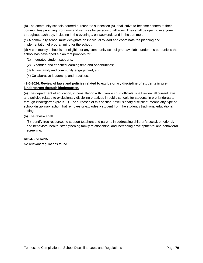(b) The community schools, formed pursuant to subsection (a), shall strive to become centers of their communities providing programs and services for persons of all ages. They shall be open to everyone throughout each day, including in the evenings, on weekends and in the summer.

(c) A community school must designate an individual to lead and coordinate the planning and implementation of programming for the school.

(d) A community school is not eligible for any community school grant available under this part unless the school has developed a plan that provides for:

- (1) Integrated student supports;
- (2) Expanded and enriched learning time and opportunities;
- (3) Active family and community engagement; and
- (4) Collaborative leadership and practices.

### **49-6-3024. Review of laws and policies related to exclusionary discipline of students in prekindergarten through kindergarten.**

(a) The department of education, in consultation with juvenile court officials, shall review all current laws and policies related to exclusionary discipline practices in public schools for students in pre-kindergarten through kindergarten (pre-K-K). For purposes of this section, "exclusionary discipline" means any type of school disciplinary action that removes or excludes a student from the student's traditional educational setting.

(b) The review shall:

(5) Identify free resources to support teachers and parents in addressing children's social, emotional, and behavioral health, strengthening family relationships, and increasing developmental and behavioral screening.

### **REGULATIONS**

No relevant regulations found.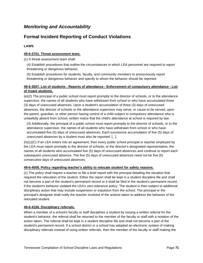## *Monitoring and Accountability*

# **Formal Incident Reporting of Conduct Violations**

### **LAWS**

### **49-6-2701. Threat assessment team.**

(c) A threat assessment team shall:

- (4) Establish procedures that outline the circumstances in which LEA personnel are required to report threatening or dangerous behavior;
- (5) Establish procedures for students, faculty, and community members to anonymously report threatening or dangerous behavior and specify to whom the behavior should be reported.

### **49-6-3007. List of students - Reports of attendance - Enforcement of compulsory attendance - List of truant students.**

(e)(2) The principal of a public school must report promptly to the director of schools, or to the attendance supervisor, the names of all students who have withdrawn from school or who have accumulated three (3) days of unexcused absences. Upon a student's accumulation of three (3) days of unexcused absences, the director of schools or the attendance supervisor may serve, or cause to be served, upon the parent, guardian, or other person having control of a child subject to compulsory attendance who is unlawfully absent from school, written notice that the child's attendance at school is required by law.

(3) Additionally, the principal of a public school must report promptly to the director of schools, or to the attendance supervisor, the names of all students who have withdrawn from school or who have accumulated five (5) days of unexcused absences. Each successive accumulation of five (5) days of unexcused absences by a student must also be reported. [...]

(h)(1)(C) If an LEA enters into an agreement, then every public school principal or teacher employed by the LEA must report promptly to the director of schools, or the director's designated representative, the names of all students who accumulated five (5) days of unexcused absences and continue to report each subsequent unexcused absence. The five (5) days of unexcused absences need not be five (5) consecutive days of unexcused absences.

### **49-6-4008. Policy regarding teacher's ability to relocate student for safety reasons.**

(c) The policy shall require a teacher to file a brief report with the principal detailing the situation that required the relocation of the student. Either the report shall be kept in a student discipline file and shall not become a part of the student's permanent record or it shall be filed in the student's permanent record, if the student's behavior violated the LEA's zero tolerance policy. The student is then subject to additional disciplinary action that may include suspension or expulsion from the school. The principal or the principal's designee shall notify the teacher involved of the actions taken to address the behavior of the relocated student.

### **49-6-4106. Disciplinary referrals.**

When a member of a school's faculty or staff disciplines a student by issuing a written referral for the student's behavior, the referral shall be returned to the member of the faculty or staff with a notation of the action taken. The referral shall be kept in a student discipline file and shall not become a part of the student's permanent record. If a school district or a school has adopted an electronic system of making disciplinary referrals instead of using written referrals, then the member of the faculty or staff making the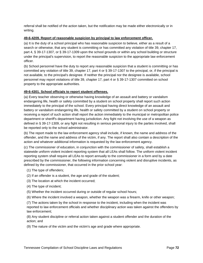referral shall be notified of the action taken, but the notification may be made either electronically or in writing.

#### **49-6-4209. Report of reasonable suspicion by principal to law enforcement officer.**

(a) It is the duty of a school principal who has reasonable suspicion to believe, either as a result of a search or otherwise, that any student is committing or has committed any violation of title 39, chapter 17, part 4, § 39-17-1307, or § 39-17-1309 upon the school grounds or within any school building or structure under the principal's supervision, to report the reasonable suspicion to the appropriate law enforcement officer.

(b) School personnel have the duty to report any reasonable suspicion that a student is committing or has committed any violation of title 39, chapter 17, part 4 or § 39-17-1307 to the principal, or, if the principal is not available, to the principal's designee. If neither the principal nor the designee is available, school personnel may report violations of title 39, chapter 17, part 4 or § 39-17-1307 committed on school property to the appropriate authorities.

### **49-6-4301. School officials to report student offenses.**

(a) Every teacher observing or otherwise having knowledge of an assault and battery or vandalism endangering life, health or safety committed by a student on school property shall report such action immediately to the principal of the school. Every principal having direct knowledge of an assault and battery or vandalism endangering life, health or safety committed by a student on school property or receiving a report of such action shall report the action immediately to the municipal or metropolitan police department or sheriff's department having jurisdiction. Any fight not involving the use of a weapon as defined in § 39-17-1309, or any fight not resulting in serious personal injury to the parties involved, shall be reported only to the school administrator.

(b) The report made to the law enforcement agency shall include, if known, the name and address of the offender, and the name and address of the victim, if any. The report shall also contain a description of the action and whatever additional information is requested by the law enforcement agency.

(c) The commissioner of education, in conjunction with the commissioner of safety, shall establish a statewide uniform violent incident reporting system that all LEAs shall follow. The uniform violent incident reporting system shall require all LEAs to report annually to the commissioner in a form and by a date prescribed by the commissioner, the following information concerning violent and disruptive incidents, as defined by the commissioner, that occurred in the prior school year:

- (1) The type of offenders;
- (2) If an offender is a student, the age and grade of the student;
- (3) The location at which the incident occurred;
- (4) The type of incident;
- (5) Whether the incident occurred during or outside of regular school hours;
- (6) Where the incident involved a weapon, whether the weapon was a firearm, knife or other weapon;

(7) The actions taken by the school in response to the incident, including when the incident was reported to law enforcement officials and whether disciplinary action was taken against the offenders by law enforcement;

(8) Any student discipline or referral action taken against a student offender and the duration of the action; and

(9) The nature of the victim and the victim's age and grade where appropriate.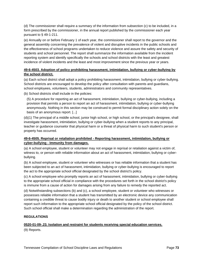(d) The commissioner shall require a summary of the information from subsection (c) to be included, in a form prescribed by the commissioner, in the annual report published by the commissioner each year pursuant to § 49-1-211.

(e) Annually on or before February 1 of each year, the commissioner shall report to the governor and the general assembly concerning the prevalence of violent and disruptive incidents in the public schools and the effectiveness of school programs undertaken to reduce violence and assure the safety and security of students and school personnel. The report shall summarize the information available from the incident reporting system and identify specifically the schools and school districts with the least and greatest incidence of violent incidents and the least and most improvement since the previous year or years.

### **49-6-4503. Adoption of policy prohibiting harassment, intimidation, bullying or cyber-bullying by the school district.**

(a) Each school district shall adopt a policy prohibiting harassment, intimidation, bullying or cyber-bullying. School districts are encouraged to develop the policy after consultation with parents and guardians, school employees, volunteers, students, administrators and community representatives.

(b) School districts shall include in the policies:

(5) A procedure for reporting an act of harassment, intimidation, bullying or cyber-bullying, including a provision that permits a person to report an act of harassment, intimidation, bullying or cyber-bullying anonymously. Nothing in this section may be construed to permit formal disciplinary action solely on the basis of an anonymous report. [...]

(d)(1) The principal of a middle school, junior high school, or high school, or the principal's designee, shall investigate harassment, intimidation, bullying or cyber-bullying when a student reports to any principal, teacher or guidance counselor that physical harm or a threat of physical harm to such student's person or property has occurred.

### **49-6-4505. Reprisal or retaliation prohibited - Reporting harassment, intimidation, bullying or cyber-bullying - Immunity from damages.**

(a) A school employee, student or volunteer may not engage in reprisal or retaliation against a victim of, witness to, or person with reliable information about an act of harassment, intimidation, bullying or cyberbullying.

(b) A school employee, student or volunteer who witnesses or has reliable information that a student has been subjected to an act of harassment, intimidation, bullying or cyber-bullying is encouraged to report the act to the appropriate school official designated by the school district's policy.

(c) A school employee who promptly reports an act of harassment, intimidation, bullying or cyber-bullying to the appropriate school official in compliance with the procedures set forth in the school district's policy is immune from a cause of action for damages arising from any failure to remedy the reported act.

(d) Notwithstanding subsections (b) and (c), a school employee, student or volunteer who witnesses or possesses reliable information that a student has transmitted by an electronic device any communication containing a credible threat to cause bodily injury or death to another student or school employee shall report such information to the appropriate school official designated by the policy of the school district. Such school official shall make a determination regarding the administration of the report.

## **REGULATIONS**

### **0520-01-09-.23. Isolation and restraint for students receiving special education services.**

(9) Reports.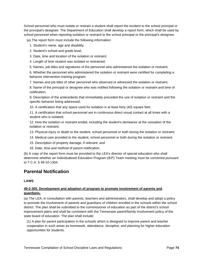School personnel who must isolate or restrain a student shall report the incident to the school principal or the principal's designee. The Department of Education shall develop a report form, which shall be used by school personnel when reporting isolation or restraint to the school principal or the principal's designee.

(a) The report form must include the following information:

- 1. Student's name, age and disability;
- 2. Student's school and grade level;
- 3. Date, time and location of the isolation or restraint;
- 4. Length of time student was isolated or restrained;
- 5. Names, job titles and signatures of the personnel who administered the isolation or restraint;

6. Whether the personnel who administered the isolation or restraint were certified for completing a behavior intervention training program;

7. Names and job titles of other personnel who observed or witnessed the isolation or restraint;

8. Name of the principal or designee who was notified following the isolation or restraint and time of notification;

9. Description of the antecedents that immediately preceded the use of isolation or restraint and the specific behavior being addressed;

10. A certification that any space used for isolation is at least forty (40) square feet;

11. A certification that school personnel are in continuous direct visual contact at all times with a student who is isolated;

12. How the isolation or restraint ended, including the student's demeanor at the cessation of the isolation or restraint;

- 13. Physical injury or death to the student, school personnel or both during the isolation or restraint;
- 14. Medical care provided to the student, school personnel or both during the isolation or restraint;
- 15. Description of property damage, if relevant; and
- 16. Date, time and method of parent notification.

(b) A copy of the report form must be provided to the LEA's director of special education who shall determine whether an Individualized Education Program (IEP) Team meeting must be convened pursuant to T.C.A. § 49-10-1304.

## **Parental Notification**

## **LAWS**

### **49-2-305. Development and adoption of program to promote involvement of parents and guardians.**

(a) The LEA, in consultation with parents, teachers and administrators, shall develop and adopt a policy to promote the involvement of parents and guardians of children enrolled in the schools within the school district. The plan shall be submitted to the commissioner of education as part of the district's school improvement plans and shall be consistent with the Tennessee parent/family involvement policy of the state board of education. The plan shall include:

(1) A plan for parent participation in the schools which is designed to improve parent and teacher cooperation in such areas as homework, attendance, discipline, and planning for higher education opportunities for students.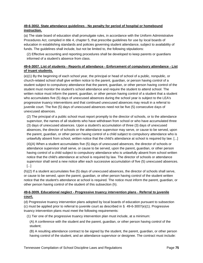## **49-6-3002. State attendance guidelines - No penalty for period of hospital or homebound instruction.**

(a) The state board of education shall promulgate rules, in accordance with the Uniform Administrative Procedures Act, compiled in title 4, chapter 5, that prescribe guidelines for use by local boards of education in establishing standards and policies governing student attendance, subject to availability of funds. The guidelines shall include, but not be limited to, the following stipulations:

(2) Effective accounting and reporting procedures shall be developed to keep parents or guardians informed of a student's absence from class.

## **49-6-3007. List of students - Reports of attendance - Enforcement of compulsory attendance - List of truant students.**

(e)(1) By the beginning of each school year, the principal or head of school of a public, nonpublic, or church-related school shall give written notice to the parent, guardian, or person having control of a student subject to compulsory attendance that the parent, guardian, or other person having control of the student must monitor the student's school attendance and require the student to attend school. The written notice must inform the parent, guardian, or other person having control of a student that a student who accumulates five (5) days of unexcused absences during the school year is subject to the LEA's progressive truancy interventions and that continued unexcused absences may result in a referral to juvenile court. The five (5) days of unexcused absences need not be five (5) consecutive days of unexcused absences.

(2) The principal of a public school must report promptly to the director of schools, or to the attendance supervisor, the names of all students who have withdrawn from school or who have accumulated three (3) days of unexcused absences. Upon a student's accumulation of three (3) days of unexcused absences, the director of schools or the attendance supervisor may serve, or cause to be served, upon the parent, guardian, or other person having control of a child subject to compulsory attendance who is unlawfully absent from school, written notice that the child's attendance at school is required by law. [...]

(4)(A) When a student accumulates five (5) days of unexcused absences, the director of schools or attendance supervisor shall serve, or cause to be served, upon the parent, guardian, or other person having control of a child subject to compulsory attendance who is unlawfully absent from school written notice that the child's attendance at school is required by law. The director of schools or attendance supervisor shall send a new notice after each successive accumulation of five (5) unexcused absences. [...]

(h)(2) If a student accumulates five (5) days of unexcused absences, the director of schools shall serve, or cause to be served, upon the parent, guardian, or other person having control of the student written notice that the student's attendance at school is required. The notice must inform the parent, guardian, or other person having control of the student of this subsection (h).

## **49-6-3009. Educational neglect - Progressive truancy intervention plans - Referral to juvenile court.**

(d) Progressive truancy intervention plans adopted by local boards of education pursuant to subsection (c) must be applied prior to referral to juvenile court as described in § 49-6-3007(e)(1). Progressive truancy intervention plans must meet the following requirements:

(1) Tier one of the progressive truancy intervention plan must include, at a minimum:

(A) A conference with the student and the parent, guardian, or other person having control of the student;

(B) A resulting attendance contract to be signed by the student, the parent, guardian, or other person having control of the student, and an attendance supervisor or designee. The contract must include: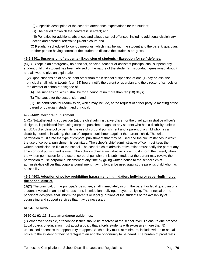(i) A specific description of the school's attendance expectations for the student;

(ii) The period for which the contract is in effect; and

(iii) Penalties for additional absences and alleged school offenses, including additional disciplinary action and potential referral to juvenile court; and

(C) Regularly scheduled follow-up meetings, which may be with the student and the parent, guardian, or other person having control of the student to discuss the student's progress.

### **49-6-3401. Suspension of students - Expulsion of students - Exception for self-defense.**

(c)(1) Except in an emergency, no principal, principal-teacher or assistant principal shall suspend any student until that student has been advised of the nature of the student's misconduct, questioned about it and allowed to give an explanation.

(2) Upon suspension of any student other than for in-school suspension of one (1) day or less, the principal shall, within twenty-four (24) hours, notify the parent or guardian and the director of schools or the director of schools' designee of:

- (A) The suspension, which shall be for a period of no more than ten (10) days;
- (B) The cause for the suspension; and

(C) The conditions for readmission, which may include, at the request of either party, a meeting of the parent or guardian, student and principal.

### **49-6-4402. Corporal punishment.**

(c)(1) Notwithstanding subsection (a), the chief administrative officer, or the chief administrative officer's designee, is prohibited from using corporal punishment against any student who has a disability, unless an LEA's discipline policy permits the use of corporal punishment and a parent of a child who has a disability permits, in writing, the use of corporal punishment against the parent's child. The written permission must state the type of corporal punishment that may be used and the circumstances in which the use of corporal punishment is permitted. The school's chief administrative officer must keep the written permission on file at the school. The school's chief administrative officer must notify the parent any time corporal punishment is used. The school's chief administrative officer must inform the parent, when the written permission for the use of corporal punishment is submitted, that the parent may revoke the permission to use corporal punishment at any time by giving written notice to the school's chief administrative officer that corporal punishment may no longer be used against the parent's child who has a disability.

## **49-6-4503. Adoption of policy prohibiting harassment, intimidation, bullying or cyber-bullying by the school district.**

(d)(2) The principal, or the principal's designee, shall immediately inform the parent or legal guardian of a student involved in an act of harassment, intimidation, bullying, or cyber-bullying. The principal or the principal's designee shall inform the parents or legal guardians of the students of the availability of counseling and support services that may be necessary.

## **REGULATIONS**

### **0520-01-02-.17. State attendance guidelines.**

(7) Whenever possible, attendance issues should be resolved at the school level. To ensure due process, Local boards of education must adopt a policy that affords students with excessive (more than 5) unexcused absences the opportunity to appeal. Such policy must, at minimum, include written or actual notice to the student or their parent/guardian and the opportunity to be heard. The burden of proof rests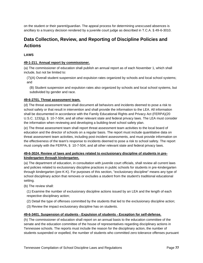on the student or their parent/guardian. The appeal process for determining unexcused absences is ancillary to a truancy decision rendered by a juvenile court judge as described in T.C.A. § 49-6-3010.

# **Data Collection, Review, and Reporting of Discipline Policies and Actions**

## **LAWS**

### **49-1-211. Annual report by commissioner.**

(a) The commissioner of education shall publish an annual report as of each November 1, which shall include, but not be limited to:

(7)(A) Overall student suspension and expulsion rates organized by schools and local school systems; and

(B) Student suspension and expulsion rates also organized by schools and local school systems, but subdivided by gender and race.

### **49-6-2701. Threat assessment team.**

(d) The threat assessment team shall document all behaviors and incidents deemed to pose a risk to school safety or that result in intervention and shall provide the information to the LEA. All information shall be documented in accordance with the Family Educational Rights and Privacy Act (FERPA)(20 U.S.C. 1232g), § 10-7-504, and all other relevant state and federal privacy laws. The LEA must consider the information when reviewing and developing a building-level school safety plan.

(e) The threat assessment team shall report threat assessment team activities to the local board of education and the director of schools on a regular basis. The report must include quantitative data on threat assessment team activities, including post-incident assessments, and must provide information on the effectiveness of the team's response to incidents deemed to pose a risk to school safety. The report must comply with the FERPA, § 10-7-504, and all other relevant state and federal privacy laws.

### **49-6-3024. Review of laws and policies related to exclusionary discipline of students in prekindergarten through kindergarten.**

(a) The department of education, in consultation with juvenile court officials, shall review all current laws and policies related to exclusionary discipline practices in public schools for students in pre-kindergarten through kindergarten (pre-K-K). For purposes of this section, "exclusionary discipline" means any type of school disciplinary action that removes or excludes a student from the student's traditional educational setting.

(b) The review shall:

- (1) Examine the number of exclusionary discipline actions issued by an LEA and the length of each respective disciplinary action;
- (2) Detail the type of offenses committed by the students that led to the exclusionary discipline action;
- (3) Review the impact exclusionary discipline has on students.

### **49-6-3401. Suspension of students - Expulsion of students - Exception for self-defense.**

(h) The commissioner of education shall report on an annual basis to the education committee of the senate and the education committee of the house of representatives regarding disciplinary actions in Tennessee schools. The reports must include the reason for the disciplinary action, the number of students suspended or expelled, the number of students who committed zero tolerance offenses pursuant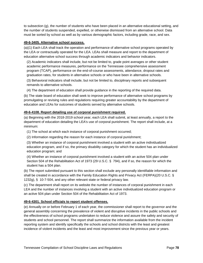to subsection (g), the number of students who have been placed in an alternative educational setting, and the number of students suspended, expelled, or otherwise dismissed from an alternative school. Data must be sorted by school as well as by various demographic factors, including grade, race, and sex.

#### **49-6-3405. Alternative school success.**

(a)(1) Each LEA shall track the operation and performance of alternative school programs operated by the LEA or contractually operated for the LEA. LEAs shall measure and report to the department of education alternative school success through academic indicators and behavior indicators.

(2) Academic indicators shall include, but not be limited to, grade point averages or other student academic performance measures, performance on the Tennessee comprehensive assessment program (TCAP), performance on the end-of-course assessments, attendance, dropout rates and graduation rates, for students in alternative schools or who have been in alternative schools.

(3) Behavioral indicators shall include, but not be limited to, disciplinary reports and subsequent remands to alternative schools.

(4) The department of education shall provide guidance in the reporting of the required data.

(b) The state board of education shall seek to improve performance of alternative school programs by promulgating or revising rules and regulations requiring greater accountability by the department of education and LEAs for outcomes of students served by alternative schools.

### **49-6-4108. Report detailing use of corporal punishment required.**

(a) Beginning with the 2018-2019 school year, each LEA shall submit, at least annually, a report to the department of education detailing the LEA's use of corporal punishment. The report shall include, at a minimum:

- (1) The school at which each instance of corporal punishment occurred;
- (2) Information regarding the reason for each instance of corporal punishment;

(3) Whether an instance of corporal punishment involved a student with an active individualized education program, and if so, the primary disability category for which the student has an individualized education program; and

(4) Whether an instance of corporal punishment involved a student with an active 504 plan under Section 504 of the Rehabilitation Act of 1973 (29 U.S.C. § 794), and if so, the reason for which the student has a 504 plan.

(b) The report submitted pursuant to this section shall exclude any personally identifiable information and shall be created in accordance with the Family Education Rights and Privacy Act (FERPA)(20 U.S.C. § 1232g), § 10-7-504, and any other relevant state or federal privacy law.

(c) The department shall report on its website the number of instances of corporal punishment in each LEA and the number of instances involving a student with an active individualized education program or an active 504 plan under Section 504 of the Rehabilitation Act of 1973.

### **49-6-4301. School officials to report student offenses.**

(e) Annually on or before February 1 of each year, the commissioner shall report to the governor and the general assembly concerning the prevalence of violent and disruptive incidents in the public schools and the effectiveness of school programs undertaken to reduce violence and assure the safety and security of students and school personnel. The report shall summarize the information available from the incident reporting system and identify specifically the schools and school districts with the least and greatest incidence of violent incidents and the least and most improvement since the previous year or years.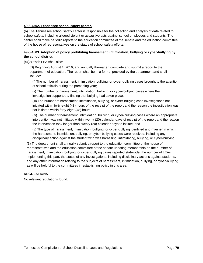#### **49-6-4302. Tennessee school safety center.**

(b) The Tennessee school safety center is responsible for the collection and analysis of data related to school safety, including alleged violent or assaultive acts against school employees and students. The center shall make periodic reports to the education committee of the senate and the education committee of the house of representatives on the status of school safety efforts.

### **49-6-4503. Adoption of policy prohibiting harassment, intimidation, bullying or cyber-bullying by the school district.**

(c)(2) Each LEA shall also:

(B) Beginning August 1, 2016, and annually thereafter, complete and submit a report to the department of education. The report shall be in a format provided by the department and shall include:

(i) The number of harassment, intimidation, bullying, or cyber-bullying cases brought to the attention of school officials during the preceding year;

(ii) The number of harassment, intimidation, bullying, or cyber-bullying cases where the investigation supported a finding that bullying had taken place;

(iii) The number of harassment, intimidation, bullying, or cyber-bullying case investigations not initiated within forty-eight (48) hours of the receipt of the report and the reason the investigation was not initiated within forty-eight (48) hours;

(iv) The number of harassment, intimidation, bullying, or cyber-bullying cases where an appropriate intervention was not initiated within twenty (20) calendar days of receipt of the report and the reason the intervention took longer than twenty (20) calendar days to initiate; and

(v) The type of harassment, intimidation, bullying, or cyber-bullying identified and manner in which the harassment, intimidation, bullying, or cyber-bullying cases were resolved, including any disciplinary action against the student who was harassing, intimidating, bullying, or cyber-bullying.

(3) The department shall annually submit a report to the education committee of the house of representatives and the education committee of the senate updating membership on the number of harassment, intimidation, bullying, or cyber-bullying cases reported statewide, the number of LEAs implementing this part, the status of any investigations, including disciplinary actions against students, and any other information relating to the subjects of harassment, intimidation, bullying, or cyber-bullying as will be helpful to the committees in establishing policy in this area.

### **REGULATIONS**

No relevant regulations found.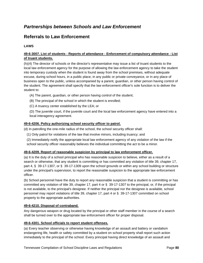## *Partnerships between Schools and Law Enforcement*

## **Referrals to Law Enforcement**

## **LAWS**

## **49-6-3007. List of students - Reports of attendance - Enforcement of compulsory attendance - List of truant students.**

(h)(4) The director of schools or the director's representative may issue a list of truant students to the local law enforcement agency for the purpose of allowing the law enforcement agency to take the student into temporary custody when the student is found away from the school premises, without adequate excuse, during school hours, in a public place, in any public or private conveyance, or in any place of business open to the public, unless accompanied by a parent, guardian, or other person having control of the student. The agreement shall specify that the law enforcement officer's sole function is to deliver the student to:

- (A) The parent, guardian, or other person having control of the student;
- (B) The principal of the school in which the student is enrolled;
- (C) A truancy center established by the LEA; or

(D) The juvenile court, if the juvenile court and the local law enforcement agency have entered into a local interagency agreement.

### **49-6-4206. Policy authorizing school security officer to patrol.**

(d) In patrolling the one-mile radius of the school, the school security officer shall:

(1) Only patrol for violations of the law that involve minors, including truancy; and

(2) Immediately notify the appropriate local law enforcement agency of any violation of the law if the school security officer reasonably believes the individual committing the act to be a minor.

### **49-6-4209. Report of reasonable suspicion by principal to law enforcement officer.**

(a) It is the duty of a school principal who has reasonable suspicion to believe, either as a result of a search or otherwise, that any student is committing or has committed any violation of title 39, chapter 17, part 4, § 39-17-1307, or § 39-17-1309 upon the school grounds or within any school building or structure under the principal's supervision, to report the reasonable suspicion to the appropriate law enforcement officer.

(b) School personnel have the duty to report any reasonable suspicion that a student is committing or has committed any violation of title 39, chapter 17, part 4 or § 39-17-1307 to the principal, or, if the principal is not available, to the principal's designee. If neither the principal nor the designee is available, school personnel may report violations of title 39, chapter 17, part 4 or § 39-17-1307 committed on school property to the appropriate authorities.

### **49-6-4210. Disposal of contraband.**

Any dangerous weapon or drug located by the principal or other staff member in the course of a search shall be turned over to the appropriate law enforcement officer for proper disposal.

### **49-6-4301. School officials to report student offenses.**

(a) Every teacher observing or otherwise having knowledge of an assault and battery or vandalism endangering life, health or safety committed by a student on school property shall report such action immediately to the principal of the school. Every principal having direct knowledge of an assault and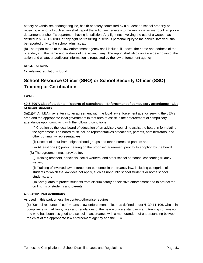battery or vandalism endangering life, health or safety committed by a student on school property or receiving a report of such action shall report the action immediately to the municipal or metropolitan police department or sheriff's department having jurisdiction. Any fight not involving the use of a weapon as defined in § 39-17-1309, or any fight not resulting in serious personal injury to the parties involved, shall be reported only to the school administrator.

(b) The report made to the law enforcement agency shall include, if known, the name and address of the offender, and the name and address of the victim, if any. The report shall also contain a description of the action and whatever additional information is requested by the law enforcement agency.

### **REGULATIONS**

No relevant regulations found.

# **School Resource Officer (SRO) or School Security Officer (SSO) Training or Certification**

### **LAWS**

### **49-6-3007. List of students - Reports of attendance - Enforcement of compulsory attendance - List of truant students.**

(h)(1)(A) An LEA may enter into an agreement with the local law enforcement agency serving the LEA's area and the appropriate local government in that area to assist in the enforcement of compulsory attendance upon complying with the following conditions:

(i) Creation by the local board of education of an advisory council to assist the board in formulating the agreement. The board must include representatives of teachers, parents, administrators, and other community representatives;

(ii) Receipt of input from neighborhood groups and other interested parties; and

(iii) At least one (1) public hearing on the proposed agreement prior to its adoption by the board.

(B) The agreement must provide for:

(i) Training teachers, principals, social workers, and other school personnel concerning truancy issues;

(ii) Training of involved law enforcement personnel in the truancy law, including categories of students to which the law does not apply, such as nonpublic school students or home school students; and

(iii) Safeguards to protect students from discriminatory or selective enforcement and to protect the civil rights of students and parents.

### **49-6-4202. Part definitions.**

As used in this part, unless the context otherwise requires:

(6) "School resource officer" means a law enforcement officer, as defined under § 39-11-106, who is in compliance with all laws, rules and regulations of the peace officers standards and training commission and who has been assigned to a school in accordance with a memorandum of understanding between the chief of the appropriate law enforcement agency and the LEA.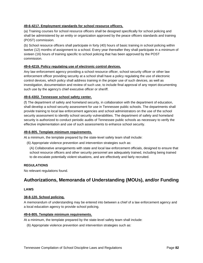### **49-6-4217. Employment standards for school resource officers.**

(a) Training courses for school resource officers shall be designed specifically for school policing and shall be administered by an entity or organization approved by the peace officers standards and training (POST) commission.

(b) School resource officers shall participate in forty (40) hours of basic training in school policing within twelve (12) months of assignment to a school. Every year thereafter they shall participate in a minimum of sixteen (16) hours of training specific to school policing that has been approved by the POST commission.

### **49-6-4219. Policy regulating use of electronic control devices.**

Any law enforcement agency providing a school resource officer, school security officer or other law enforcement officer providing security at a school shall have a policy regulating the use of electronic control devices, which policy shall address training in the proper use of such devices, as well as investigation, documentation and review of such use, to include final approval of any report documenting such use by the agency's chief executive officer or sheriff.

### **49-6-4302. Tennessee school safety center.**

(f) The department of safety and homeland security, in collaboration with the department of education, shall develop a school security assessment for use in Tennessee public schools. The departments shall provide training to local law enforcement agencies and school administrators on the use of the school security assessment to identify school security vulnerabilities. The department of safety and homeland security is authorized to conduct periodic audits of Tennessee public schools as necessary to verify the effective implementation and use of such assessments to enhance school security.

### **49-6-805. Template minimum requirements.**

At a minimum, the template prepared by the state-level safety team shall include:

- (6) Appropriate violence prevention and intervention strategies such as:
	- (A) Collaborative arrangements with state and local law enforcement officials, designed to ensure that school resource officers and other security personnel are adequately trained, including being trained to de-escalate potentially violent situations, and are effectively and fairly recruited.

### **REGULATIONS**

No relevant regulations found.

## **Authorizations, Memoranda of Understanding (MOUs), and/or Funding**

### **LAWS**

### **38-8-120. School policing.**

A memorandum of understanding may be entered into between a chief of a law enforcement agency and a local education agency to provide school policing.

#### **49-6-805. Template minimum requirements.**

At a minimum, the template prepared by the state-level safety team shall include:

(6) Appropriate violence prevention and intervention strategies such as: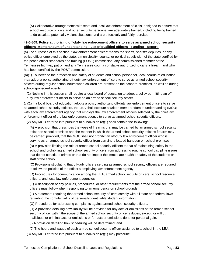(A) Collaborative arrangements with state and local law enforcement officials, designed to ensure that school resource officers and other security personnel are adequately trained, including being trained to de-escalate potentially violent situations, and are effectively and fairly recruited.

### **49-6-809. Policy authorizing off-duty law enforcement officers to serve as armed school security officers -Memorandum of understanding - List of qualified officers - Funding - Report.**

(a) For purposes of this section, "law enforcement officer" means the sheriff, sheriff's deputies, or any police officer employed by the state, a municipality, county, or political subdivision of the state certified by the peace officer standards and training (POST) commission; any commissioned member of the Tennessee highway patrol; and any Tennessee county constable authorized to carry a firearm and who has been certified by the POST commission.

(b)(1) To increase the protection and safety of students and school personnel, local boards of education may adopt a policy authorizing off-duty law enforcement officers to serve as armed school security officers during regular school hours when children are present on the school's premises, as well as during school-sponsored events.

(2) Nothing in this section shall require a local board of education to adopt a policy permitting an offduty law enforcement officer to serve as an armed school security officer.

(c)(1) If a local board of education adopts a policy authorizing off-duty law enforcement officers to serve as armed school security officers, the LEA shall execute a written memorandum of understanding (MOU) with each law enforcement agency that employs the law enforcement officers selected by the chief law enforcement officer of the law enforcement agency to serve as armed school security officers.

(2) Any MOU entered into pursuant to subdivision (c)(1) shall contain the following:

(A) A provision that prescribes the types of firearms that may be carried by an armed school security officer on school premises and the manner in which the armed school security officer's firearm may be carried; provided, that the MOU shall not prohibit an off-duty law enforcement officer who is serving as an armed school security officer from carrying a loaded handgun on school premises;

(B) A provision limiting the role of armed school security officers to that of maintaining safety in the school and prohibiting armed school security officers from addressing routine school discipline issues that do not constitute crimes or that do not impact the immediate health or safety of the students or staff of the school;

(C) Provisions stipulating that off-duty officers serving as armed school security officers are required to follow the policies of the officer's employing law enforcement agency;

(D) Procedures for communication among the LEA, armed school security officers, school resource officers, and local law enforcement agencies;

(E) A description of any policies, procedures, or other requirements that the armed school security officers must follow when responding to an emergency on school grounds;

(F) A statement requiring that armed school security officers comply with all state and federal laws regarding the confidentiality of personally identifiable student information;

(G) Procedures for addressing complaints against armed school security officers;

(H) A provision detailing how liability will be provided for any acts or omissions of the armed school security officer within the scope of the armed school security officer's duties, except for willful, malicious, or criminal acts or omissions or for acts or omissions done for personal gain;

(I) A provision detailing how scheduling will be determined; and

(J) The hours and wages of each armed school security officer assigned to a school in the LEA.

(3) Any MOU entered into pursuant to subdivision (c)(1) may prescribe: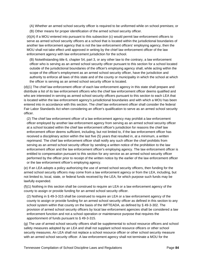- (A) Whether an armed school security officer is required to be uniformed while on school premises; or
- (B) Other means for proper identification of the armed school security officer.

(4)(A) If a MOU entered into pursuant to this subsection (c) would permit law enforcement officers to serve as armed school security officers at a school that is located within the jurisdictional boundaries of another law enforcement agency that is not the law enforcement officers' employing agency, then the MOU shall not take effect until approved in writing by the chief law enforcement officer of the law enforcement agency with law enforcement jurisdiction for the school.

(B) Notwithstanding title 6, chapter 54, part 3, or any other law to the contrary, a law enforcement officer who is serving as an armed school security officer pursuant to this section for a school located outside of the jurisdictional boundaries of the officer's employing agency shall, while acting within the scope of the officer's employment as an armed school security officer, have the jurisdiction and authority to enforce all laws of this state and of the county or municipality in which the school at which the officer is serving as an armed school security officer is located.

(d)(1) The chief law enforcement officer of each law enforcement agency in this state shall prepare and distribute a list of its law enforcement officers who the chief law enforcement officer deems qualified and who are interested in serving as armed school security officers pursuant to this section to each LEA that is located within the law enforcement agency's jurisdictional boundaries and with which a MOU has been entered into in accordance with this section. The chief law enforcement officer shall consider the federal Fair Labor Standards Act when considering an officer's qualification to serve as an armed school security officer.

(2) The chief law enforcement officer of a law enforcement agency may prohibit a law enforcement officer employed by another law enforcement agency from serving as an armed school security officer at a school located within the chief law enforcement officer's jurisdiction for reasons the chief law enforcement officer deems sufficient, including, but not limited to, if the law enforcement officer has received a disciplinary action within the last five (5) years that resulted in, at a minimum, a written reprimand. The chief law enforcement officer shall notify any such officer the chief prohibits from serving as an armed school security officer by sending a written notice of the prohibition to the law enforcement officer and the law enforcement officer's employing agency. The law enforcement officer is entitled to compensation pursuant to this section for any service as an armed school security officer performed by the officer prior to receipt of the written notice by the earlier of the law enforcement officer or the law enforcement officer's employing agency.

(e) If an LEA adopts a policy authorizing the use of armed school security officers, then funding for the armed school security officers may come from a law enforcement agency or from the LEA, including, but not limited to, local, state, or federal funds received by the LEA, for which purpose such funds may be lawfully expended.

(f)(1) Nothing in this section shall be construed to require an LEA or a law enforcement agency of the county to assign or provide funding for an armed school security officer.

(2) Nothing in § 49-3-315 shall be construed to require an LEA or a law enforcement agency of the county to assign or provide funding for an armed school security officer as defined in this section to any school system within that county on the basis of the WFTEADA, as defined by § 49-3-302. The provision of armed school security officers by local law enforcement agencies shall be considered a law enforcement function and not a school operation or maintenance purpose that requires the apportionment of funds pursuant to § 49-3-315.

(g) The use of armed school security officers shall be supplemental to school resource officers and school safety measures adopted by an LEA and shall not supplant school resource officers or other school security measures. An LEA shall not replace a school resource officer or other school security measure with an armed school security officer. A law enforcement agency shall not terminate a MOU for the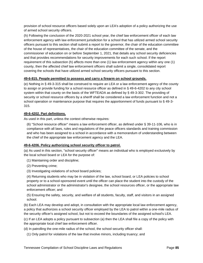provision of school resource officers based solely upon an LEA's adoption of a policy authorizing the use of armed school security officers.

(h) Following the conclusion of the 2020-2021 school year, the chief law enforcement officer of each law enforcement agency with law enforcement jurisdiction for a school that has utilized armed school security officers pursuant to this section shall submit a report to the governor, the chair of the education committee of the house of representatives, the chair of the education committee of the senate, and the commissioner of education on or before September 1, 2021, that details any school security deficiencies and that provides recommendations for security improvements for each such school. If the report requirement of this subsection (h) affects more than one (1) law enforcement agency within any one (1) county, then the affected chief law enforcement officers shall submit a single, consolidated report covering the schools that have utilized armed school security officers pursuant to this section.

### **49-6-815. People permitted to possess and carry a firearm on school grounds.**

(e) Nothing in § 49-3-315 shall be construed to require an LEA or a law enforcement agency of the county to assign or provide funding for a school resource officer as defined in § 49-6-4202 to any city school system within that county on the basis of the WFTEADA as defined by § 49-3-302. The providing of security or school resource officers by a sheriff shall be considered a law enforcement function and not a school operation or maintenance purpose that requires the apportionment of funds pursuant to § 49-3- 315.

### **49-6-4202. Part definitions.**

As used in this part, unless the context otherwise requires:

(6) "School resource officer" means a law enforcement officer, as defined under § 39-11-106, who is in compliance with all laws, rules and regulations of the peace officers standards and training commission and who has been assigned to a school in accordance with a memorandum of understanding between the chief of the appropriate law enforcement agency and the LEA.

### **49-6-4206. Policy authorizing school security officer to patrol.**

(a) As used in this section, "school security officer" means an individual who is employed exclusively by the local school board or LEA for the purpose of:

(1) Maintaining order and discipline;

- (2) Preventing crime;
- (3) Investigating violations of school board policies;

(4) Returning students who may be in violation of the law, school board, or LEA policies to school property or to a school-sponsored event until the officer can place the student into the custody of the school administrator or the administrator's designee, the school resources officer, or the appropriate law enforcement officer; and

(5) Ensuring the safety, security, and welfare of all students, faculty, staff, and visitors in an assigned school.

(b) Each LEA may develop and adopt, in consultation with the appropriate local law enforcement agency, a policy that authorizes a school security officer employed by the LEA to patrol within a one-mile radius of the security officer's assigned school, but not to exceed the boundaries of the assigned school's LEA.

(c) If an LEA adopts a policy pursuant to subsection (a) then the LEA shall file a copy of the policy with the appropriate local chief law enforcement officer.

(d) In patrolling the one-mile radius of the school, the school security officer shall:

(1) Only patrol for violations of the law that involve minors, including truancy; and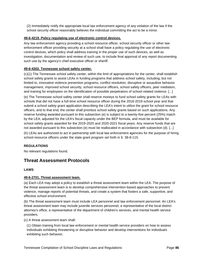(2) Immediately notify the appropriate local law enforcement agency of any violation of the law if the school security officer reasonably believes the individual committing the act to be a minor.

### **49-6-4219. Policy regulating use of electronic control devices.**

Any law enforcement agency providing a school resource officer, school security officer or other law enforcement officer providing security at a school shall have a policy regulating the use of electronic control devices, which policy shall address training in the proper use of such devices, as well as investigation, documentation and review of such use, to include final approval of any report documenting such use by the agency's chief executive officer or sheriff.

### **49-6-4302. Tennessee school safety center.**

(c)(1) The Tennessee school safety center, within the limit of appropriations for the center, shall establish school safety grants to assist LEAs in funding programs that address school safety, including, but not limited to, innovative violence prevention programs, conflict resolution, disruptive or assaultive behavior management, improved school security, school resource officers, school safety officers, peer mediation, and training for employees on the identification of possible perpetrators of school-related violence. [...]

(e) The Tennessee school safety center shall reserve moneys to fund school safety grants for LEAs with schools that did not have a full-time school resource officer during the 2018-2019 school year and that submit a school safety grant application describing the LEA's intent to utilize the grant for school resource officers, and to that end, the center shall prioritize school safety grants based on such applications. Any reserve funding awarded pursuant to this subsection (e) is subject to a twenty-five percent (25%) match by the LEA, adjusted for the LEA's fiscal capacity under the BEP formula, and must be available for school safety grants awarded for the 2019-2020 and 2020-2021 fiscal years. Any reserve funds that are not awarded pursuant to this subsection (e) must be reallocated in accordance with subsection (d). [...] (h) LEAs are authorized to act in partnership with local law enforcement agencies for the purpose of hiring school resource officers under the state grant program set forth in § 38-8-115.

## **REGULATIONS**

No relevant regulations found.

## **Threat Assessment Protocols**

### **LAWS**

### **49-6-2701. Threat assessment team.**

(a) Each LEA may adopt a policy to establish a threat assessment team within the LEA. The purpose of the threat assessment team is to develop comprehensive intervention-based approaches to prevent violence, manage reports of potential threats, and create a system that fosters a safe, supportive, and effective school environment.

(b) The threat assessment team must include LEA personnel and law enforcement personnel. An LEA's threat assessment team may include juvenile services personnel, a representative of the local district attorney's office, a representative of the department of children's services, and mental health service providers.

(c) A threat assessment team shall:

(1) Obtain training from local law enforcement or mental health service providers on how to assess individuals exhibiting threatening or disruptive behavior and develop interventions for individuals exhibiting such behavior;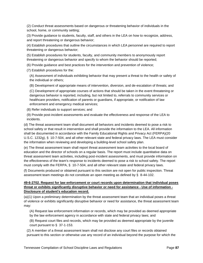(2) Conduct threat assessments based on dangerous or threatening behavior of individuals in the school, home, or community setting;

(3) Provide guidance to students, faculty, staff, and others in the LEA on how to recognize, address, and report threatening or dangerous behavior;

(4) Establish procedures that outline the circumstances in which LEA personnel are required to report threatening or dangerous behavior;

(5) Establish procedures for students, faculty, and community members to anonymously report threatening or dangerous behavior and specify to whom the behavior should be reported;

(6) Provide guidance and best practices for the intervention and prevention of violence;

(7) Establish procedures for the:

(A) Assessment of individuals exhibiting behavior that may present a threat to the health or safety of the individual or others;

(B) Development of appropriate means of intervention, diversion, and de-escalation of threats; and

(C) Development of appropriate courses of actions that should be taken in the event threatening or dangerous behavior is reported, including, but not limited to, referrals to community services or healthcare providers, notification of parents or guardians, if appropriate, or notification of law enforcement and emergency medical services;

(8) Refer individuals to support services; and

(9) Provide post-incident assessments and evaluate the effectiveness and response of the LEA to incidents.

(d) The threat assessment team shall document all behaviors and incidents deemed to pose a risk to school safety or that result in intervention and shall provide the information to the LEA. All information shall be documented in accordance with the Family Educational Rights and Privacy Act (FERPA)(20 U.S.C. 1232g), § 10-7-504, and all other relevant state and federal privacy laws. The LEA must consider the information when reviewing and developing a building-level school safety plan.

(e) The threat assessment team shall report threat assessment team activities to the local board of education and the director of schools on a regular basis. The report must include quantitative data on threat assessment team activities, including post-incident assessments, and must provide information on the effectiveness of the team's response to incidents deemed to pose a risk to school safety. The report must comply with the FERPA, § 10-7-504, and all other relevant state and federal privacy laws.

(f) Documents produced or obtained pursuant to this section are not open for public inspection. Threat assessment team meetings do not constitute an open meeting as defined by § 8-44-102.

### **49-6-2702. Request for law enforcement or court records upon determination that individual poses threat or exhibits significantly disruptive behavior or need for assistance - Use of information - Disclosure of student's education record.**

(a)(1) Upon a preliminary determination by the threat assessment team that an individual poses a threat of violence or exhibits significantly disruptive behavior or need for assistance, the threat assessment team may:

(A) Request law enforcement information or records, which may be provided as deemed appropriate by the law enforcement agency in accordance with state and federal privacy laws; and

(B) Request court files and records, which may be provided as deemed appropriate by the juvenile court pursuant to § 37-1-153.

(2) A member of a threat assessment team shall not disclose any court files or records obtained pursuant to this section or otherwise use any record of an individual beyond the purpose for which the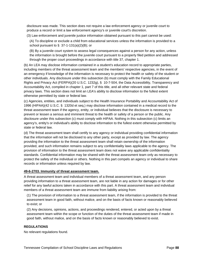disclosure was made. This section does not require a law enforcement agency or juvenile court to produce a record or limit a law enforcement agency's or juvenile court's discretion.

(3) Law enforcement and juvenile justice information obtained pursuant to this part cannot be used:

(A) To discipline or exclude a child from educational services unless the information is provided to a school pursuant to  $\S$  37-1-131(a)(2)(B); or

(B) By a juvenile court system to assess legal consequences against a person for any action, unless the information is brought before the juvenile court pursuant to a properly filed petition and addressed through the proper court proceedings in accordance with title 37, chapter 1.

(b) An LEA may disclose information contained in a student's education record to appropriate parties, including members of the threat assessment team and the members' respective agencies, in the event of an emergency if knowledge of the information is necessary to protect the health or safety of the student or other individuals. Any disclosure under this subsection (b) must comply with the Family Educational Rights and Privacy Act (FERPA)(20 U.S.C. 1232g), § 10-7-504, the Data Accessibility, Transparency and Accountability Act, compiled in chapter 1, part 7 of this title, and all other relevant state and federal privacy laws. This section does not limit an LEA's ability to disclose information to the fullest extent otherwise permitted by state or federal law.

(c) Agencies, entities, and individuals subject to the Health Insurance Portability and Accountability Act of 1996 (HIPAA)(42 U.S.C. § 1320d et seq.) may disclose information contained in a medical record to the threat assessment team if the agency, entity, or individual believes that the disclosure is necessary to prevent or lessen a serious and imminent threat to the health or safety of a person or the public. Any disclosure under this subsection (c) must comply with HIPAA. Nothing in this subsection (c) limits an agency's, entity's or individual's ability to disclose information to the fullest extent otherwise permitted by state or federal law.

(d) The threat assessment team shall certify to any agency or individual providing confidential information that the information will not be disclosed to any other party, except as provided by law. The agency providing the information to the threat assessment team shall retain ownership of the information provided, and such information remains subject to any confidentiality laws applicable to the agency. The provision of information to the threat assessment team does not waive any applicable confidentiality standards. Confidential information may be shared with the threat assessment team only as necessary to protect the safety of the individual or others. Nothing in this part compels an agency or individual to share records or information unless required by law.

### **49-6-2703. Immunity of threat assessment team.**

A threat assessment team and individual members of a threat assessment team, and any person providing information to a threat assessment team, are not liable in any action for damages or for other relief for any lawful actions taken in accordance with this part. A threat assessment team and individual members of a threat assessment team are immune from liability arising from:

(1) The provision of information to a threat assessment team, if the information is provided to the threat assessment team in good faith, without malice, and on the basis of facts known or reasonably believed to exist; or

(2) Any decisions, opinions, actions, and proceedings rendered, entered, or acted upon by a threat assessment team within the scope or function of the duties of the threat assessment team if made in good faith, without malice, and on the basis of facts known or reasonably believed to exist.

#### **REGULATIONS**

No relevant regulations found.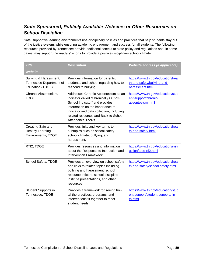# *State-Sponsored, Publicly Available Websites or Other Resources on School Discipline*

Safe, supportive learning environments use disciplinary policies and practices that help students stay out of the justice system, while ensuring academic engagement and success for all students. The following resources provided by Tennessee provide additional context to state policy and regulations and, in some cases, may support the readers' efforts to provide a positive disciplinary school climate.

| <b>Title</b>                                                          | <b>Description</b>                                                                                                                                                                                                                                            | <b>Website address (if applicable)</b>                                              |
|-----------------------------------------------------------------------|---------------------------------------------------------------------------------------------------------------------------------------------------------------------------------------------------------------------------------------------------------------|-------------------------------------------------------------------------------------|
| <b>Website</b>                                                        |                                                                                                                                                                                                                                                               |                                                                                     |
| Bullying & Harassment,<br>Tennessee Department of<br>Education (TDOE) | Provides information for parents,<br>students, and school regarding how to<br>respond to bullying.                                                                                                                                                            | https://www.tn.gov/education/heal<br>th-and-safety/bullying-and-<br>harassment.html |
| Chronic Absenteeism,<br><b>TDOE</b>                                   | Addresses Chronic Absenteeism as an<br>indicator called "Chronically Out-of-<br>School Indicator" and provides<br>information on the importance of<br>indicator and data collection, including<br>related resources and Back-to-School<br>Attendance Toolkit. | https://www.tn.gov/education/stud<br>ent-support/chronic-<br>absenteeism.html       |
| Creating Safe and<br><b>Healthy Learning</b><br>Environments, TDOE    | Provides links and key terms to<br>subtopics such as school safety,<br>school climate, bullying, and<br>harassment.                                                                                                                                           | https://www.tn.gov/education/heal<br>th-and-safety.html                             |
| RTI2, TDOE                                                            | Provides resources and information<br>about the Response to Instruction and<br>Intervention Framework.                                                                                                                                                        | https://www.tn.gov/education/instr<br>uction/tdoe-rti2.html                         |
| School Safety, TDOE                                                   | Provides an overview on school safety<br>and links to related topics including<br>bullying and harassment, school<br>resource officers, school discipline<br>institute presentations, and other<br>resources.                                                 | https://www.tn.gov/education/heal<br>th-and-safety/school-safety.html               |
| Student Supports in<br>Tennessee, TDOE                                | Provides a framework for seeing how<br>all the practices, programs, and<br>interventions fit together to meet<br>student needs.                                                                                                                               | https://www.tn.gov/education/stud<br>ent-support/student-supports-in-<br>tn.html    |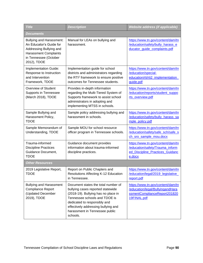| <b>Title</b>                                                                                                                                                  | <b>Description</b>                                                                                                                                                                                                                                                    | <b>Website address (if applicable)</b>                                                                               |  |  |
|---------------------------------------------------------------------------------------------------------------------------------------------------------------|-----------------------------------------------------------------------------------------------------------------------------------------------------------------------------------------------------------------------------------------------------------------------|----------------------------------------------------------------------------------------------------------------------|--|--|
| Documents                                                                                                                                                     |                                                                                                                                                                                                                                                                       |                                                                                                                      |  |  |
| <b>Bullying and Harassment:</b><br>An Educator's Guide for<br>Addressing Bullying and<br><b>Harassment Complaints</b><br>in Tennessee (October<br>2012), TDOE | Manual for LEAs on bullying and<br>harassment.                                                                                                                                                                                                                        | https://www.tn.gov/content/dam/tn<br>/education/safety/bully_harass_e<br>ducator_guide_complaints.pdf                |  |  |
| Implementation Guide:<br>Response to Instruction<br>and Intervention<br>Framework, TDOE                                                                       | Implementation guide for school<br>districts and administrators regarding<br>the RTI <sup>2</sup> framework to ensure positive<br>outcomes for Tennessee students.                                                                                                    | https://www.tn.gov/content/dam/tn<br>/education/special-<br>education/rti/rti2_implementation<br>guide.pdf           |  |  |
| Overview of Student<br>Supports in Tennessee<br>(March 2018), TDOE                                                                                            | Provides in-depth information<br>regarding the Multi-Tiered System of<br>Supports framework to assist school<br>administrators in adopting and<br>implementing MTSS in schools.                                                                                       | https://www.tn.gov/content/dam/tn<br>/education/reports/student_suppo<br>rts overview.pdf                            |  |  |
| Sample Bullying and<br>Harassment Policy,<br><b>TDOE</b>                                                                                                      | Sample policy addressing bullying and<br>harassment in schools.                                                                                                                                                                                                       | https://www.tn.gov/content/dam/tn<br>/education/safety/bully_harass_sa<br>mple_policy.pdf                            |  |  |
| Sample Memorandum of<br>Understanding, TDOE                                                                                                                   | Sample MOU for school resource<br>officer program in Tennessee schools.                                                                                                                                                                                               | https://www.tn.gov/content/dam/tn<br>/education/safety/safe_sch/safe_s<br>ch_sro_sample_mou.docx                     |  |  |
| Trauma-informed<br><b>Discipline Practices</b><br>Guidance Document,<br><b>TDOE</b>                                                                           | Guidance document provides<br>information about trauma-informed<br>discipline practices.                                                                                                                                                                              | https://www.tn.gov/content/dam/tn<br>/education/safety/Trauma_inform<br>ed_Discipline_Practices_Guidanc<br>e.docx    |  |  |
| <b>Other Resources</b>                                                                                                                                        |                                                                                                                                                                                                                                                                       |                                                                                                                      |  |  |
| 2019 Legislative Report,<br>TDOE                                                                                                                              | Report on Public Chapters and<br>Resolutions Affecting K-12 Education<br>in Tennessee.                                                                                                                                                                                | https://www.tn.gov/content/dam/tn<br>/education/legal/2019_legislative<br>report.pdf                                 |  |  |
| <b>Bullying and Harassment</b><br><b>Compliance Report</b><br>(Updated December<br>2019), TDOE                                                                | Document states the total number of<br>bullying cases reported statewide<br>(2018-19). Bullying has no place in<br>Tennessee schools and TDOE is<br>dedicated to responsibly and<br>effectively addressing bullying and<br>harassment in Tennessee public<br>schools. | https://www.tn.gov/content/dam/tn<br>/education/legal/BullyingandHara<br>ssmentComplianceReport201820<br>19FINAL.pdf |  |  |